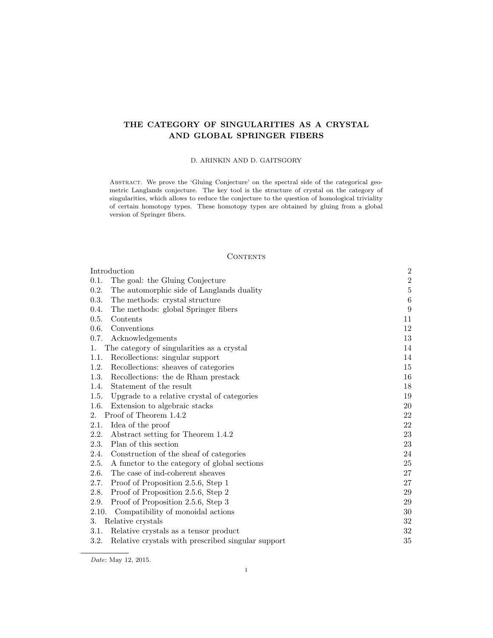# THE CATEGORY OF SINGULARITIES AS A CRYSTAL AND GLOBAL SPRINGER FIBERS

# D. ARINKIN AND D. GAITSGORY

ABSTRACT. We prove the 'Gluing Conjecture' on the spectral side of the categorical geometric Langlands conjecture. The key tool is the structure of crystal on the category of singularities, which allows to reduce the conjecture to the question of homological triviality of certain homotopy types. These homotopy types are obtained by gluing from a global version of Springer fibers.

# CONTENTS

| Introduction                                               | $\boldsymbol{2}$ |
|------------------------------------------------------------|------------------|
| 0.1.<br>The goal: the Gluing Conjecture                    | $\,2$            |
| 0.2.<br>The automorphic side of Langlands duality          | $\bf 5$          |
| 0.3.<br>The methods: crystal structure                     | $\,6$            |
| 0.4.<br>The methods: global Springer fibers                | 9                |
| 0.5.<br>Contents                                           | 11               |
| 0.6.<br>Conventions                                        | 12               |
| 0.7.<br>Acknowledgements                                   | 13               |
| The category of singularities as a crystal<br>1.           | 14               |
| Recollections: singular support<br>1.1.                    | 14               |
| Recollections: sheaves of categories<br>1.2.               | 15               |
| 1.3.<br>Recollections: the de Rham prestack                | 16               |
| Statement of the result<br>1.4.                            | 18               |
| Upgrade to a relative crystal of categories<br>1.5.        | 19               |
| 1.6.<br>Extension to algebraic stacks                      | 20               |
| Proof of Theorem 1.4.2<br>2.                               | $22\,$           |
| Idea of the proof<br>2.1.                                  | 22               |
| Abstract setting for Theorem 1.4.2<br>2.2.                 | 23               |
| 2.3.<br>Plan of this section                               | 23               |
| Construction of the sheaf of categories<br>2.4.            | 24               |
| 2.5.<br>A functor to the category of global sections       | 25               |
| 2.6.<br>The case of ind-coherent sheaves                   | 27               |
| Proof of Proposition 2.5.6, Step 1<br>2.7.                 | 27               |
| 2.8.<br>Proof of Proposition 2.5.6, Step 2                 | 29               |
| Proof of Proposition 2.5.6, Step 3<br>2.9.                 | 29               |
| Compatibility of monoidal actions<br>2.10.                 | 30               |
| Relative crystals<br>3.                                    | 32               |
| Relative crystals as a tensor product<br>3.1.              | $32\,$           |
| Relative crystals with prescribed singular support<br>3.2. | 35               |

Date: May 12, 2015.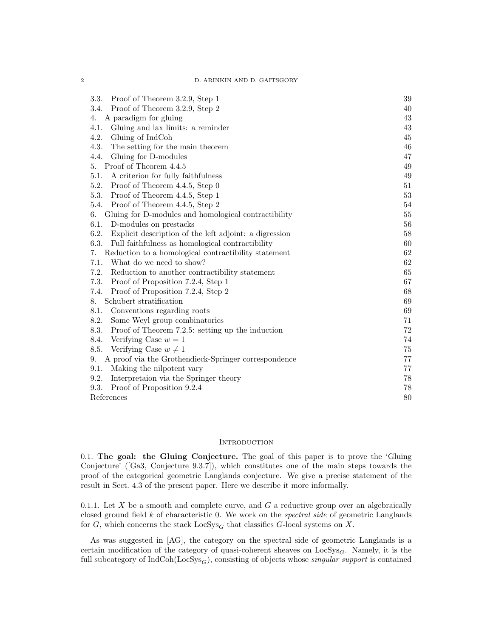D. ARINKIN AND D. GAITSGORY

| Proof of Theorem 3.2.9, Step 1<br>3.3.                         | 39     |
|----------------------------------------------------------------|--------|
| Proof of Theorem 3.2.9, Step 2<br>3.4.                         | 40     |
| A paradigm for gluing<br>4.                                    | 43     |
| Gluing and lax limits: a reminder<br>4.1.                      | 43     |
| 4.2.<br>Gluing of IndCoh                                       | 45     |
| The setting for the main theorem<br>4.3.                       | 46     |
| Gluing for D-modules<br>4.4.                                   | 47     |
| Proof of Theorem 4.4.5<br>5.                                   | 49     |
| A criterion for fully faithfulness<br>5.1.                     | 49     |
| 5.2.<br>Proof of Theorem 4.4.5, Step 0                         | 51     |
| 5.3.<br>Proof of Theorem 4.4.5, Step 1                         | 53     |
| 5.4.<br>Proof of Theorem 4.4.5, Step 2                         | 54     |
| Gluing for D-modules and homological contractibility<br>6.     | $55\,$ |
| 6.1.<br>D-modules on prestacks                                 | 56     |
| 6.2.<br>Explicit description of the left adjoint: a digression | 58     |
| 6.3.<br>Full faithfulness as homological contractibility       | 60     |
| Reduction to a homological contractibility statement<br>7.     | 62     |
| 7.1.<br>What do we need to show?                               | 62     |
| 7.2.<br>Reduction to another contractibility statement         | 65     |
| 7.3.<br>Proof of Proposition 7.2.4, Step 1                     | 67     |
| 7.4.<br>Proof of Proposition 7.2.4, Step 2                     | 68     |
| Schubert stratification<br>8.                                  | 69     |
| 8.1.<br>Conventions regarding roots                            | 69     |
| 8.2.<br>Some Weyl group combinatorics                          | 71     |
| 8.3.<br>Proof of Theorem 7.2.5: setting up the induction       | $72\,$ |
| Verifying Case $w = 1$<br>8.4.                                 | 74     |
| Verifying Case $w \neq 1$<br>8.5.                              | 75     |
| A proof via the Grothendieck-Springer correspondence<br>9.     | 77     |
| 9.1.<br>Making the nilpotent vary                              | 77     |
| 9.2.<br>Interpretaion via the Springer theory                  | 78     |
| Proof of Proposition 9.2.4<br>9.3.                             | 78     |
| References                                                     | 80     |

### **INTRODUCTION**

0.1. The goal: the Gluing Conjecture. The goal of this paper is to prove the 'Gluing Conjecture' ([Ga3, Conjecture 9.3.7]), which constitutes one of the main steps towards the proof of the categorical geometric Langlands conjecture. We give a precise statement of the result in Sect. 4.3 of the present paper. Here we describe it more informally.

0.1.1. Let  $X$  be a smooth and complete curve, and  $G$  a reductive group over an algebraically closed ground field  $k$  of characteristic 0. We work on the *spectral side* of geometric Langlands for G, which concerns the stack  $\text{LocSys}_G$  that classifies G-local systems on X.

As was suggested in [AG], the category on the spectral side of geometric Langlands is a certain modification of the category of quasi-coherent sheaves on  $LocSys_G$ . Namely, it is the full subcategory of  $IndCoh(LocSys<sub>G</sub>)$ , consisting of objects whose *singular support* is contained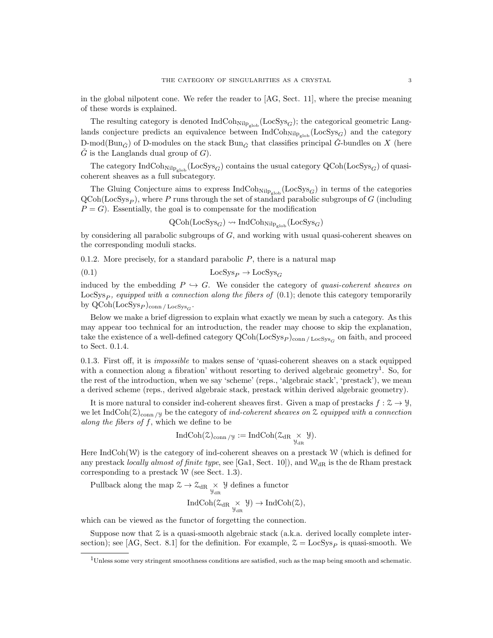in the global nilpotent cone. We refer the reader to [AG, Sect. 11], where the precise meaning of these words is explained.

The resulting category is denoted  $IndCoh_{Nilp_{glob}}(LocSys_G);$  the categorical geometric Langlands conjecture predicts an equivalence between  $\text{IndCoh}_{\text{Nilp}_{\text{glob}}}(\text{LocSys}_G)$  and the category D-mod(Bun<sub>G</sub><sup> $\circ$ </sup>) of D-modules on the stack Bun<sub>G</sub><sup> $\circ$ </sup> that classifies principal G<sup> $\circ$ </sup>-bundles on X (here  $\tilde{G}$  is the Langlands dual group of  $G$ ).

The category  $IndCoh_{Nilp_{\text{glob}}}(LocSys_G)$  contains the usual category  $QCoh(LocSys_G)$  of quasicoherent sheaves as a full subcategory.

The Gluing Conjecture aims to express  $\text{IndCoh}_{\text{Nilp}_{\text{glob}}}(\text{LocSys}_G)$  in terms of the categories  $QCoh(LocSys_P)$ , where P runs through the set of standard parabolic subgroups of G (including  $P = G$ ). Essentially, the goal is to compensate for the modification

$$
\text{QCoh}(\text{LocSys}_G) \leadsto \text{IndCoh}_{\text{Nilp}_{\text{glob}}}(\text{LocSys}_G)
$$

by considering all parabolic subgroups of  $G$ , and working with usual quasi-coherent sheaves on the corresponding moduli stacks.

0.1.2. More precisely, for a standard parabolic  $P$ , there is a natural map

(0.1)  $\text{LocSys}_P \rightarrow \text{LocSys}_G$ 

induced by the embedding  $P \hookrightarrow G$ . We consider the category of quasi-coherent sheaves on  $LocSys<sub>P</sub>$ , equipped with a connection along the fibers of (0.1); denote this category temporarily by  $\mathrm{QCoh}(\mathrm{LocSys}_P)_{\mathrm{conn}/\mathrm{LocSys}_G$ .

Below we make a brief digression to explain what exactly we mean by such a category. As this may appear too technical for an introduction, the reader may choose to skip the explanation, take the existence of a well-defined category  $Q\text{Coh}(\text{LocSys}_P)_{\text{conn}/\text{LocSys}_G}$  on faith, and proceed to Sect. 0.1.4.

0.1.3. First off, it is impossible to makes sense of 'quasi-coherent sheaves on a stack equipped with a connection along a fibration' without resorting to derived algebraic geometry<sup>1</sup>. So, for the rest of the introduction, when we say 'scheme' (reps., 'algebraic stack', 'prestack'), we mean a derived scheme (reps., derived algebraic stack, prestack within derived algebraic geometry).

It is more natural to consider ind-coherent sheaves first. Given a map of prestacks  $f: \mathcal{Z} \to \mathcal{Y}$ , we let IndCoh( $\mathcal{Z}_{\text{conn }/y}$  be the category of ind-coherent sheaves on  $\mathcal Z$  equipped with a connection along the fibers of  $f$ , which we define to be

$$
\operatorname{IndCoh}(\mathcal{Z})_{\operatorname{conn}/\mathcal{Y}}:=\operatorname{IndCoh}(\mathcal{Z}_{\operatorname{dR}}\underset{\mathcal{Y}_{\operatorname{dR}}}{\times}\mathcal{Y}).
$$

Here IndCoh(W) is the category of ind-coherent sheaves on a prestack  $W$  (which is defined for any prestack locally almost of finite type, see [Ga1, Sect. 10]), and  $W_{\rm dR}$  is the de Rham prestack corresponding to a prestack  $W$  (see Sect. 1.3).

Pullback along the map  $\mathcal{Z} \to \mathcal{Z}_{\text{dR}} \underset{\mathcal{Y}_{\text{dR}}}{\times} \mathcal{Y}$  defines a functor

$$
\operatorname{IndCoh}(\mathcal Z_{\mathrm{dR}}\underset{\mathcal Y_{\mathrm{dR}}}{\times}\mathcal Y)\to\operatorname{IndCoh}(\mathcal Z),
$$

which can be viewed as the functor of forgetting the connection.

Suppose now that  $\mathcal Z$  is a quasi-smooth algebraic stack (a.k.a. derived locally complete intersection); see [AG, Sect. 8.1] for the definition. For example,  $\mathcal{Z} = \text{LocSys}_P$  is quasi-smooth. We

<sup>1</sup>Unless some very stringent smoothness conditions are satisfied, such as the map being smooth and schematic.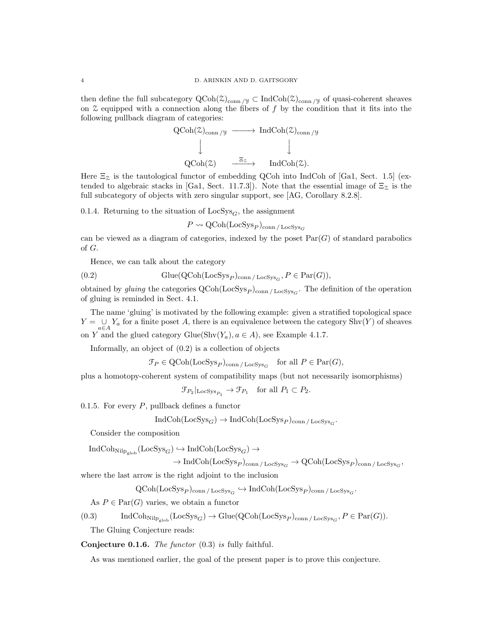then define the full subcategory  $QCoh(\mathcal{Z})_{conn / \mathcal{Y}} \subset IndCoh(\mathcal{Z})_{conn / \mathcal{Y}}$  of quasi-coherent sheaves on  $\mathfrak X$  equipped with a connection along the fibers of f by the condition that it fits into the following pullback diagram of categories:

$$
\begin{array}{ccc}\n\text{QCoh}(\mathcal{Z})_{\text{conn}}/\mathcal{Y} & \longrightarrow \text{IndCoh}(\mathcal{Z})_{\text{conn}}/\mathcal{Y} \\
\downarrow & \downarrow & \downarrow \\
\text{QCoh}(\mathcal{Z}) & \xrightarrow{\Xi_{\mathcal{Z}}} & \text{IndCoh}(\mathcal{Z}).\n\end{array}
$$

Here  $\Xi_{\mathcal{Z}}$  is the tautological functor of embedding QCoh into IndCoh of [Ga1, Sect. 1.5] (extended to algebraic stacks in [Ga1, Sect. 11.7.3]). Note that the essential image of  $\Xi_{\mathcal{Z}}$  is the full subcategory of objects with zero singular support, see [AG, Corollary 8.2.8].

0.1.4. Returning to the situation of  $LocSys<sub>G</sub>$ , the assignment

$$
P \leadsto \text{QCoh}(\text{LocSys}_P)_{\text{conn}/\text{LocSys}_G
$$

can be viewed as a diagram of categories, indexed by the poset  $Par(G)$  of standard parabolics of G.

Hence, we can talk about the category

(0.2) 
$$
\text{Glue}(\text{QCoh}(\text{LocSys}_P)_{\text{conn}/\text{LocSys}_G}, P \in \text{Par}(G)),
$$

obtained by *gluing* the categories  $QCoh(LocSys_P)_{conn / LocSys_G}$ . The definition of the operation of gluing is reminded in Sect. 4.1.

The name 'gluing' is motivated by the following example: given a stratified topological space  $Y = \bigcup_{a \in A} Y_a$  for a finite poset A, there is an equivalence between the category Shv $(Y)$  of sheaves on Y and the glued category  $\text{Glue}(\text{Shv}(Y_a), a \in A)$ , see Example 4.1.7.

Informally, an object of (0.2) is a collection of objects

$$
\mathcal{F}_P \in \mathrm{QCoh}(\mathrm{LocSys}_P)_{\mathrm{conn}/\mathrm{LocSys}_G} \quad \text{for all } P \in \mathrm{Par}(G),
$$

plus a homotopy-coherent system of compatibility maps (but not necessarily isomorphisms)

 $\mathcal{F}_{P_2}|_{\operatorname{LocSys}_{P_1}} \to \mathcal{F}_{P_1} \text{ for all } P_1 \subset P_2.$ 

0.1.5. For every  $P$ , pullback defines a functor

$$
\text{IndCoh}(\text{LocSys}_G) \to \text{IndCoh}(\text{LocSys}_P)_{\text{conn}/\text{LocSys}_G.
$$

Consider the composition

$$
\begin{aligned} \text{IndCoh}_{\text{Nilp}_{\text{glob}}}(\text{LocSys}_G) &\hookrightarrow \text{IndCoh}(\text{LocSys}_G) \rightarrow \\ &\to \text{IndCoh}(\text{LocSys}_P)_{\text{conn}\,/\, \text{LocSys}_G \rightarrow \text{QCoh}(\text{LocSys}_P)_{\text{conn}\,/\, \text{LocSys}_G}, \end{aligned}
$$

where the last arrow is the right adjoint to the inclusion

 $\mathrm{QCoh}(\mathrm{LocSys}_P)_{\mathrm{conn}\,/\, \mathrm{LocSys}_G} \hookrightarrow \mathrm{IndCoh}(\mathrm{LocSys}_P)_{\mathrm{conn}\,/\, \mathrm{LocSys}_G}.$ 

As  $P \in \text{Par}(G)$  varies, we obtain a functor

$$
(0.3) \qquad \text{IndCoh}_{\text{Nilp}_{\text{glob}}}(\text{LocSys}_G) \to \text{Glue}(\text{QCoh}(\text{LocSys}_P)_{\text{conn}/\text{LocSys}_G, P \in \text{Par}(G)).
$$

The Gluing Conjecture reads:

Conjecture 0.1.6. The functor (0.3) is fully faithful.

As was mentioned earlier, the goal of the present paper is to prove this conjecture.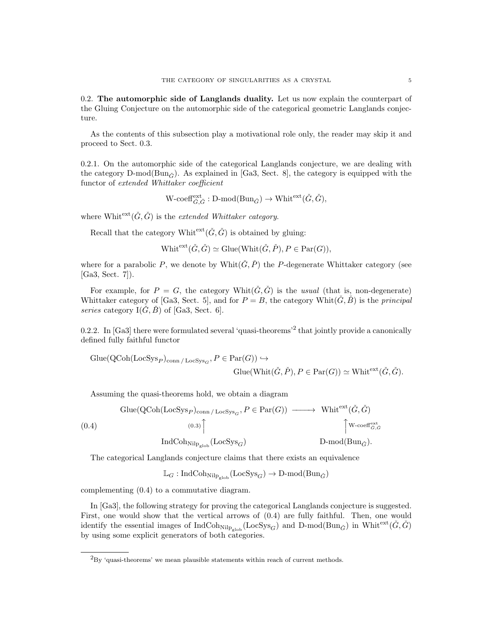0.2. The automorphic side of Langlands duality. Let us now explain the counterpart of the Gluing Conjecture on the automorphic side of the categorical geometric Langlands conjecture.

As the contents of this subsection play a motivational role only, the reader may skip it and proceed to Sect. 0.3.

0.2.1. On the automorphic side of the categorical Langlands conjecture, we are dealing with the category D-mod( $\text{Bun}_{\tilde{C}}$ ). As explained in [Ga3, Sect. 8], the category is equipped with the functor of extended Whittaker coefficient

$$
\text{W-coeff}^{\text{ext}}_{\check{G},\check{G}}: \text{D-mod}(\text{Bun}_{\check{G}}) \to \text{Whit}^{\text{ext}}(\check{G},\check{G}),
$$

where Whitext $(\check{G}, \check{G})$  is the extended Whittaker category.

Recall that the category Whit<sup>ext</sup> $(\check{G}, \check{G})$  is obtained by gluing:

 $\text{Whit}^{\text{ext}}(\check{G}, \check{G}) \simeq \text{Glue}(\text{Whit}(\check{G}, \check{P}), P \in \text{Par}(G)),$ 

where for a parabolic P, we denote by Whit( $\check{G}, \check{P}$ ) the P-degenerate Whittaker category (see [Ga3, Sect. 7]).

For example, for  $P = G$ , the category Whit $(\check{G}, \check{G})$  is the usual (that is, non-degenerate) Whittaker category of [Ga3, Sect. 5], and for  $P = B$ , the category Whit $(\check{G}, \check{B})$  is the *principal* series category  $I(\tilde{G}, \tilde{B})$  of [Ga3, Sect. 6].

0.2.2. In [Ga3] there were formulated several 'quasi-theorems'<sup>2</sup> that jointly provide a canonically defined fully faithful functor

$$
\text{Glue}(\text{QCoh}(\text{LocSys}_P)_{\text{conn}/\text{LocSys}_G}, P \in \text{Par}(G)) \hookrightarrow
$$
  

$$
\text{Glue}(\text{Whit}(\check{G}, \check{P}), P \in \text{Par}(G)) \simeq \text{Whit}^{\text{ext}}(\check{G}, \check{G}).
$$

Assuming the quasi-theorems hold, we obtain a diagram

$$
\text{Glue}(\text{QCoh}(\text{LocSys}_P)_{\text{conn}/\text{LocSys}_G}, P \in \text{Par}(G)) \longrightarrow \text{Whit}^{\text{ext}}(\check{G}, \check{G})
$$
\n
$$
(0.4) \qquad (0.3) \qquad \qquad \uparrow \qquad \qquad \uparrow \qquad \qquad \uparrow \qquad \qquad \downarrow \qquad \qquad \uparrow \qquad \qquad \downarrow \qquad \qquad \downarrow \qquad \qquad \downarrow \qquad \qquad \downarrow \qquad \qquad \downarrow \qquad \qquad \downarrow \qquad \qquad \downarrow \qquad \qquad \downarrow \qquad \qquad \downarrow \qquad \qquad \downarrow \qquad \qquad \downarrow \qquad \qquad \downarrow \qquad \qquad \downarrow \qquad \qquad \downarrow \qquad \qquad \downarrow \qquad \qquad \downarrow \qquad \qquad \downarrow \qquad \qquad \downarrow \qquad \qquad \downarrow \qquad \qquad \downarrow \qquad \qquad \downarrow \qquad \qquad \downarrow \qquad \qquad \downarrow \qquad \qquad \downarrow \qquad \qquad \downarrow \qquad \qquad \downarrow \qquad \qquad \downarrow \qquad \qquad \downarrow \qquad \qquad \downarrow \qquad \qquad \downarrow \qquad \qquad \downarrow \qquad \qquad \downarrow \qquad \qquad \downarrow \qquad \qquad \downarrow \qquad \qquad \downarrow \qquad \qquad \downarrow \qquad \qquad \downarrow \qquad \qquad \downarrow \qquad \qquad \downarrow \qquad \qquad \downarrow \qquad \qquad \downarrow \qquad \qquad \downarrow \qquad \qquad \downarrow \qquad \qquad \downarrow \qquad \qquad \downarrow \qquad \qquad \downarrow \qquad \qquad \downarrow \qquad \qquad \downarrow \qquad \qquad \downarrow \qquad \qquad \downarrow \qquad \qquad \downarrow \qquad \qquad \downarrow \qquad \qquad \downarrow \qquad \qquad \downarrow \qquad \qquad \downarrow \qquad \qquad \downarrow \qquad \qquad \downarrow \qquad \qquad \downarrow \qquad \qquad \downarrow \qquad \qquad \downarrow \qquad \qquad \downarrow \qquad \qquad \downarrow \qquad \qquad \downarrow \qquad \qquad \downarrow \qquad \qquad \downarrow \qquad \qquad \downarrow \qquad \qquad \downarrow \qquad \qquad \downarrow \qquad \qquad \downarrow \qquad \
$$

The categorical Langlands conjecture claims that there exists an equivalence

$$
\mathbb{L}_G : \mathrm{IndCoh}_{\mathrm{Nilp}_\mathrm{glob}}(\mathrm{LocSys}_G) \to \mathrm{D\text{-}mod}(\mathrm{Bun}_{\check{G}})
$$

complementing (0.4) to a commutative diagram.

In [Ga3], the following strategy for proving the categorical Langlands conjecture is suggested. First, one would show that the vertical arrows of (0.4) are fully faithful. Then, one would identify the essential images of  $IndCoh_{Nilp_{glob}}(LocSys_{\tilde{G}})$  and  $D-mod(Bun_{\tilde{G}})$  in Whitext $(\tilde{G}, \tilde{G})$ by using some explicit generators of both categories.

 ${}^{2}_{\text{Bv}}$  'quasi-theorems' we mean plausible statements within reach of current methods.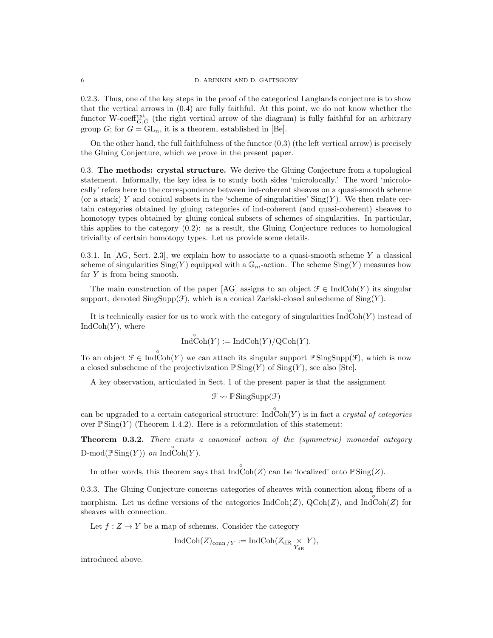0.2.3. Thus, one of the key steps in the proof of the categorical Langlands conjecture is to show that the vertical arrows in (0.4) are fully faithful. At this point, we do not know whether the functor W-coeff<sup>ext</sup><sub> $\check{G}, \check{G}$ </sub> (the right vertical arrow of the diagram) is fully faithful for an arbitrary group G; for  $G = GL_n$ , it is a theorem, established in [Be].

On the other hand, the full faithfulness of the functor  $(0.3)$  (the left vertical arrow) is precisely the Gluing Conjecture, which we prove in the present paper.

0.3. The methods: crystal structure. We derive the Gluing Conjecture from a topological statement. Informally, the key idea is to study both sides 'microlocally.' The word 'microlocally' refers here to the correspondence between ind-coherent sheaves on a quasi-smooth scheme (or a stack) Y and conical subsets in the 'scheme of singularities'  $\text{Sing}(Y)$ . We then relate certain categories obtained by gluing categories of ind-coherent (and quasi-coherent) sheaves to homotopy types obtained by gluing conical subsets of schemes of singularities. In particular, this applies to the category (0.2): as a result, the Gluing Conjecture reduces to homological triviality of certain homotopy types. Let us provide some details.

0.3.1. In  $[AG, Sect. 2.3],$  we explain how to associate to a quasi-smooth scheme Y a classical scheme of singularities  $\text{Sing}(Y)$  equipped with a  $\mathbb{G}_m$ -action. The scheme  $\text{Sing}(Y)$  measures how far Y is from being smooth.

The main construction of the paper [AG] assigns to an object  $\mathcal{F} \in \text{IndCoh}(Y)$  its singular support, denoted  $\text{SingSupp}(\mathcal{F})$ , which is a conical Zariski-closed subscheme of  $\text{Sing}(Y)$ .

It is technically easier for us to work with the category of singularities  $\overrightarrow{IndCoh}(Y)$  instead of  $IndCoh(Y)$ , where

$$
\mathop{\mathrm{Ind}}\nolimits\limits^{\circ}\mathop{\mathrm{Coh}}\nolimits(Y):=\mathop{\mathrm{Ind}}\nolimits\mathop{\mathrm{Coh}}\nolimits(Y)/\mathop{\mathrm{QCoh}}\nolimits(Y).
$$

To an object  $\mathcal{F} \in \text{Ind}\mathrm{Coh}(Y)$  we can attach its singular support  $\mathbb{P} \text{SingSupp}(\mathcal{F})$ , which is now a closed subscheme of the projectivization  $\mathbb{P}$ Sing(Y) of Sing(Y), see also [Ste].

A key observation, articulated in Sect. 1 of the present paper is that the assignment

 $\mathcal{F} \rightsquigarrow \mathbb{P}$  SingSupp $(\mathcal{F})$ 

can be upgraded to a certain categorical structure:  $\overrightarrow{IndCoh}(Y)$  is in fact a *crystal of categories* over  $\mathbb{P} \text{Sing}(Y)$  (Theorem 1.4.2). Here is a reformulation of this statement:

Theorem 0.3.2. There exists a canonical action of the (symmetric) monoidal category  $D\text{-mod}(\mathbb{P}\operatorname{Sing}(Y))$  on  $\operatorname{Ind}\operatorname{Coh}(Y)$ .

In other words, this theorem says that  $Ind\operatorname{Coh}(Z)$  can be 'localized' onto  $\mathbb{P}$  Sing(Z).

0.3.3. The Gluing Conjecture concerns categories of sheaves with connection along fibers of a morphism. Let us define versions of the categories  $\text{IndCoh}(Z)$ ,  $\text{QCoh}(Z)$ , and  $\text{Ind}\text{Coh}(Z)$  for sheaves with connection.

Let  $f: Z \to Y$  be a map of schemes. Consider the category

$$
\operatorname{IndCoh}(Z)_{\operatorname{conn}/Y} := \operatorname{IndCoh}(Z_{\operatorname{dR}} \underset{Y_{\operatorname{dR}}}{\times} Y),
$$

introduced above.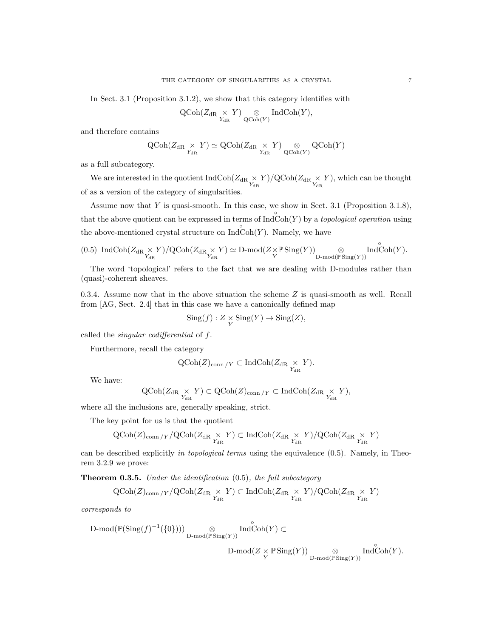In Sect. 3.1 (Proposition 3.1.2), we show that this category identifies with

$$
\operatorname{QCoh}(Z_{\operatorname{dR} \underset{Y_{\operatorname{dR}}}{\times} Y) \underset{\operatorname{QCoh}(Y)}{\otimes} \operatorname{IndCoh}(Y),
$$

and therefore contains

$$
\operatorname{QCoh}(Z_{\operatorname{dR} \underset{Y_{\operatorname{dR}}}{\times} Y) \simeq \operatorname{QCoh}(Z_{\operatorname{dR} \underset{Y_{\operatorname{dR}}}{\times} Y) \underset{\operatorname{QCoh}(Y)}{\otimes} \operatorname{QCoh}(Y)
$$

as a full subcategory.

We are interested in the quotient  $IndCoh(Z_{dR} \times Y)/QCoh(Z_{dR} \times Y)$ , which can be thought of as a version of the category of singularities.

Assume now that  $Y$  is quasi-smooth. In this case, we show in Sect. 3.1 (Proposition 3.1.8), that the above quotient can be expressed in terms of  $\overrightarrow{IndCoh}(Y)$  by a *topological operation* using the above-mentioned crystal structure on  $\overrightarrow{IndCoh}(Y)$ . Namely, we have

$$
(0.5)\ \ \mathrm{IndCoh}(Z_{\mathrm{dR}}\underset{Y_{\mathrm{dR}}}{\times}Y)/\mathrm{QCoh}(Z_{\mathrm{dR}}\underset{Y_{\mathrm{dR}}}{\times}Y)\simeq \mathrm{D\text{-}mod}(Z\times\mathbb{P}\operatorname{Sing}(Y))\underset{\mathrm{D\text{-}mod}(\mathbb{P}\operatorname{Sing}(Y))}{\otimes}\mathrm{Ind\text{\rm Coh}}(Y).
$$

The word 'topological' refers to the fact that we are dealing with D-modules rather than (quasi)-coherent sheaves.

0.3.4. Assume now that in the above situation the scheme Z is quasi-smooth as well. Recall from [AG, Sect. 2.4] that in this case we have a canonically defined map

$$
Sing(f): Z \underset{Y}{\times} Sing(Y) \to Sing(Z),
$$

called the singular codifferential of f.

Furthermore, recall the category

$$
\operatorname{QCoh}(Z)_{\operatorname{conn}/Y} \subset \operatorname{IndCoh}(Z_{\operatorname{dR}} \underset{Y_{\operatorname{dR}}}{\times} Y).
$$

We have:

$$
\operatorname{QCoh}(Z_{\operatorname{dR}} \underset{Y_{\operatorname{dR}}}{\times} Y) \subset \operatorname{QCoh}(Z)_{\operatorname{conn}/Y} \subset \operatorname{IndCoh}(Z_{\operatorname{dR}} \underset{Y_{\operatorname{dR}}}{\times} Y),
$$

where all the inclusions are, generally speaking, strict.

The key point for us is that the quotient

$$
\operatorname{QCoh}(Z)_{\operatorname{conn}/Y}/\operatorname{QCoh}(Z_{\operatorname{dR}}\underset{Y_{\operatorname{dR}}}{\times}Y)\subset\operatorname{IndCoh}(Z_{\operatorname{dR}}\underset{Y_{\operatorname{dR}}}{\times}Y)/\operatorname{QCoh}(Z_{\operatorname{dR}}\underset{Y_{\operatorname{dR}}}{\times}Y)
$$

can be described explicitly in topological terms using the equivalence  $(0.5)$ . Namely, in Theorem 3.2.9 we prove:

**Theorem 0.3.5.** Under the identification  $(0.5)$ , the full subcategory

$$
\operatorname{QCoh}(Z)_{\operatorname{conn}/Y}/\operatorname{QCoh}(Z_{\operatorname{dR}}\underset{Y_{\operatorname{dR}}}{\times}Y)\subset\operatorname{IndCoh}(Z_{\operatorname{dR}}\underset{Y_{\operatorname{dR}}}{\times}Y)/\operatorname{QCoh}(Z_{\operatorname{dR}}\underset{Y_{\operatorname{dR}}}{\times}Y)
$$

corresponds to

$$
\begin{array}{ll}\text{D-mod}(\mathbb{P}(\mathrm{Sing}(f)^{-1}(\{0\})))\underset{\text{D-mod}(\mathbb{P}\,\mathrm{Sing}(Y))}{\otimes}\;\; \mathrm{Ind}\overset{\circ}{\mathrm{Coh}}(Y)\subset\\ &\qquad \qquad \mathrm{D-mod}(Z\times \mathbb{P}\,\mathrm{Sing}(Y))\underset{\text{D-mod}(\mathbb{P}\,\mathrm{Sing}(Y))}{\otimes}\;\; \mathrm{Ind}\overset{\circ}{\mathrm{Coh}}(Y).\end{array}
$$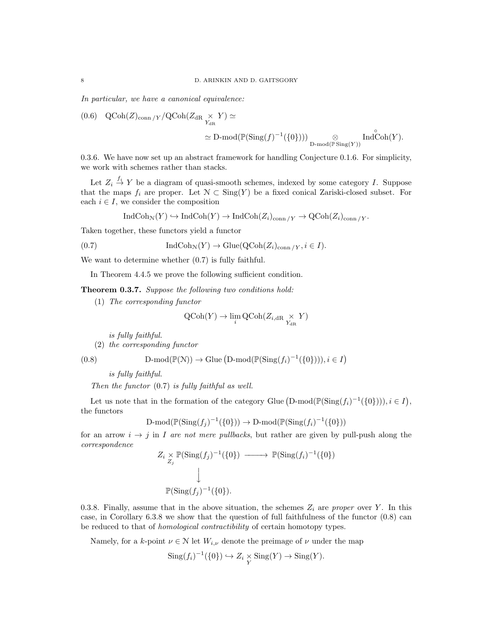In particular, we have a canonical equivalence:

(0.6) 
$$
QCoh(Z)_{conn/Y}/QCoh(Z_{dR} \times Y) \simeq
$$
  

$$
\simeq D-mod(\mathbb{P}(\mathrm{Sing}(f)^{-1}(\{0\})))_{D-mod(\mathbb{P}(\mathrm{Sing}(Y))}\mathrm{Ind}\mathrm{Coh}(Y).
$$

0.3.6. We have now set up an abstract framework for handling Conjecture 0.1.6. For simplicity, we work with schemes rather than stacks.

Let  $Z_i \stackrel{f_i}{\to} Y$  be a diagram of quasi-smooth schemes, indexed by some category I. Suppose that the maps  $f_i$  are proper. Let  $\mathcal{N} \subset \text{Sing}(Y)$  be a fixed conical Zariski-closed subset. For each  $i \in I$ , we consider the composition

$$
\operatorname{IndCoh}_{\mathcal{N}}(Y) \hookrightarrow \operatorname{IndCoh}(Y) \to \operatorname{IndCoh}(Z_i)_{\operatorname{conn}/Y} \to \operatorname{QCoh}(Z_i)_{\operatorname{conn}/Y}.
$$

Taken together, these functors yield a functor

(0.7) 
$$
\operatorname{IndCoh}_{\mathcal{N}}(Y) \to \operatorname{Glue}(\operatorname{QCoh}(Z_i)_{\operatorname{conn}/Y}, i \in I).
$$

We want to determine whether (0.7) is fully faithful.

In Theorem 4.4.5 we prove the following sufficient condition.

Theorem 0.3.7. Suppose the following two conditions hold:

(1) The corresponding functor

$$
\operatorname{QCoh}(Y) \to \lim_{i} \operatorname{QCoh}(Z_{i, \mathrm{dR}} \underset{Y_{\mathrm{dR}}}{\times} Y)
$$

is fully faithful.

(2) the corresponding functor

(0.8) 
$$
\text{D-mod}(\mathbb{P}(\mathbb{N})) \to \text{Glue}(\text{D-mod}(\mathbb{P}(\text{Sing}(f_i)^{-1}(\{0\}))), i \in I)
$$

is fully faithful.

Then the functor (0.7) is fully faithful as well.

Let us note that in the formation of the category Glue  $(D\text{-mod}(\mathbb{P}(\text{Sing}(f_i)^{-1}(\{0\}))), i \in I)$ , the functors

$$
\text{D-mod}(\mathbb{P}(\text{Sing}(f_j)^{-1}(\{0\})) \to \text{D-mod}(\mathbb{P}(\text{Sing}(f_i)^{-1}(\{0\}))
$$

for an arrow  $i \rightarrow j$  in I are not mere pullbacks, but rather are given by pull-push along the correspondence

$$
Z_i \underset{Z_j}{\times} \mathbb{P}(\text{Sing}(f_j)^{-1}(\{0\}) \longrightarrow \mathbb{P}(\text{Sing}(f_i)^{-1}(\{0\}))
$$
  

$$
\downarrow
$$
  

$$
\mathbb{P}(\text{Sing}(f_j)^{-1}(\{0\}).
$$

0.3.8. Finally, assume that in the above situation, the schemes  $Z_i$  are proper over Y. In this case, in Corollary 6.3.8 we show that the question of full faithfulness of the functor (0.8) can be reduced to that of homological contractibility of certain homotopy types.

Namely, for a k-point  $\nu \in \mathcal{N}$  let  $W_{i,\nu}$  denote the preimage of  $\nu$  under the map

$$
\operatorname{Sing}(f_i)^{-1}(\{0\}) \hookrightarrow Z_i \underset{Y}{\times} \operatorname{Sing}(Y) \to \operatorname{Sing}(Y).
$$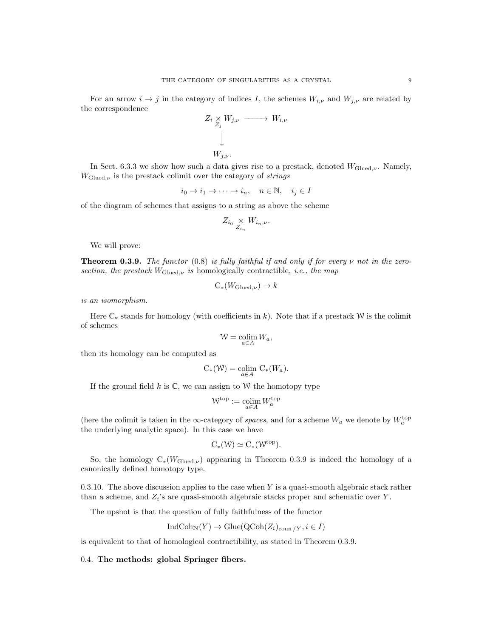For an arrow  $i \to j$  in the category of indices I, the schemes  $W_{i,\nu}$  and  $W_{j,\nu}$  are related by the correspondence

$$
Z_i \underset{Z_j}{\times} W_{j,\nu} \longrightarrow W_{i,\nu}
$$
  
\n
$$
\downarrow
$$
  
\n
$$
W_{j,\nu}.
$$

In Sect. 6.3.3 we show how such a data gives rise to a prestack, denoted  $W_{\text{Glued},\nu}$ . Namely,  $W_{\text{Glued},\nu}$  is the prestack colimit over the category of *strings* 

$$
i_0 \to i_1 \to \cdots \to i_n, \quad n \in \mathbb{N}, \quad i_j \in I
$$

of the diagram of schemes that assigns to a string as above the scheme

$$
Z_{i_0} \underset{Z_{i_n}}{\times} W_{i_n,\nu}.
$$

We will prove:

**Theorem 0.3.9.** The functor  $(0.8)$  is fully faithful if and only if for every  $\nu$  not in the zerosection, the prestack  $W_{\text{Glued},\nu}$  is homologically contractible, i.e., the map

$$
C_*(W_{\mathrm{Glued},\nu}) \to k
$$

is an isomorphism.

Here  $C_*$  stands for homology (with coefficients in k). Note that if a prestack W is the colimit of schemes

$$
\mathcal{W} = \operatornamewithlimits{colim}_{a \in A} W_a,
$$

then its homology can be computed as

$$
C_*(\mathcal{W}) = \underset{a \in A}{\text{colim }} C_*(W_a).
$$

If the ground field  $k$  is  $\mathbb{C}$ , we can assign to W the homotopy type

$$
\mathcal{W}^{\mathrm{top}}:=\operatornamewithlimits{colim}_{a\in A}W^{\mathrm{top}}_a
$$

(here the colimit is taken in the  $\infty$ -category of spaces, and for a scheme  $W_a$  we denote by  $W_a^{\text{top}}$ the underlying analytic space). In this case we have

$$
C_*(\mathcal{W})\simeq C_*(\mathcal{W}^{top}).
$$

So, the homology  $C_*(W_{\text{Glued},\nu})$  appearing in Theorem 0.3.9 is indeed the homology of a canonically defined homotopy type.

0.3.10. The above discussion applies to the case when  $Y$  is a quasi-smooth algebraic stack rather than a scheme, and  $Z_i$ 's are quasi-smooth algebraic stacks proper and schematic over Y.

The upshot is that the question of fully faithfulness of the functor

$$
\text{IndCoh}_{\mathcal{N}}(Y) \to \text{Glue}(\text{QCoh}(Z_i)_{\text{conn}/Y}, i \in I)
$$

is equivalent to that of homological contractibility, as stated in Theorem 0.3.9.

0.4. The methods: global Springer fibers.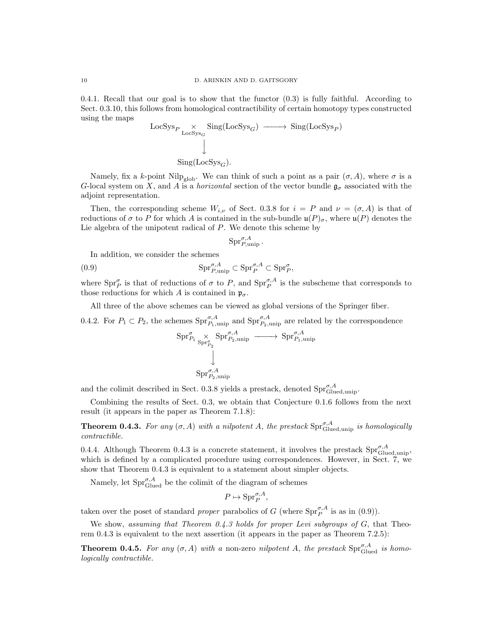0.4.1. Recall that our goal is to show that the functor  $(0.3)$  is fully faithful. According to Sect. 0.3.10, this follows from homological contractibility of certain homotopy types constructed using the maps

$$
\begin{array}{ccc}\n\text{LocSys}_{P} & \times & \text{Sing}(\text{LocSys}_{G}) & \longrightarrow & \text{Sing}(\text{LocSys}_{P}) \\
 & \downarrow & & \\
 & \text{Sing}(\text{LocSys}_{G}). & & \\
\end{array}
$$

Namely, fix a k-point Nilp<sub>glob</sub>. We can think of such a point as a pair  $(\sigma, A)$ , where  $\sigma$  is a G-local system on X, and A is a *horizontal* section of the vector bundle  $\mathfrak{g}_{\sigma}$  associated with the adjoint representation.

Then, the corresponding scheme  $W_{i,\nu}$  of Sect. 0.3.8 for  $i = P$  and  $\nu = (\sigma, A)$  is that of reductions of  $\sigma$  to P for which A is contained in the sub-bundle  $\mathfrak{u}(P)_{\sigma}$ , where  $\mathfrak{u}(P)$  denotes the Lie algebra of the unipotent radical of  $P$ . We denote this scheme by

$$
\text{Spr}_{P,\text{unip}}^{\sigma,A}.
$$

In addition, we consider the schemes

(0.9) 
$$
\mathrm{Spr}_{P,\text{unip}}^{\sigma,A} \subset \mathrm{Spr}_{P}^{\sigma,A} \subset \mathrm{Spr}_{P}^{\sigma},
$$

where  $\text{Spr}_{P}^{\sigma}$  is that of reductions of  $\sigma$  to P, and  $\text{Spr}_{P}^{\sigma,A}$  is the subscheme that corresponds to those reductions for which A is contained in  $\mathfrak{p}_{\sigma}$ .

All three of the above schemes can be viewed as global versions of the Springer fiber.

0.4.2. For  $P_1 \subset P_2$ , the schemes  $\text{Spr}_{P_1,\text{unip}}^{\sigma,A}$  and  $\text{Spr}_{P_2,\text{unip}}^{\sigma,A}$  are related by the correspondence

$$
\begin{array}{ccc} \mathrm{Spr}^{\sigma}_{P_1} \underset{\mathrm{Spr}^{\sigma}_{P_2}}{\times} \mathrm{Spr}^{\sigma,A}_{P_2,\mathrm{unip}} \longrightarrow \mathrm{Spr}^{\sigma,A}_{P_1,\mathrm{unip}} \\ \downarrow & & \\ \mathrm{Spr}^{\sigma,A}_{P_2,\mathrm{unip}} \end{array}
$$

and the colimit described in Sect. 0.3.8 yields a prestack, denoted  $\text{Spr}_{\text{Glued,unip}}^{\sigma,A}$ .

Combining the results of Sect. 0.3, we obtain that Conjecture 0.1.6 follows from the next result (it appears in the paper as Theorem 7.1.8):

**Theorem 0.4.3.** For any  $(\sigma, A)$  with a nilpotent A, the prestack  $\text{Spr}_{\text{Glued,unip}}^{\sigma, A}$  is homologically contractible.

0.4.4. Although Theorem 0.4.3 is a concrete statement, it involves the prestack  $\text{Spr}_{\text{Glued,unip}}^{\sigma,A}$ , which is defined by a complicated procedure using correspondences. However, in Sect. 7, we show that Theorem 0.4.3 is equivalent to a statement about simpler objects.

Namely, let  $\text{Spr}_{\text{Glued}}^{\sigma,A}$  be the colimit of the diagram of schemes

$$
P \mapsto \mathrm{Spr}_P^{\sigma, A},
$$

taken over the poset of standard *proper* parabolics of G (where  $\text{Spr}_{P}^{\sigma,A}$  is as in (0.9)).

We show, assuming that Theorem 0.4.3 holds for proper Levi subgroups of G, that Theorem 0.4.3 is equivalent to the next assertion (it appears in the paper as Theorem 7.2.5):

**Theorem 0.4.5.** For any  $(\sigma, A)$  with a non-zero nilpotent A, the prestack  $\text{Spr}_{\text{Glued}}^{\sigma, A}$  is homologically contractible.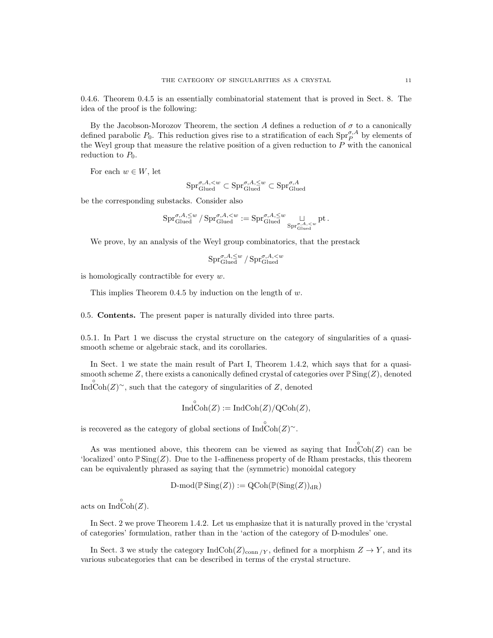0.4.6. Theorem 0.4.5 is an essentially combinatorial statement that is proved in Sect. 8. The idea of the proof is the following:

By the Jacobson-Morozov Theorem, the section A defines a reduction of  $\sigma$  to a canonically defined parabolic  $P_0$ . This reduction gives rise to a stratification of each  $\text{Spr}_{P}^{\sigma,A}$  by elements of the Weyl group that measure the relative position of a given reduction to  $P$  with the canonical reduction to  $P_0$ .

For each  $w \in W$ , let

$$
\mathrm{Spr}_{\mathrm{Glued}}^{\sigma,A,
$$

be the corresponding substacks. Consider also

$$
\mathrm{Spr}_{\mathrm{Glued}}^{\sigma,A,\leq w}/\mathrm{Spr}_{\mathrm{Glued}}^{\sigma,A,
$$

We prove, by an analysis of the Weyl group combinatorics, that the prestack

$$
\mathrm{Spr}_{\mathrm{Glued}}^{\sigma,A,\leq w}/\mathrm{Spr}_{\mathrm{Glued}}^{\sigma,A,
$$

is homologically contractible for every w.

This implies Theorem 0.4.5 by induction on the length of  $w$ .

0.5. Contents. The present paper is naturally divided into three parts.

0.5.1. In Part 1 we discuss the crystal structure on the category of singularities of a quasismooth scheme or algebraic stack, and its corollaries.

In Sect. 1 we state the main result of Part I, Theorem 1.4.2, which says that for a quasismooth scheme Z, there exists a canonically defined crystal of categories over  $\mathbb{P}$  Sing(Z), denoted Ind $\overset{\circ}{\text{Coh}}(Z)$ <sup>~</sup>, such that the category of singularities of Z, denoted

$$
\mathop{\mathrm{Ind}}\nolimits^{\circ}\!\mathop{\mathrm{Coh}}\nolimits(Z):=\mathop{\mathrm{Ind}}\nolimits\!\mathop{\mathrm{Coh}}\nolimits(Z)/\mathop{\mathrm{QCoh}}\nolimits(Z),
$$

is recovered as the category of global sections of  $\text{Ind}\, \text{Coh}(Z)^\sim$ .

As was mentioned above, this theorem can be viewed as saying that  $\overrightarrow{IndCoh}(Z)$  can be 'localized' onto  $\mathbb{P} \text{Sing}(Z)$ . Due to the 1-affineness property of de Rham prestacks, this theorem can be equivalently phrased as saying that the (symmetric) monoidal category

$$
\text{D-mod}(\mathbb{P}\operatorname{Sing}(Z)) := \operatorname{QCoh}(\mathbb{P}(\operatorname{Sing}(Z))_{\mathrm{dR}})
$$

acts on  $\overrightarrow{IndCoh}(Z)$ .

In Sect. 2 we prove Theorem 1.4.2. Let us emphasize that it is naturally proved in the 'crystal of categories' formulation, rather than in the 'action of the category of D-modules' one.

In Sect. 3 we study the category  $\text{IndCoh}(Z)_{\text{conn}/Y}$ , defined for a morphism  $Z \to Y$ , and its various subcategories that can be described in terms of the crystal structure.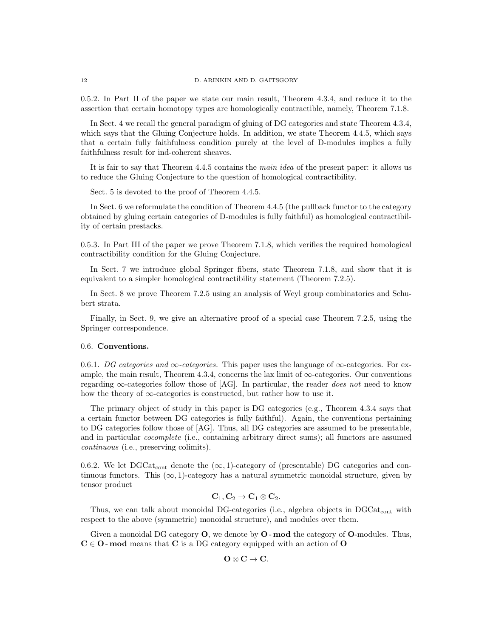0.5.2. In Part II of the paper we state our main result, Theorem 4.3.4, and reduce it to the assertion that certain homotopy types are homologically contractible, namely, Theorem 7.1.8.

In Sect. 4 we recall the general paradigm of gluing of DG categories and state Theorem 4.3.4, which says that the Gluing Conjecture holds. In addition, we state Theorem 4.4.5, which says that a certain fully faithfulness condition purely at the level of D-modules implies a fully faithfulness result for ind-coherent sheaves.

It is fair to say that Theorem 4.4.5 contains the main idea of the present paper: it allows us to reduce the Gluing Conjecture to the question of homological contractibility.

Sect. 5 is devoted to the proof of Theorem 4.4.5.

In Sect. 6 we reformulate the condition of Theorem 4.4.5 (the pullback functor to the category obtained by gluing certain categories of D-modules is fully faithful) as homological contractibility of certain prestacks.

0.5.3. In Part III of the paper we prove Theorem 7.1.8, which verifies the required homological contractibility condition for the Gluing Conjecture.

In Sect. 7 we introduce global Springer fibers, state Theorem 7.1.8, and show that it is equivalent to a simpler homological contractibility statement (Theorem 7.2.5).

In Sect. 8 we prove Theorem 7.2.5 using an analysis of Weyl group combinatorics and Schubert strata.

Finally, in Sect. 9, we give an alternative proof of a special case Theorem 7.2.5, using the Springer correspondence.

#### 0.6. Conventions.

0.6.1. DG categories and ∞-categories. This paper uses the language of  $\infty$ -categories. For example, the main result, Theorem 4.3.4, concerns the lax limit of  $\infty$ -categories. Our conventions regarding  $\infty$ -categories follow those of [AG]. In particular, the reader *does not* need to know how the theory of  $\infty$ -categories is constructed, but rather how to use it.

The primary object of study in this paper is DG categories (e.g., Theorem 4.3.4 says that a certain functor between DG categories is fully faithful). Again, the conventions pertaining to DG categories follow those of [AG]. Thus, all DG categories are assumed to be presentable, and in particular cocomplete (i.e., containing arbitrary direct sums); all functors are assumed continuous (i.e., preserving colimits).

0.6.2. We let DGCat<sub>cont</sub> denote the  $(\infty, 1)$ -category of (presentable) DG categories and continuous functors. This  $(\infty, 1)$ -category has a natural symmetric monoidal structure, given by tensor product

$$
\mathbf{C}_1,\mathbf{C}_2\to \mathbf{C}_1\otimes \mathbf{C}_2.
$$

Thus, we can talk about monoidal DG-categories (i.e., algebra objects in  $DGCat_{cont}$  with respect to the above (symmetric) monoidal structure), and modules over them.

Given a monoidal DG category  $O$ , we denote by  $O$  - mod the category of  $O$ -modules. Thus,  $C \in \mathbb{O}$  - mod means that C is a DG category equipped with an action of O

$$
O\otimes C\to C.
$$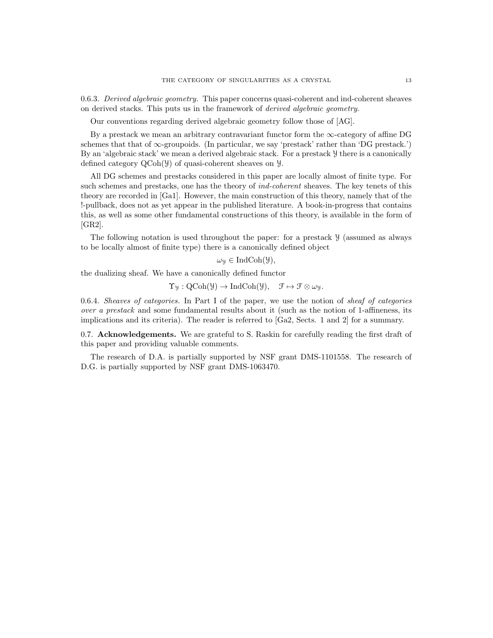0.6.3. Derived algebraic geometry. This paper concerns quasi-coherent and ind-coherent sheaves on derived stacks. This puts us in the framework of derived algebraic geometry.

Our conventions regarding derived algebraic geometry follow those of [AG].

By a prestack we mean an arbitrary contravariant functor form the  $\infty$ -category of affine DG schemes that that of  $\infty$ -groupoids. (In particular, we say 'prestack' rather than 'DG prestack.') By an 'algebraic stack' we mean a derived algebraic stack. For a prestack Y there is a canonically defined category QCoh(Y) of quasi-coherent sheaves on Y.

All DG schemes and prestacks considered in this paper are locally almost of finite type. For such schemes and prestacks, one has the theory of *ind-coherent* sheaves. The key tenets of this theory are recorded in [Ga1]. However, the main construction of this theory, namely that of the !-pullback, does not as yet appear in the published literature. A book-in-progress that contains this, as well as some other fundamental constructions of this theory, is available in the form of [GR2].

The following notation is used throughout the paper: for a prestack Y (assumed as always to be locally almost of finite type) there is a canonically defined object

$$
\omega_{\mathcal{Y}} \in \mathrm{IndCoh}(\mathcal{Y}),
$$

the dualizing sheaf. We have a canonically defined functor

 $\Upsilon_y : \mathrm{QCoh}(\mathcal{Y}) \to \mathrm{IndCoh}(\mathcal{Y}), \quad \mathcal{F} \mapsto \mathcal{F} \otimes \omega_y.$ 

0.6.4. Sheaves of categories. In Part I of the paper, we use the notion of sheaf of categories over a prestack and some fundamental results about it (such as the notion of 1-affineness, its implications and its criteria). The reader is referred to [Ga2, Sects. 1 and 2] for a summary.

0.7. Acknowledgements. We are grateful to S. Raskin for carefully reading the first draft of this paper and providing valuable comments.

The research of D.A. is partially supported by NSF grant DMS-1101558. The research of D.G. is partially supported by NSF grant DMS-1063470.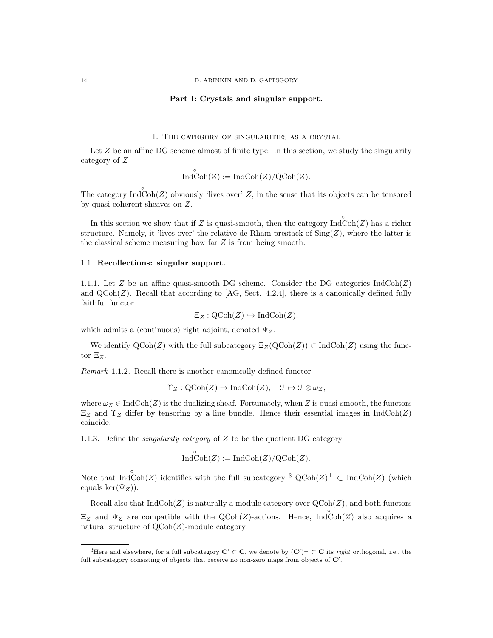14 D. ARINKIN AND D. GAITSGORY

#### Part I: Crystals and singular support.

1. The category of singularities as a crystal

Let  $Z$  be an affine DG scheme almost of finite type. In this section, we study the singularity category of Z

$$
\widehat{\text{IndCoh}(Z)} := \text{IndCoh}(Z)/\text{QCoh}(Z).
$$

The category  $\text{Ind}\right\text{Coh}(Z)$  obviously 'lives over' Z, in the sense that its objects can be tensored by quasi-coherent sheaves on Z.

In this section we show that if Z is quasi-smooth, then the category  $\text{Ind}\widehat{\text{Coh}}(Z)$  has a richer structure. Namely, it 'lives over' the relative de Rham prestack of  $\text{Sing}(Z)$ , where the latter is the classical scheme measuring how far Z is from being smooth.

#### 1.1. Recollections: singular support.

1.1.1. Let  $Z$  be an affine quasi-smooth DG scheme. Consider the DG categories  $\text{IndCoh}(Z)$ and  $QCoh(Z)$ . Recall that according to [AG, Sect. 4.2.4], there is a canonically defined fully faithful functor

$$
\Xi_Z : \mathrm{QCoh}(Z) \hookrightarrow \mathrm{IndCoh}(Z),
$$

which admits a (continuous) right adjoint, denoted  $\Psi$ <sub>Z</sub>.

We identify  $\text{QCoh}(Z)$  with the full subcategory  $\Xi_Z(\text{QCoh}(Z)) \subset \text{IndCoh}(Z)$  using the functor  $\Xi$ z.

Remark 1.1.2. Recall there is another canonically defined functor

◦

$$
\Upsilon_Z : \mathrm{QCoh}(Z) \to \mathrm{IndCoh}(Z), \quad \mathcal{F} \mapsto \mathcal{F} \otimes \omega_Z,
$$

where  $\omega_Z \in \text{IndCoh}(Z)$  is the dualizing sheaf. Fortunately, when Z is quasi-smooth, the functors  $\Xi_Z$  and  $\Upsilon_Z$  differ by tensoring by a line bundle. Hence their essential images in IndCoh(Z) coincide.

1.1.3. Define the *singularity category* of  $Z$  to be the quotient DG category

$$
IndCoh(Z) := IndCoh(Z)/QCoh(Z).
$$

Note that  $\text{Ind}\,^{\circ}\text{Coh}(Z)$  identifies with the full subcategory <sup>3</sup> QCoh(Z)<sup> $\perp$ </sup>  $\subset$  IndCoh(Z) (which equals ker $(\Psi_Z)$ ).

Recall also that  $IndCoh(Z)$  is naturally a module category over  $QCoh(Z)$ , and both functors  $\Xi_Z$  and  $\Psi_Z$  are compatible with the QCoh(Z)-actions. Hence, IndCoh(Z) also acquires a natural structure of  $QCoh(Z)$ -module category.

<sup>&</sup>lt;sup>3</sup>Here and elsewhere, for a full subcategory  $C' \subset C$ , we denote by  $(C')^{\perp} \subset C$  its *right* orthogonal, i.e., the full subcategory consisting of objects that receive no non-zero maps from objects of  $\mathbf{C}'$ .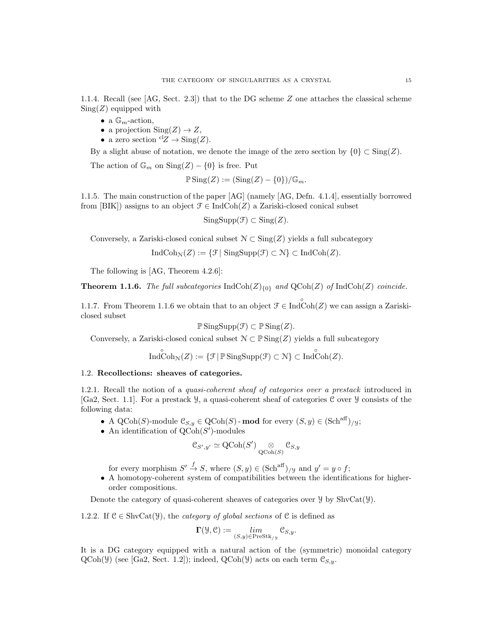1.1.4. Recall (see [AG, Sect. 2.3]) that to the DG scheme Z one attaches the classical scheme  $Sing(Z)$  equipped with

- a  $\mathbb{G}_m$ -action,
- a projection  $\text{Sing}(Z) \to Z$ ,
- a zero section  ${}^{cl}Z \rightarrow Sing(Z)$ .

By a slight abuse of notation, we denote the image of the zero section by  $\{0\} \subset \text{Sing}(Z)$ .

The action of  $\mathbb{G}_m$  on  $\text{Sing}(Z) - \{0\}$  is free. Put

$$
\mathbb{P}\operatorname{Sing}(Z) := (\operatorname{Sing}(Z) - \{0\})/\mathbb{G}_m.
$$

1.1.5. The main construction of the paper [AG] (namely [AG, Defn. 4.1.4], essentially borrowed from [BIK]) assigns to an object  $\mathcal{F} \in \text{IndCoh}(Z)$  a Zariski-closed conical subset

 $SingSupp(\mathcal{F}) \subset Sing(Z).$ 

Conversely, a Zariski-closed conical subset  $\mathcal{N} \subset \text{Sing}(Z)$  yields a full subcategory

 $\text{IndCoh}_{\mathcal{N}}(Z) := \{ \mathcal{F} | \text{ SingSupp}(\mathcal{F}) \subset \mathcal{N} \} \subset \text{IndCoh}(Z).$ 

The following is [AG, Theorem 4.2.6]:

**Theorem 1.1.6.** The full subcategories  $IndCoh(Z)_{\{0\}}$  and  $QCoh(Z)$  of  $IndCoh(Z)$  coincide.

1.1.7. From Theorem 1.1.6 we obtain that to an object  $\mathcal{F} \in \text{Ind}\bigodot^{\circ}(\mathbb{Z})$  we can assign a Zariskiclosed subset

$$
\mathbb{P}\operatorname{SingSupp}(\mathcal{F}) \subset \mathbb{P}\operatorname{Sing}(Z).
$$

Conversely, a Zariski-closed conical subset  $\mathcal{N} \subset \mathbb{P}$  Sing(Z) yields a full subcategory

$$
\overset{\circ}{\mathrm{Ind}}\overset{\circ}{\mathrm{Coh}}_{\mathcal{N}}(Z):=\{\mathcal{F}\,|\,\mathbb{P}\,\mathrm{Sing}\mathrm{Supp}(\mathcal{F})\subset\mathcal{N}\}\subset\widetilde{\mathrm{Ind}}\overset{\circ}{\mathrm{Coh}}(Z).
$$

# 1.2. Recollections: sheaves of categories.

1.2.1. Recall the notion of a *quasi-coherent sheaf of categories over a prestack* introduced in [Ga2, Sect. 1.1]. For a prestack Y, a quasi-coherent sheaf of categories C over Y consists of the following data:

- A QCoh(S)-module  $\mathfrak{C}_{S,y} \in \text{QCoh}(S)$ -mod for every  $(S, y) \in (\text{Sch}^{\text{aff}})_{/y};$
- An identification of  $\mathrm{QCoh}(S')$ -modules

$$
\mathcal{C}_{S',y'} \simeq \operatorname{QCoh}(S') \underset{\operatorname{QCoh}(S)}{\otimes} \mathcal{C}_{S,y}
$$

for every morphism  $S' \stackrel{f}{\to} S$ , where  $(S, y) \in (\text{Sch}^{\text{aff}})_{/y}$  and  $y' = y \circ f$ ;

• A homotopy-coherent system of compatibilities between the identifications for higherorder compositions.

Denote the category of quasi-coherent sheaves of categories over  $\mathcal{Y}$  by ShvCat $(\mathcal{Y})$ .

1.2.2. If  $C \in \text{ShvCat}(\mathcal{Y})$ , the *category of global sections* of C is defined as

$$
\Gamma(\mathcal{Y},\mathcal{C}):=\lim_{(S,y)\in\operatorname{PreStk}_{/y}}\mathcal{C}_{S,y}.
$$

It is a DG category equipped with a natural action of the (symmetric) monoidal category  $QCoh(\mathcal{Y})$  (see [Ga2, Sect. 1.2]); indeed,  $QCoh(\mathcal{Y})$  acts on each term  $\mathcal{C}_{S,\mathcal{Y}}$ .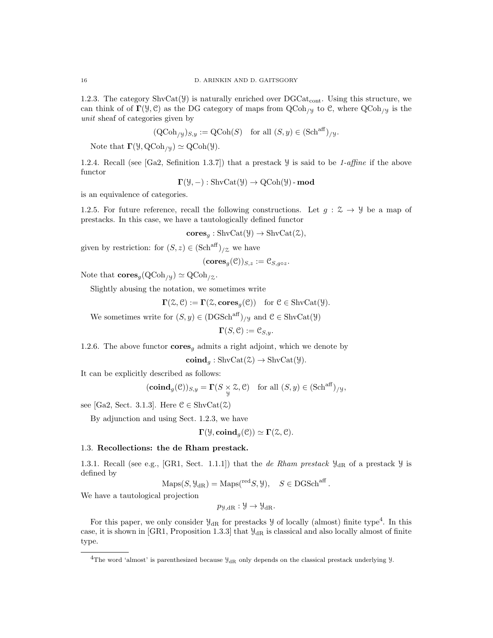1.2.3. The category  $\text{ShvCat}(\mathcal{Y})$  is naturally enriched over  $\text{DGCat}_{\text{cont}}$ . Using this structure, we can think of of  $\Gamma(\mathcal{Y}, \mathcal{C})$  as the DG category of maps from  $\operatorname{QCoh}_{/\mathcal{Y}}$  to  $\mathcal{C}$ , where  $\operatorname{QCoh}_{/\mathcal{Y}}$  is the unit sheaf of categories given by

$$
(\text{QCoh}_{y})_{S,y} := \text{QCoh}(S) \text{ for all } (S, y) \in (\text{Sch}^{\text{aff}})_{y}.
$$

Note that  $\Gamma(\mathcal{Y}, \text{QCoh}_{/\mathcal{Y}}) \simeq \text{QCoh}(\mathcal{Y}).$ 

1.2.4. Recall (see [Ga2, Sefinition 1.3.7]) that a prestack  $\mathcal Y$  is said to be 1-affine if the above functor

$$
\Gamma(\mathcal{Y}, -): \text{ShvCat}(\mathcal{Y}) \to \text{QCoh}(\mathcal{Y})\text{-}\text{mod}
$$

is an equivalence of categories.

1.2.5. For future reference, recall the following constructions. Let  $g: \mathcal{Z} \to \mathcal{Y}$  be a map of prestacks. In this case, we have a tautologically defined functor

$$
cores_g : \text{ShvCat}(\mathcal{Y}) \to \text{ShvCat}(\mathcal{Z}),
$$

given by restriction: for  $(S, z) \in (\text{Sch}^{\text{aff}})_{/\mathcal{Z}}$  we have

$$
(\mathbf{cores}_g(\mathcal{C}))_{S,z}:=\mathcal{C}_{S,g\circ z}.
$$

Note that  $\mathbf{cores}_g(\mathrm{QCoh}_{/y}) \simeq \mathrm{QCoh}_{/z}.$ 

Slightly abusing the notation, we sometimes write

$$
\mathbf{\Gamma}(\mathcal{Z}, \mathcal{C}) := \mathbf{\Gamma}(\mathcal{Z}, \mathbf{cores}_g(\mathcal{C})) \text{ for } \mathcal{C} \in \text{ShvCat}(\mathcal{Y}).
$$

We sometimes write for  $(S, y) \in (DGSch^{aff})_{/y}$  and  $\mathcal{C} \in \text{ShvCat}(\mathcal{Y})$ 

$$
\mathbf{\Gamma}(S,\mathcal{C}):=\mathcal{C}_{S,y}.
$$

1.2.6. The above functor  $\mathbf{cores}_g$  admits a right adjoint, which we denote by

 $\mathbf{coind}_{g}: \mathrm{ShvCat}(\mathcal{Z}) \to \mathrm{ShvCat}(\mathcal{Y}).$ 

It can be explicitly described as follows:

$$
(\mathbf{coind}_g(\mathcal{C}))_{S,y} = \mathbf{\Gamma}(S \underset{y}{\times} \mathcal{Z}, \mathcal{C}) \quad \text{for all } (S, y) \in (\mathbf{Sch}^{\mathrm{aff}})_{/\mathcal{Y}},
$$

see [Ga2, Sect. 3.1.3]. Here  $\mathcal{C} \in \text{ShvCat}(\mathcal{Z})$ 

By adjunction and using Sect. 1.2.3, we have

$$
\Gamma(\mathcal{Y}, \mathbf{coind}_g(\mathcal{C})) \simeq \Gamma(\mathcal{Z}, \mathcal{C}).
$$

# 1.3. Recollections: the de Rham prestack.

1.3.1. Recall (see e.g., [GR1, Sect. 1.1.1]) that the de Rham prestack  $\mathcal{Y}_{dR}$  of a prestack  $\mathcal{Y}$  is defined by

$$
Maps(S, \mathcal{Y}_{dR}) = Maps(^{\text{red}}S, \mathcal{Y}), \quad S \in DGSch^{\text{aff}}.
$$

We have a tautological projection

$$
p_{\mathcal{Y},\mathrm{dR}} : \mathcal{Y} \to \mathcal{Y}_{\mathrm{dR}}.
$$

For this paper, we only consider  $\mathcal{Y}_{dR}$  for prestacks  $\mathcal{Y}$  of locally (almost) finite type<sup>4</sup>. In this case, it is shown in [GR1, Proposition 1.3.3] that  $\mathcal{Y}_{dR}$  is classical and also locally almost of finite type.

<sup>&</sup>lt;sup>4</sup>The word 'almost' is parenthesized because  $\mathcal{Y}_{\text{dR}}$  only depends on the classical prestack underlying  $\mathcal{Y}$ .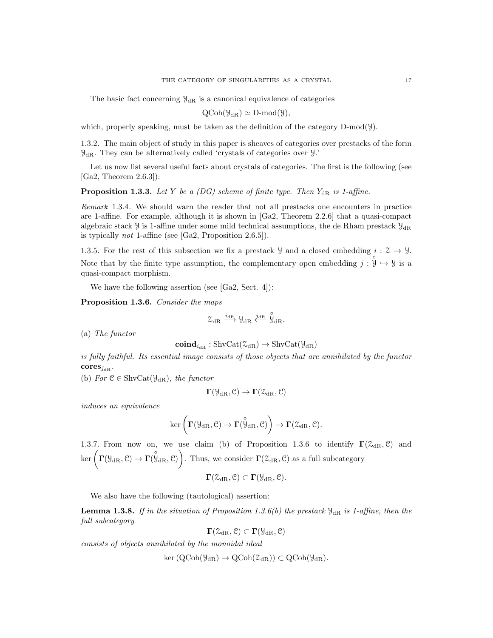The basic fact concerning  $\mathcal{Y}_{dR}$  is a canonical equivalence of categories

$$
\mathrm{QCoh}(\mathcal{Y}_{\mathrm{dR}}) \simeq \mathrm{D}\text{-mod}(\mathcal{Y}),
$$

which, properly speaking, must be taken as the definition of the category  $D\text{-mod}(\mathcal{Y})$ .

1.3.2. The main object of study in this paper is sheaves of categories over prestacks of the form  $\mathcal{Y}_{\text{dR}}$ . They can be alternatively called 'crystals of categories over  $\mathcal{Y}$ .'

Let us now list several useful facts about crystals of categories. The first is the following (see [Ga2, Theorem 2.6.3]):

**Proposition 1.3.3.** Let Y be a (DG) scheme of finite type. Then  $Y_{\text{dR}}$  is 1-affine.

Remark 1.3.4. We should warn the reader that not all prestacks one encounters in practice are 1-affine. For example, although it is shown in [Ga2, Theorem 2.2.6] that a quasi-compact algebraic stack  $\mathcal{Y}$  is 1-affine under some mild technical assumptions, the de Rham prestack  $\mathcal{Y}_{dR}$ is typically not 1-affine (see [Ga2, Proposition 2.6.5]).

1.3.5. For the rest of this subsection we fix a prestack  $\mathcal{Y}$  and a closed embedding  $i: \mathcal{Z} \to \mathcal{Y}$ . Note that by the finite type assumption, the complementary open embedding  $j : \mathcal{Y} \hookrightarrow \mathcal{Y}$  is a quasi-compact morphism.

We have the following assertion (see [Ga2, Sect. 4]):

Proposition 1.3.6. Consider the maps

$$
\mathcal{Z}_{\mathrm{dR}} \xrightarrow{i_{\mathrm{dR}}} \mathcal{Y}_{\mathrm{dR}} \xleftarrow{j_{\mathrm{dR}}} \overset{\circ}{\mathcal{Y}}_{\mathrm{dR}}.
$$

(a) The functor

$$
\mathbf{coind}_{i_{\mathrm{dR}}}: \mathrm{ShvCat}(\mathcal{Z}_{\mathrm{dR}}) \to \mathrm{ShvCat}(\mathcal{Y}_{\mathrm{dR}})
$$

is fully faithful. Its essential image consists of those objects that are annihilated by the functor  $cores_{j_{\text{dR}}}$ .

(b) For  $C \in ShvCat(\mathcal{Y}_{dR})$ , the functor

$$
\Gamma(\mathcal{Y}_{\mathrm{dR}},\mathcal{C})\to\Gamma(\mathcal{Z}_{\mathrm{dR}},\mathcal{C})
$$

induces an equivalence

$$
\ker\left(\boldsymbol{\Gamma}(\mathcal{Y}_{\mathrm{dR}}, \mathcal{C}) \to \boldsymbol{\Gamma}(\overset{\circ}{\mathcal{Y}}_{\mathrm{dR}}, \mathcal{C})\right) \to \boldsymbol{\Gamma}(\mathcal{Z}_{\mathrm{dR}}, \mathcal{C}).
$$

1.3.7. From now on, we use claim (b) of Proposition 1.3.6 to identify  $\Gamma(\mathcal{Z}_{dR}, \mathcal{C})$  and  $\ker \left( \Gamma(\mathcal{Y}_{\mathrm{dR}}, \mathcal{C}) \to \Gamma(\mathcal{Y}_{\mathrm{dR}}, \mathcal{C}) \right)$ . Thus, we consider  $\Gamma(\mathcal{Z}_{\mathrm{dR}}, \mathcal{C})$  as a full subcategory

$$
\Gamma(\mathcal{Z}_{\mathrm{dR}},\mathcal{C})\subset \Gamma(\mathcal{Y}_{\mathrm{dR}},\mathcal{C}).
$$

We also have the following (tautological) assertion:

**Lemma 1.3.8.** If in the situation of Proposition 1.3.6(b) the prestack  $\mathcal{Y}_{dR}$  is 1-affine, then the full subcategory

$$
\Gamma(\mathcal{Z}_{\mathrm{dR}},\mathcal{C})\subset\Gamma(\mathcal{Y}_{\mathrm{dR}},\mathcal{C})
$$

consists of objects annihilated by the monoidal ideal

 $\ker (QCoh(\mathcal{Y}_{dR}) \to QCoh(\mathcal{Z}_{dR})) \subset QCoh(\mathcal{Y}_{dR}).$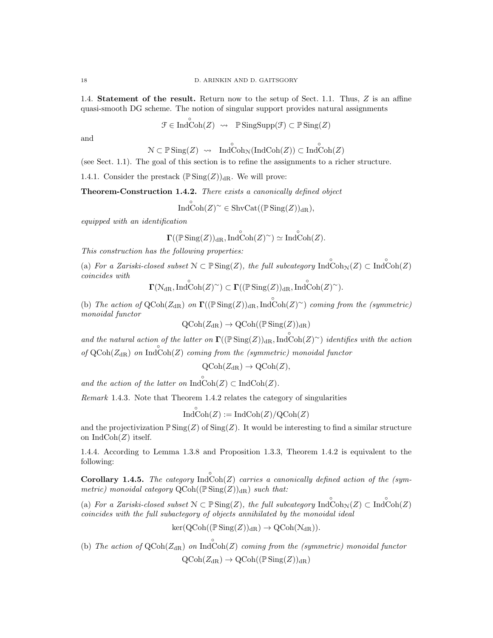1.4. Statement of the result. Return now to the setup of Sect. 1.1. Thus, Z is an affine quasi-smooth DG scheme. The notion of singular support provides natural assignments

$$
\mathcal{F} \in \text{Ind}\overset{\circ}{\text{Coh}}(Z) \rightsquigarrow \mathbb{P}\text{SingSupp}(\mathcal{F}) \subset \mathbb{P}\text{Sing}(Z)
$$

and

$$
\mathcal{N}\subset \mathbb{P} \operatorname{Sing}(Z) \ \rightsquigarrow \ \ \operatorname{Ind}\nolimits\operatorname{Coh}\nolimits_{\mathcal{N}}(\operatorname{Ind}\nolimits\operatorname{Coh}\nolimits(Z))\subset \operatorname{Ind}\nolimits\operatorname{Coh}\nolimits(Z)
$$

(see Sect. 1.1). The goal of this section is to refine the assignments to a richer structure.

1.4.1. Consider the prestack  $(\mathbb{P}\operatorname{Sing}(Z))_{\mathrm{dR}}$ . We will prove:

Theorem-Construction 1.4.2. There exists a canonically defined object

$$
\overset{\circ}{\mathrm{Ind}}\overset{\circ}{\mathrm{Coh}}(Z)^{\sim} \in \mathrm{ShvCat}((\mathbb{P}\operatorname{Sing}(Z))_{\mathrm{dR}}),
$$

equipped with an identification

$$
\boldsymbol{\Gamma}((\mathbb{P} \operatorname{Sing}(Z))_{\mathrm{dR}}, \operatorname{Ind}\overset{\circ}{\operatorname{Coh}}(Z)^\sim) \simeq \operatorname{Ind}\overset{\circ}{\operatorname{Coh}}(Z).
$$

This construction has the following properties:

(a) For a Zariski-closed subset  $\mathcal{N} \subset \mathbb{P} \text{Sing}(Z)$ , the full subcategory  $\text{Ind}\bigodot_{\mathcal{N}}(Z) \subset \text{Ind}\bigodot_{\mathcal{N}}(Z)$ coincides with ◦ ◦

$$
\Gamma(\mathcal{N}_{\mathrm{dR}}, \mathrm{IndCoh}(Z)^{\sim}) \subset \Gamma((\mathbb{P}\mathrm{Sing}(Z))_{\mathrm{dR}}, \mathrm{IndCoh}(Z)^{\sim}).
$$

(b) The action of  $\text{QCoh}(Z_{\text{dR}})$  on  $\Gamma((\mathbb{P}\text{Sing}(Z))_{\text{dR}}$ , Ind $\text{Coh}(Z)^\sim$ ) coming from the (symmetric) monoidal functor

$$
\operatorname{QCoh}(Z_{\operatorname{dR}}) \to \operatorname{QCoh}((\operatorname{\mathbb{P}Sing}(Z))_{\operatorname{dR}})
$$

and the natural action of the latter on  $\Gamma((\mathbb{P} \text{Sing}(Z))_{\text{dR}}$ ,  $\text{Ind}\overset{\circ}{\text{Coh}}(Z)^\sim)$  identifies with the action of  $Q\text{Coh}(Z_{\text{dR}})$  on  $\text{Ind}\text{Coh}(Z)$  coming from the (symmetric) monoidal functor

$$
\text{QCoh}(Z_{\text{dR}}) \to \text{QCoh}(Z),
$$

and the action of the latter on  $\overrightarrow{IndCoh}(Z) \subset \overrightarrow{IndCoh}(Z)$ .

Remark 1.4.3. Note that Theorem 1.4.2 relates the category of singularities

◦

$$
IndCoh(Z) := IndCoh(Z)/QCoh(Z)
$$

and the projectivization  $\mathbb{P} \text{Sing}(Z)$  of  $\text{Sing}(Z)$ . It would be interesting to find a similar structure on  $\text{IndCoh}(Z)$  itself.

1.4.4. According to Lemma 1.3.8 and Proposition 1.3.3, Theorem 1.4.2 is equivalent to the following:

**Corollary 1.4.5.** The category  $\text{Ind}\text{Coh}(Z)$  carries a canonically defined action of the (symmetric) monoidal category  $QCoh((\mathbb{P} Sing(Z))_{dR})$  such that:

(a) For a Zariski-closed subset  $\mathcal{N} \subset \mathbb{P} \text{Sing}(Z)$ , the full subcategory  $\text{Ind}\bigodot_{\mathcal{N}}(Z) \subset \text{Ind}\bigodot_{\mathcal{N}}(Z)$ coincides with the full subactegory of objects annihilated by the monoidal ideal

$$
\ker(\operatorname{QCoh}((\mathbb{P}\operatorname{Sing}(Z))_{\mathrm{dR}})\to\operatorname{QCoh}(\mathcal{N}_{\mathrm{dR}})).
$$

(b) The action of  $\text{QCoh}(Z_{\text{dR}})$  on  $\text{Ind}\text{Coh}(Z)$  coming from the (symmetric) monoidal functor  $QCoh(Z_{dR}) \rightarrow QCoh((\mathbb{P} \text{Sing}(Z))_{dR})$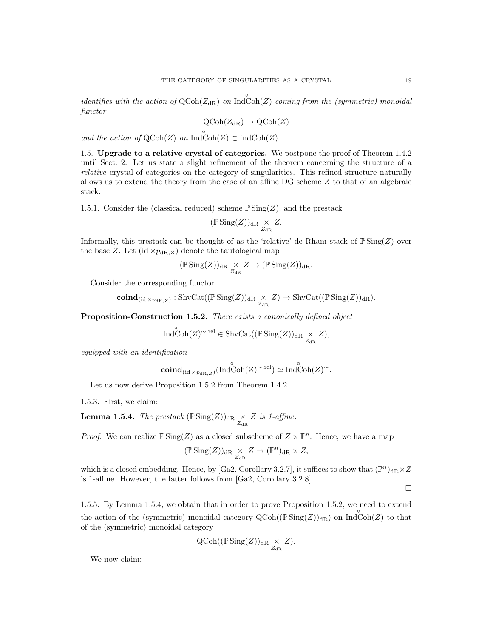identifies with the action of  $Q\text{Coh}(Z_{\text{dR}})$  on  $\text{Ind}\text{Coh}(Z)$  coming from the (symmetric) monoidal functor

$$
\mathrm{QCoh}(Z_{\mathrm{dR}}) \to \mathrm{QCoh}(Z)
$$

and the action of  $\text{QCoh}(Z)$  on  $\text{Ind}\text{Coh}(Z) \subset \text{Ind}\text{Coh}(Z)$ .

1.5. Upgrade to a relative crystal of categories. We postpone the proof of Theorem 1.4.2 until Sect. 2. Let us state a slight refinement of the theorem concerning the structure of a relative crystal of categories on the category of singularities. This refined structure naturally allows us to extend the theory from the case of an affine DG scheme Z to that of an algebraic stack.

1.5.1. Consider the (classical reduced) scheme  $\mathbb{P}$  Sing(Z), and the prestack

$$
(\mathbb{P}\operatorname{Sing}(Z))_{\mathrm{dR}} \underset{Z_{\mathrm{dR}}}{\times} Z.
$$

Informally, this prestack can be thought of as the 'relative' de Rham stack of  $\mathbb{P}$ Sing(Z) over the base Z. Let  $(id \times p_{dR,Z})$  denote the tautological map

$$
(\mathbb{P}\operatorname{Sing}(Z))_{\mathrm{dR}} \underset{Z_{\mathrm{dR}}}{\times} Z \to (\mathbb{P}\operatorname{Sing}(Z))_{\mathrm{dR}}.
$$

Consider the corresponding functor

$$
\mathop{\mathrm{\bf coind}}\nolimits_{(\mathop{\mathrm{id}}\nolimits \times p_{\mathop{\mathrm{dR}},Z})}:\mathop{\mathrm{ShvCat}}\nolimits((\mathbb{P} \mathop{\mathrm{Sing}}(Z))_{\mathop{\mathrm{dR}}\nolimits} \underset{Z_{\mathop{\mathrm{dR}}\nolimits}}{\times} Z) \to \mathop{\mathrm{ShvCat}}\nolimits((\mathbb{P} \mathop{\mathrm{Sing}}(Z))_{\mathop{\mathrm{dR}}\nolimits}).
$$

Proposition-Construction 1.5.2. There exists a canonically defined object

$$
\operatorname{Ind}\nolimits\operatorname{Coh}\nolimits(Z)^{\sim,\mathrm{rel}} \in \operatorname{ShvCat}((\operatorname{\mathbb{P}Sing}\nolimits(Z))_{\operatorname{dR}\nolimits} \underset{Z_{\operatorname{dR}\nolimits}}{\times} Z),
$$

equipped with an identification

$$
\mathbf{coind}_{(\mathrm{id} \times p_{\mathrm{dR},Z})}(\mathrm{Ind}\overset{\circ}{\mathrm{Coh}}(Z)^{\sim,\mathrm{rel}}) \simeq \mathrm{Ind}\overset{\circ}{\mathrm{Coh}}(Z)^{\sim}.
$$

Let us now derive Proposition 1.5.2 from Theorem 1.4.2.

1.5.3. First, we claim:

**Lemma 1.5.4.** The prestack  $(\mathbb{P} \text{Sing}(Z))_{\text{dR}} \underset{Z_{\text{dR}}}{\times} Z$  is 1-affine.

*Proof.* We can realize  $\mathbb{P} \text{Sing}(Z)$  as a closed subscheme of  $Z \times \mathbb{P}^n$ . Hence, we have a map

$$
(\mathbb{P}\operatorname{Sing}(Z))_{\mathrm{dR}} \underset{Z_{\mathrm{dR}}}{\times} Z \to (\mathbb{P}^n)_{\mathrm{dR}} \times Z,
$$

which is a closed embedding. Hence, by [Ga2, Corollary 3.2.7], it suffices to show that  $(\mathbb{P}^n)_{\text{dR}} \times Z$ is 1-affine. However, the latter follows from [Ga2, Corollary 3.2.8].

 $\Box$ 

1.5.5. By Lemma 1.5.4, we obtain that in order to prove Proposition 1.5.2, we need to extend the action of the (symmetric) monoidal category  $Q\text{Coh}((\mathbb{P}\text{Sing}(Z))_{\text{dR}})$  on  $\text{Ind}\text{Coh}(Z)$  to that of the (symmetric) monoidal category

$$
\operatorname{QCoh}((\mathbb{P}\operatorname{Sing}(Z))_{\mathrm{dR}} \underset{Z_{\mathrm{dR}}}{\times} Z).
$$

We now claim: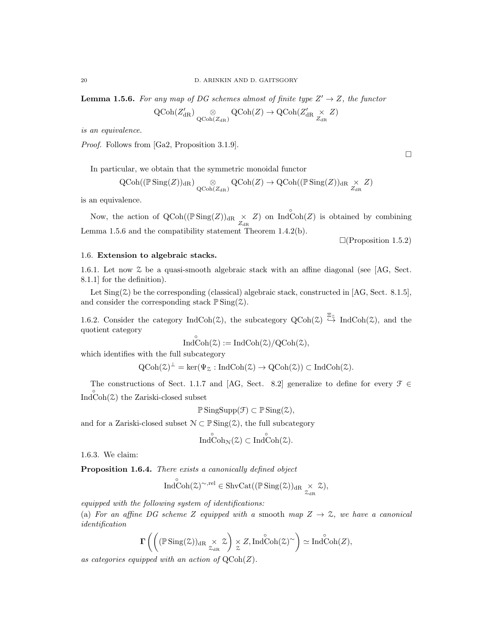**Lemma 1.5.6.** For any map of DG schemes almost of finite type  $Z' \rightarrow Z$ , the functor

$$
\operatorname{QCoh}(Z'_{\operatorname{dR}}) \underset{\operatorname{QCoh}(Z_{\operatorname{dR}})}{\otimes} \operatorname{QCoh}(Z) \to \operatorname{QCoh}(Z'_{\operatorname{dR}} \underset{Z_{\operatorname{dR}}}{\times} Z)
$$

is an equivalence.

Proof. Follows from [Ga2, Proposition 3.1.9].

In particular, we obtain that the symmetric monoidal functor

$$
\operatorname{QCoh}((\mathbb{P} \operatorname{Sing}(Z))_{\mathrm{dR}}) \underset{\operatorname{QCoh}(Z_{\mathrm{dR}})}{\otimes} \operatorname{QCoh}(Z) \to \operatorname{QCoh}((\mathbb{P} \operatorname{Sing}(Z))_{\mathrm{dR}} \underset{Z_{\mathrm{dR}}}{\times} Z)
$$

is an equivalence.

Now, the action of  $Q\text{Coh}((\mathbb{P}\text{Sing}(Z))_{dR} \times Z)$  on  $\text{Ind}\text{Coh}(Z)$  is obtained by combining Lemma 1.5.6 and the compatibility statement Theorem 1.4.2(b).

 $\Box$ (Proposition 1.5.2)

#### 1.6. Extension to algebraic stacks.

1.6.1. Let now Z be a quasi-smooth algebraic stack with an affine diagonal (see [AG, Sect. 8.1.1] for the definition).

Let  $\text{Sing}(\mathcal{Z})$  be the corresponding (classical) algebraic stack, constructed in [AG, Sect. 8.1.5], and consider the corresponding stack  $\mathbb{P}$  Sing( $\mathcal{Z}$ ).

1.6.2. Consider the category IndCoh( $\ddot{\mathcal{Z}}$ ), the subcategory QCoh( $\ddot{\mathcal{Z}}$ )  $\stackrel{\Xi_{\mathcal{Z}}}{\leftrightarrow}$  IndCoh( $\ddot{\mathcal{Z}}$ ), and the quotient category

$$
\overset{\circ}{\mathrm{Ind}}\overset{\circ}{\mathrm{Coh}}(\mathcal{Z}):=\mathrm{Ind}\mathrm{Coh}(\mathcal{Z})/\mathrm{QCoh}(\mathcal{Z}),
$$

which identifies with the full subcategory

 $QCoh(\mathcal{Z})^{\perp} = \ker(\Psi_{\mathcal{Z}} : \text{IndCoh}(\mathcal{Z}) \to QCoh(\mathcal{Z})) \subset \text{IndCoh}(\mathcal{Z}).$ 

The constructions of Sect. 1.1.7 and [AG, Sect. 8.2] generalize to define for every  $\mathcal{F} \in$  $Ind\overset{\circ}{\mathrm{Coh}}(\mathcal{Z})$  the Zariski-closed subset

$$
\mathbb{P}\operatorname{SingSupp}(\mathcal{F}) \subset \mathbb{P}\operatorname{Sing}(\mathcal{Z}),
$$

and for a Zariski-closed subset  $\mathcal{N} \subset \mathbb{P} \operatorname{Sing}(\mathcal{Z})$ , the full subcategory

$$
\operatorname{Ind}\nolimits\operatorname{Coh}\nolimits_{\mathcal{N}}(\mathcal{Z})\subset\operatorname{Ind}\nolimits\operatorname{Coh}\nolimits(\mathcal{Z}).
$$

1.6.3. We claim:

Proposition 1.6.4. There exists a canonically defined object

$$
\mathop{\mathrm{Ind}}\nolimits^{\circ}\mathop{\mathrm{Coh}}\nolimits(\mathop{\mathbb{Z}}\nolimits)^{\sim,\mathrm{rel}} \in \mathop{\mathrm{ShvCat}}\nolimits((\mathop{\mathbb{P}}\nolimits\mathop{\mathrm{Sing}}\nolimits(\mathop{\mathbb{Z}}\nolimits))_{\mathop{\mathrm{dR}}\nolimits} \underset{\mathop{\mathbb{Z}}\nolimits_{\mathop{\mathrm{dR}}\nolimits}}{\times} \mathop{\mathbb{Z}}\nolimits),
$$

equipped with the following system of identifications:

(a) For an affine DG scheme Z equipped with a smooth map  $Z \rightarrow \mathcal{Z}$ , we have a canonical identification

$$
\Gamma\left(\left((\mathbb{P}\operatorname{Sing}(\mathcal{Z}))_{dR} \underset{\mathcal{Z}_{dR}}{\times} \mathcal{Z}\right) \underset{\mathcal{Z}}{\times} Z, \operatorname{Ind}^{\circ}\operatorname{Coh}(\mathcal{Z})^{\sim}\right) \simeq \operatorname{Ind}^{\circ}\operatorname{Coh}(Z),
$$

as categories equipped with an action of  $\mathrm{QCoh}(Z)$ .

 $\Box$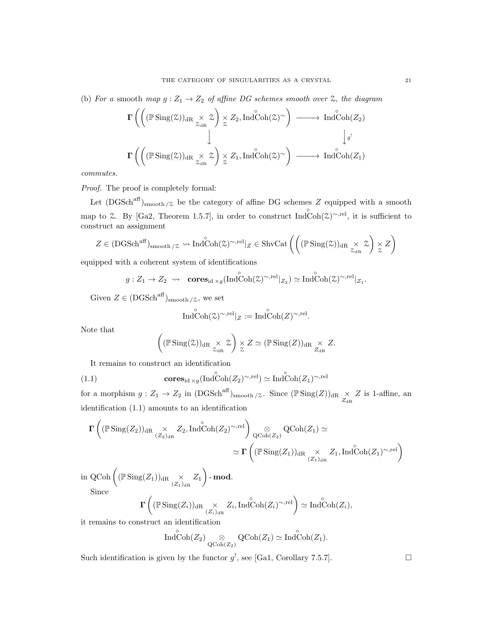(b) For a smooth map  $g: Z_1 \to Z_2$  of affine DG schemes smooth over  $\mathfrak{X}$ , the diagram

$$
\Gamma\left(\left((\mathbb{P}\operatorname{Sing}(\mathcal{Z}))_{dR} \underset{\mathcal{Z}_{dR}}{\times} \mathcal{Z}\right) \underset{\mathcal{Z}}{\times} Z_2, \operatorname{Ind}\operatorname{Coh}(\mathcal{Z})^{\sim}\right) \longrightarrow \operatorname{Ind}\operatorname{Coh}(Z_2)
$$
\n
$$
\downarrow
$$
\n
$$
\Gamma\left(\left((\mathbb{P}\operatorname{Sing}(\mathcal{Z}))_{dR} \underset{\mathcal{Z}_{dR}}{\times} \mathcal{Z}\right) \underset{\mathcal{Z}}{\times} Z_1, \operatorname{Ind}\operatorname{Coh}(\mathcal{Z})^{\sim}\right) \longrightarrow \operatorname{Ind}\operatorname{Coh}(Z_1)
$$

commutes.

Proof. The proof is completely formal:

Let  $(DGSch<sup>aff</sup>)<sub>smooth</sub>/z$  be the category of affine DG schemes Z equipped with a smooth map to  $\&$ . By [Ga2, Theorem 1.5.7], in order to construct Ind $\text{Coh}(\&)^{\sim,rel}$ , it is sufficient to construct an assignment

$$
Z \in (DGSch^{aff})_{\text{smooth}/\mathcal{Z}} \rightsquigarrow \text{Ind}\overset{\circ}{\text{Coh}}(\mathcal{Z})^{\sim, \text{rel}}|_{Z} \in \text{ShvCat}\left(\left((\mathbb{P}\text{Sing}(\mathcal{Z}))_{\text{dR}} \underset{\mathcal{Z}_{\text{dR}}}{\times} \mathcal{Z}\right) \underset{\mathcal{Z}}{\times} Z\right)
$$

equipped with a coherent system of identifications

$$
g: Z_1 \to Z_2 \rightsquigarrow \operatorname{cores}_{\operatorname{id} \times g}(\operatorname{Ind}\nolimits^{\circ}\operatorname{Coh}\nolimits(\mathfrak{L})^{\sim, \operatorname{rel}}|_{Z_2}) \simeq \operatorname{Ind}\nolimits^{\circ}\operatorname{Coh}\nolimits(\mathfrak{L})^{\sim, \operatorname{rel}}|_{Z_1}.
$$

Given  $Z \in (DGSch^{aff})_{\text{smooth}/\mathcal{Z}},$  we set

$$
\mathop{\mathrm{Ind}}\nolimits^{\circ}\mathop{\mathrm{Coh}}\nolimits(\mathop{\mathbb{Z}}\nolimits)^{\sim,\mathop{\mathrm{rel}}\nolimits}|_Z:=\mathop{\mathrm{Ind}}\nolimits^{\circ}\mathop{\mathrm{Coh}}\nolimits(Z)^{\sim,\mathop{\mathrm{rel}}\nolimits}.
$$

Note that

$$
\left((\mathbb{P}\operatorname{Sing}(\mathcal{Z}))_{\mathrm{dR}}\underset{\mathcal{Z}_{\mathrm{dR}}}{\times}\mathcal{Z}\right)\underset{\mathcal{Z}}{\times}Z\simeq (\mathbb{P}\operatorname{Sing}(Z))_{\mathrm{dR}}\underset{Z_{\mathrm{dR}}}{\times}Z.
$$

It remains to construct an identification

(1.1) 
$$
\mathbf{cores}_{\mathrm{id} \times g}(\mathrm{Ind}\mathrm{Coh}(Z_2)^{\sim, \mathrm{rel}}) \simeq \mathrm{Ind}\mathrm{Coh}(Z_1)^{\sim, \mathrm{rel}}
$$

for a morphism  $g: Z_1 \to Z_2$  in  $(DGSch<sup>aff</sup>)<sub>smooth/Z</sub>$ . Since  $(\mathbb{P}Sing(Z))<sub>dR</sub> \times Z$  is 1-affine, an identification (1.1) amounts to an identification

$$
\begin{aligned} \Gamma\left((\mathbb{P} \operatorname{Sing}(Z_2))_{\mathrm{dR}}&\underset{(Z_2)_{\mathrm{dR}}}{\times}Z_2, \operatorname{Ind}\overset{\circ}{\operatorname{Coh}}(Z_2)^{\sim,\mathrm{rel}}\right) \underset{\mathrm{QCoh}(Z_2)}{\otimes}\operatorname{QCoh}(Z_1)\simeq\\ &\simeq \Gamma\left((\mathbb{P} \operatorname{Sing}(Z_1))_{\mathrm{dR}}\underset{(Z_1)_{\mathrm{dR}}}{\times}Z_1, \operatorname{Ind}\overset{\circ}{\operatorname{Coh}}(Z_1)^{\sim,\mathrm{rel}}\right) \end{aligned}
$$

 $\quad \text{in QCoh}\left( (\mathbb{P}\operatorname{Sing}(Z_1))_{\mathrm{dR}} \underset{(Z_1)_{\mathrm{dR}}} {\times} Z_1 \right)$  -  $\textbf{mod}.$ Since

$$
\Gamma\left((\mathbb{P}\operatorname{Sing}(Z_i))_{\mathrm{dR}} \underset{(Z_i)_{\mathrm{dR}}}{\times} Z_i, \mathrm{Ind}^{\circ}\operatorname{Coh}(Z_i)^{\sim, \mathrm{rel}}\right) \simeq \mathrm{Ind}^{\circ}\operatorname{Coh}(Z_i),
$$

it remains to construct an identification

$$
\operatorname{Ind}\nolimits\operatorname{Coh}\nolimits(Z_2) \underset{\operatorname{QCoh}\nolimits(Z_2)}{\otimes} \operatorname{QCoh}\nolimits(Z_1) \simeq \operatorname{Ind}\nolimits\operatorname{Coh}\nolimits(Z_1).
$$

Such identification is given by the functor  $g^!$ , see [Ga1, Corollary 7.5.7].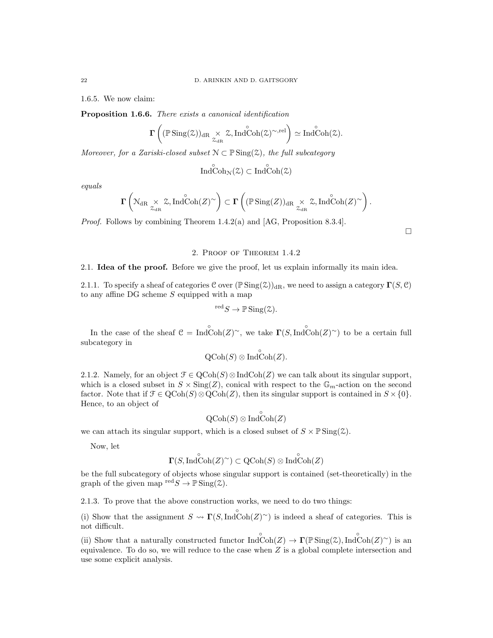1.6.5. We now claim:

Proposition 1.6.6. There exists a canonical identification

$$
\boldsymbol{\Gamma}\left((\mathbb{P} \operatorname{Sing}(\mathcal{Z}))_{\mathrm{dR}}\underset{\mathcal{Z}_{\mathrm{dR}}}{\times} \mathcal{Z}, \operatorname{Ind}\overset{\circ}{\mathrm{Coh}}(\mathcal{Z})^{\sim, \mathrm{rel}}\right)\simeq \operatorname{Ind}\overset{\circ}{\mathrm{Coh}}(\mathcal{Z}).
$$

Moreover, for a Zariski-closed subset  $\mathcal{N} \subset \mathbb{P} \text{Sing}(\mathcal{Z})$ , the full subcategory

 $\overset{\circ}{\text{IndCoh}_{\mathcal{N}}(\mathcal{Z})} \subset \overset{\circ}{\text{IndCoh}(\mathcal{Z})}$ 

equals

$$
\mathbf{\Gamma}\left(\mathbb{N}_{\mathrm{dR}}\underset{\mathcal{Z}_{\mathrm{dR}}}{\times}\mathbb{Z},\mathrm{Ind}\overset{\circ}{\mathrm{Coh}}(Z)^{\sim}\right)\subset\mathbf{\Gamma}\left((\mathbb{P}\operatorname{Sing}(Z))_{\mathrm{dR}}\underset{\mathcal{Z}_{\mathrm{dR}}}{\times}\mathbb{Z},\mathrm{Ind}\overset{\circ}{\mathrm{Coh}}(Z)^{\sim}\right).
$$

Proof. Follows by combining Theorem 1.4.2(a) and [AG, Proposition 8.3.4].

### 2. Proof of Theorem 1.4.2

 $\Box$ 

#### 2.1. Idea of the proof. Before we give the proof, let us explain informally its main idea.

2.1.1. To specify a sheaf of categories C over  $(\mathbb{P} \text{Sing}(\mathcal{Z}))_{dR}$ , we need to assign a category  $\Gamma(S, \mathcal{C})$ to any affine  $DG$  scheme  $S$  equipped with a map

$$
{}^{\text{red}}S \to \mathbb{P} \operatorname{Sing}(\mathcal{Z}).
$$

In the case of the sheaf  $C = \text{Ind}\widehat{\text{Coh}}(Z)^\sim$ , we take  $\Gamma(S, \text{Ind}\widehat{\text{Coh}}(Z)^\sim)$  to be a certain full subcategory in

$$
\text{QCoh}(S) \otimes \overline{\text{Ind}}\overset{\circ}{\text{Coh}}(Z).
$$

2.1.2. Namely, for an object  $\mathcal{F} \in \text{QCoh}(S) \otimes \text{IndCoh}(Z)$  we can talk about its singular support, which is a closed subset in  $S \times \text{Sing}(Z)$ , conical with respect to the  $\mathbb{G}_m$ -action on the second factor. Note that if  $\mathcal{F} \in \mathrm{QCoh}(S) \otimes \mathrm{QCoh}(Z)$ , then its singular support is contained in  $S \times \{0\}$ . Hence, to an object of

$$
\text{QCoh}(S) \otimes \text{Ind}\text{Coh}(Z)
$$

◦

we can attach its singular support, which is a closed subset of  $S \times \mathbb{P} \text{Sing}(\mathcal{Z})$ .

Now, let

$$
\Gamma(S,\mathop{\mathrm{Ind}}\nolimits^{\circ}\mathop{\mathrm{Coh}}\nolimits(Z)^{\sim}) \subset \mathop{\mathrm{QCoh}}\nolimits(S) \otimes \mathop{\mathrm{Ind}}\nolimits^{\circ}\mathop{\mathrm{Coh}}\nolimits(Z)
$$

be the full subcategory of objects whose singular support is contained (set-theoretically) in the graph of the given map  $\mathrm{red}\,S \to \mathbb{P} \operatorname{Sing}(\mathcal{Z})$ .

2.1.3. To prove that the above construction works, we need to do two things:

(i) Show that the assignment  $S \leadsto \Gamma(S, \text{Ind}\overset{\circ}{\text{Coh}}(Z)^\sim)$  is indeed a sheaf of categories. This is not difficult.

(ii) Show that a naturally constructed functor  $\text{Ind}\right\{\text{Coh}(Z) \to \Gamma(\mathbb{P}\text{Sing}(\mathcal{Z}), \text{Ind}\text{Coh}(Z)^{\sim})$  is an equivalence. To do so, we will reduce to the case when  $Z$  is a global complete intersection and use some explicit analysis.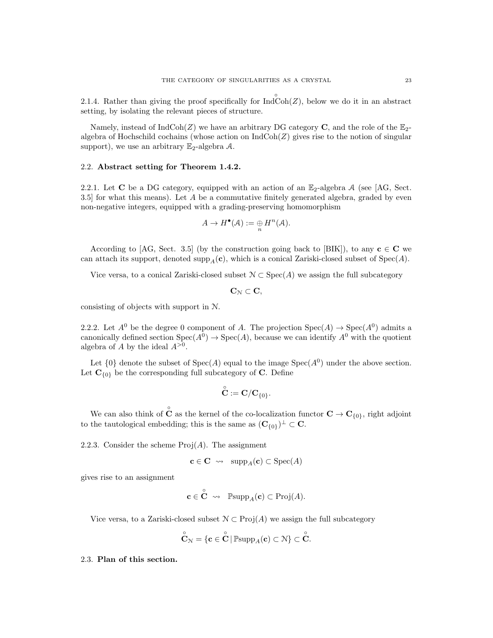2.1.4. Rather than giving the proof specifically for  $\overrightarrow{IndCoh}(Z)$ , below we do it in an abstract setting, by isolating the relevant pieces of structure.

Namely, instead of  $IndCoh(Z)$  we have an arbitrary DG category C, and the role of the  $\mathbb{E}_{2}$ algebra of Hochschild cochains (whose action on  $IndCoh(Z)$  gives rise to the notion of singular support), we use an arbitrary  $\mathbb{E}_2$ -algebra A.

#### 2.2. Abstract setting for Theorem 1.4.2.

2.2.1. Let C be a DG category, equipped with an action of an  $\mathbb{E}_2$ -algebra A (see [AG, Sect. 3.5] for what this means). Let A be a commutative finitely generated algebra, graded by even non-negative integers, equipped with a grading-preserving homomorphism

$$
A \to H^{\bullet}(\mathcal{A}) := \underset{n}{\oplus} H^n(\mathcal{A}).
$$

According to [AG, Sect. 3.5] (by the construction going back to [BIK]), to any  $c \in \mathbb{C}$  we can attach its support, denoted supp<sub>A</sub>(c), which is a conical Zariski-closed subset of  $Spec(A)$ .

Vice versa, to a conical Zariski-closed subset  $\mathcal{N} \subset \text{Spec}(A)$  we assign the full subcategory

 $\mathbf{C}_{\mathcal{N}} \subset \mathbf{C},$ 

consisting of objects with support in N.

2.2.2. Let  $A^0$  be the degree 0 component of A. The projection  $Spec(A) \to Spec(A^0)$  admits a canonically defined section  $Spec(A^0) \to Spec(A)$ , because we can identify  $A^0$  with the quotient algebra of A by the ideal  $A^{>0}$ .

Let  $\{0\}$  denote the subset of  $Spec(A)$  equal to the image  $Spec(A^0)$  under the above section. Let  $\mathbf{C}_{\{0\}}$  be the corresponding full subcategory of C. Define

$$
\overset{\circ}{\mathbf{C}}:=\mathbf{C}/\mathbf{C}_{\{0\}}.
$$

We can also think of  $\hat{C}$  as the kernel of the co-localization functor  $C \to C_{\{0\}}$ , right adjoint to the tautological embedding; this is the same as  $(\mathbf{C}_{\{0\}})^{\perp} \subset \mathbf{C}$ .

2.2.3. Consider the scheme  $Proj(A)$ . The assignment

$$
\mathbf{c} \in \mathbf{C} \ \leadsto \ \ \operatorname{supp}_A(\mathbf{c}) \subset \operatorname{Spec}(A)
$$

gives rise to an assignment

$$
\mathbf{c} \in \check{\mathbf{C}} \ \rightsquigarrow \ \ \mathbb{P}\mathrm{supp}_A(\mathbf{c}) \subset \mathrm{Proj}(A).
$$

Vice versa, to a Zariski-closed subset  $\mathcal{N} \subset \text{Proj}(A)$  we assign the full subcategory

◦

$$
\overset{\circ}{\mathbf{C}}_{\mathcal{N}} = \{\mathbf{c} \in \overset{\circ}{\mathbf{C}} \, | \, \mathbb{P} \mathrm{supp}_A(\mathbf{c}) \subset \mathcal{N} \} \subset \overset{\circ}{\mathbf{C}}.
$$

### 2.3. Plan of this section.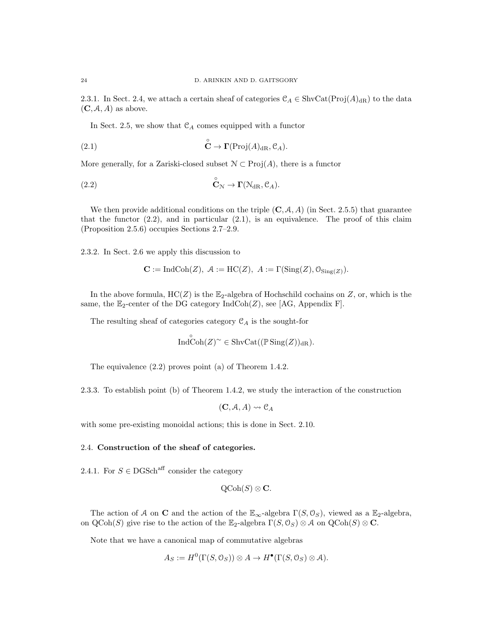2.3.1. In Sect. 2.4, we attach a certain sheaf of categories  $\mathcal{C}_A \in \text{ShvCat}(\text{Proj}(A)_{\text{dR}})$  to the data  $(C, \mathcal{A}, A)$  as above.

In Sect. 2.5, we show that  $\mathcal{C}_A$  comes equipped with a functor

(2.1) 
$$
\overset{\circ}{\mathbf{C}} \to \Gamma(\mathrm{Proj}(A)_{\mathrm{dR}}, \mathcal{C}_A).
$$

More generally, for a Zariski-closed subset  $\mathcal{N} \subset \text{Proj}(A)$ , there is a functor

(2.2) 
$$
\overset{\circ}{\mathbf{C}}_{\mathcal{N}} \to \mathbf{\Gamma}(\mathcal{N}_{\mathrm{dR}}, \mathcal{C}_A).
$$

We then provide additional conditions on the triple  $(C, \mathcal{A}, A)$  (in Sect. 2.5.5) that guarantee that the functor  $(2.2)$ , and in particular  $(2.1)$ , is an equivalence. The proof of this claim (Proposition 2.5.6) occupies Sections 2.7–2.9.

2.3.2. In Sect. 2.6 we apply this discussion to

$$
\mathbf{C} := \text{IndCoh}(Z), \ \mathcal{A} := \text{HC}(Z), \ \mathcal{A} := \Gamma(\text{Sing}(Z), \mathcal{O}_{\text{Sing}(Z)}).
$$

In the above formula,  $HC(Z)$  is the  $\mathbb{E}_2$ -algebra of Hochschild cochains on Z, or, which is the same, the  $\mathbb{E}_2$ -center of the DG category  $\text{IndCoh}(Z)$ , see [AG, Appendix F].

The resulting sheaf of categories category  $\mathcal{C}_A$  is the sought-for

$$
\overset{\circ}{\mathrm{Ind}}\overset{\circ}{\mathrm{Coh}}(Z)^{\sim} \in \mathrm{ShvCat}((\mathbb{P}\operatorname{Sing}(Z))_{\mathrm{dR}}).
$$

The equivalence (2.2) proves point (a) of Theorem 1.4.2.

2.3.3. To establish point (b) of Theorem 1.4.2, we study the interaction of the construction

 $(C, \mathcal{A}, A) \rightsquigarrow C_A$ 

with some pre-existing monoidal actions; this is done in Sect. 2.10.

# 2.4. Construction of the sheaf of categories.

2.4.1. For  $S \in \text{DGSch}^{\text{aff}}$  consider the category

$$
\text{QCoh}(S) \otimes \mathbf{C}.
$$

The action of A on C and the action of the  $\mathbb{E}_{\infty}$ -algebra  $\Gamma(S, \mathcal{O}_S)$ , viewed as a  $\mathbb{E}_2$ -algebra, on QCoh(S) give rise to the action of the  $\mathbb{E}_2$ -algebra  $\Gamma(S, \mathcal{O}_S) \otimes \mathcal{A}$  on QCoh(S)  $\otimes \mathbf{C}$ .

Note that we have a canonical map of commutative algebras

$$
A_S := H^0(\Gamma(S, \mathcal{O}_S)) \otimes A \to H^{\bullet}(\Gamma(S, \mathcal{O}_S) \otimes A).
$$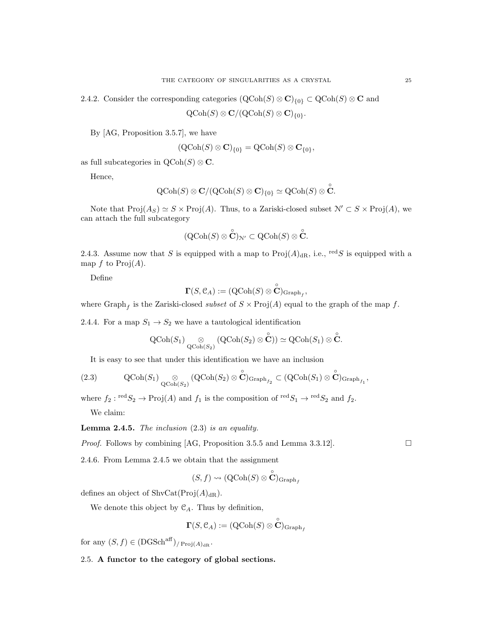2.4.2. Consider the corresponding categories  $(QCoh(S) \otimes \mathbf{C})_{\{0\}} \subset QCoh(S) \otimes \mathbf{C}$  and

 $\operatorname{QCoh}(S) \otimes \mathbf{C}/(\operatorname{QCoh}(S) \otimes \mathbf{C})_{\{0\}}.$ 

By [AG, Proposition 3.5.7], we have

$$
(\operatorname{QCoh}(S) \otimes \mathbf{C})_{\{0\}} = \operatorname{QCoh}(S) \otimes \mathbf{C}_{\{0\}},
$$

as full subcategories in  $\mathrm{QCoh}(S) \otimes \mathbf{C}$ .

Hence,

$$
\text{QCoh}(S) \otimes \mathbf{C}/(\text{QCoh}(S) \otimes \mathbf{C})_{\{0\}} \simeq \text{QCoh}(S) \otimes \overset{\circ}{\mathbf{C}}.
$$

Note that  $\text{Proj}(A_S) \simeq S \times \text{Proj}(A)$ . Thus, to a Zariski-closed subset  $\mathcal{N}' \subset S \times \text{Proj}(A)$ , we can attach the full subcategory

$$
({\rm QCoh}(S)\otimes \overset{\circ}{\mathbf{C}})_{\mathcal{N}'}\subset {\rm QCoh}(S)\otimes \overset{\circ}{\mathbf{C}}.
$$

2.4.3. Assume now that S is equipped with a map to  $\text{Proj}(A)_{\text{dR}}$ , i.e., <sup>red</sup>S is equipped with a map f to  $\text{Proj}(A)$ .

Define

$$
\boldsymbol{\Gamma}(S,\mathfrak{C}_A):=({\rm QCoh}(S)\otimes \overset{\circ}{\mathbf{C}})_{\mathrm{Graph}_f}
$$

,

where  $\text{Graph}_f$  is the Zariski-closed *subset* of  $S \times \text{Proj}(A)$  equal to the graph of the map f.

2.4.4. For a map  $S_1 \rightarrow S_2$  we have a tautological identification

$$
\operatorname{QCoh}(S_1) \underset{\operatorname{QCoh}(S_2)}{\otimes} (\operatorname{QCoh}(S_2) \otimes \overset{\circ}{\mathbf{C}})) \simeq \operatorname{QCoh}(S_1) \otimes \overset{\circ}{\mathbf{C}}.
$$

It is easy to see that under this identification we have an inclusion

(2.3) 
$$
\operatorname{QCoh}(S_1) \underset{\operatorname{QCoh}(S_2)}{\otimes} (\operatorname{QCoh}(S_2) \otimes \overset{\circ}{\mathbf{C}})_{\operatorname{Graph}_{f_2}} \subset (\operatorname{QCoh}(S_1) \otimes \overset{\circ}{\mathbf{C}})_{\operatorname{Graph}_{f_1}},
$$

where  $f_2: \text{red } S_2 \to \text{Proj}(A)$  and  $f_1$  is the composition of  $\text{red } S_1 \to \text{red } S_2$  and  $f_2$ .

We claim:

**Lemma 2.4.5.** The inclusion  $(2.3)$  is an equality.

*Proof.* Follows by combining [AG, Proposition 3.5.5 and Lemma 3.3.12].

2.4.6. From Lemma 2.4.5 we obtain that the assignment

$$
(S, f) \leadsto (\operatorname{QCoh}(S) \otimes \overset{\circ}{\mathbf{C}})_{\operatorname{Graph}_f}
$$

defines an object of  $\text{ShvCat}(\text{Proj}(A)_{\text{dR}})$ .

We denote this object by  $\mathcal{C}_A$ . Thus by definition,

$$
\boldsymbol{\Gamma}(S,\mathcal{C}_A):=({\rm QCoh}(S)\otimes \overset{\circ}{\mathbf{C}})_{\rm Graph_f}
$$

for any  $(S, f) \in (DGSch^{aff})_{P_{\text{POj}(A)_{\text{dR}}}}$ .

2.5. A functor to the category of global sections.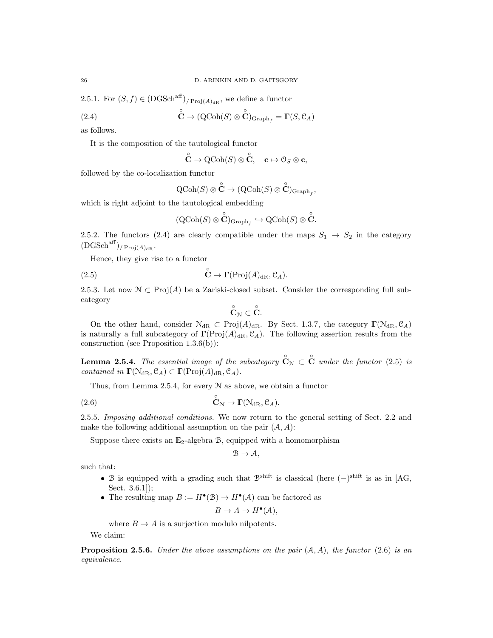2.5.1. For  $(S, f) \in (DGSch^{aff})_{P_{\text{Poj}(A)_{\text{dR}}}}$ , we define a functor

(2.4) 
$$
\mathbf{C} \to (\mathrm{QCoh}(S) \otimes \mathbf{C})_{\mathrm{Graph}_f} = \mathbf{\Gamma}(S, \mathcal{C}_A)
$$

as follows.

It is the composition of the tautological functor

$$
\overset{\circ}{\mathbf{C}}\rightarrow {\rm QCoh}(S)\otimes \overset{\circ}{\mathbf{C}},\quad \mathbf{c}\mapsto \mathbf{0}_S\otimes \mathbf{c},
$$

followed by the co-localization functor

$$
\operatorname{QCoh}(S) \otimes \overset{\circ}{\mathbf{C}} \to (\operatorname{QCoh}(S) \otimes \overset{\circ}{\mathbf{C}})_{\operatorname{Graph}_f},
$$

which is right adjoint to the tautological embedding

$$
({\rm QCoh}(S)\otimes \overset{\circ}{\mathbf{C}})_{\mathrm{Graph}_f} \hookrightarrow {\rm QCoh}(S)\otimes \overset{\circ}{\mathbf{C}}.
$$

2.5.2. The functors (2.4) are clearly compatible under the maps  $S_1 \rightarrow S_2$  in the category  $(DGSch<sup>aff</sup>)/Proj(A)<sub>dB</sub>.$ 

Hence, they give rise to a functor

(2.5) 
$$
\mathbf{\mathring{C}} \to \mathbf{\Gamma}(\mathrm{Proj}(A)_{\mathrm{dR}}, \mathcal{C}_A).
$$

2.5.3. Let now  $\mathcal{N} \subset \text{Proj}(A)$  be a Zariski-closed subset. Consider the corresponding full subcategory

$$
\overset{\circ}{\mathbf{C}}_{\mathcal{N}}\subset \overset{\circ}{\mathbf{C}}.
$$

On the other hand, consider  $\mathcal{N}_{dR} \subset \text{Proj}(A)_{dR}$ . By Sect. 1.3.7, the category  $\Gamma(\mathcal{N}_{dR}, \mathcal{C}_A)$ is naturally a full subcategory of  $\Gamma(\text{Proj}(A)_{\text{dR}}, \mathcal{C}_A)$ . The following assertion results from the construction (see Proposition 1.3.6(b)):

**Lemma 2.5.4.** The essential image of the subcategory  $\overset{\circ}{\mathbf{C}}_{\mathcal{N}} \subset \overset{\circ}{\mathbf{C}}$  under the functor (2.5) is contained in  $\Gamma(\mathcal{N}_{\mathrm{dR}}, \mathcal{C}_A) \subset \Gamma(\mathrm{Proj}(A)_{\mathrm{dR}}, \mathcal{C}_A)$ .

Thus, from Lemma 2.5.4, for every  $N$  as above, we obtain a functor

(2.6) 
$$
\mathring{\mathbf{C}}_{\mathcal{N}} \to \mathbf{\Gamma}(\mathcal{N}_{\mathrm{dR}}, \mathcal{C}_A).
$$

2.5.5. Imposing additional conditions. We now return to the general setting of Sect. 2.2 and make the following additional assumption on the pair  $(A, A)$ :

Suppose there exists an  $\mathbb{E}_2$ -algebra  $\mathcal{B}$ , equipped with a homomorphism

$$
\mathcal{B}\to \mathcal{A},
$$

such that:

- B is equipped with a grading such that  $\mathcal{B}^{\text{shift}}$  is classical (here  $(-)^{\text{shift}}$  is as in [AG, Sect. 3.6.1]);
- The resulting map  $B := H^{\bullet}(\mathcal{B}) \to H^{\bullet}(\mathcal{A})$  can be factored as

$$
B \to A \to H^{\bullet}(\mathcal{A}),
$$

where  $B \to A$  is a surjection modulo nilpotents.

We claim:

**Proposition 2.5.6.** Under the above assumptions on the pair  $(A, A)$ , the functor (2.6) is an equivalence.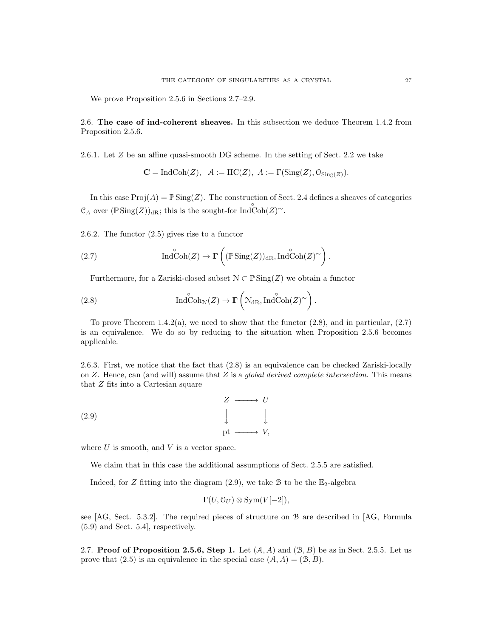We prove Proposition 2.5.6 in Sections 2.7–2.9.

2.6. The case of ind-coherent sheaves. In this subsection we deduce Theorem 1.4.2 from Proposition 2.5.6.

2.6.1. Let Z be an affine quasi-smooth DG scheme. In the setting of Sect. 2.2 we take

$$
\mathbf{C} = \text{IndCoh}(Z), \quad \mathcal{A} := \text{HC}(Z), \quad A := \Gamma(\text{Sing}(Z), \mathcal{O}_{\text{Sing}(Z)}).
$$

In this case  $\text{Proj}(A) = \mathbb{P} \text{Sing}(Z)$ . The construction of Sect. 2.4 defines a sheaves of categories  $\mathcal{C}_A$  over  $(\mathbb{P}\operatorname{Sing}(Z))_{\mathrm{dR}}$ ; this is the sought-for  $\operatorname{Ind}\operatorname{Coh}(Z)^\sim$ .

2.6.2. The functor (2.5) gives rise to a functor

(2.7) 
$$
\operatorname{Ind}\operatorname{Coh}(Z) \to \Gamma\left((\mathbb{P}\operatorname{Sing}(Z))_{\mathrm{dR}}, \operatorname{Ind}\operatorname{Coh}(Z)^{\sim}\right).
$$

Furthermore, for a Zariski-closed subset  $\mathcal{N} \subset \mathbb{P} \operatorname{Sing}(Z)$  we obtain a functor

(2.8) 
$$
\operatorname{Ind}\operatorname{Coh}_{\mathcal{N}}(Z) \to \Gamma\left(\mathcal{N}_{\mathrm{dR}}, \operatorname{Ind}\operatorname{Coh}(Z)^{\sim}\right).
$$

To prove Theorem 1.4.2(a), we need to show that the functor  $(2.8)$ , and in particular,  $(2.7)$ is an equivalence. We do so by reducing to the situation when Proposition 2.5.6 becomes applicable.

2.6.3. First, we notice that the fact that (2.8) is an equivalence can be checked Zariski-locally on  $Z$ . Hence, can (and will) assume that  $Z$  is a *global derived complete intersection*. This means that Z fits into a Cartesian square

$$
Z \longrightarrow U
$$
  
(2.9)  

$$
\downarrow \qquad \qquad \downarrow
$$
  

$$
\text{pt} \longrightarrow V,
$$

where  $U$  is smooth, and  $V$  is a vector space.

We claim that in this case the additional assumptions of Sect. 2.5.5 are satisfied.

Indeed, for Z fitting into the diagram  $(2.9)$ , we take B to be the  $\mathbb{E}_2$ -algebra

$$
\Gamma(U, \mathcal{O}_U) \otimes \text{Sym}(V[-2]),
$$

see [AG, Sect. 5.3.2]. The required pieces of structure on B are described in [AG, Formula (5.9) and Sect. 5.4], respectively.

2.7. Proof of Proposition 2.5.6, Step 1. Let  $(A, A)$  and  $(B, B)$  be as in Sect. 2.5.5. Let us prove that (2.5) is an equivalence in the special case  $(A, A) = (B, B)$ .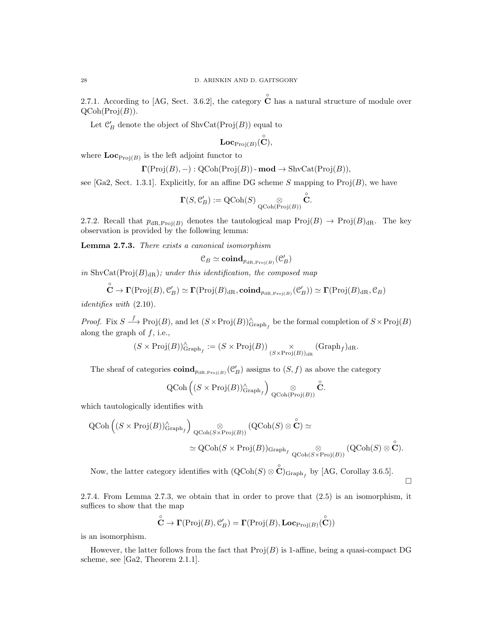2.7.1. According to [AG, Sect. 3.6.2], the category  $\hat{\mathbf{C}}$  has a natural structure of module over  $QCoh(Proj(B)).$ 

Let  $\mathcal{C}'_B$  denote the object of  $\mathrm{ShvCat}(\mathrm{Proj}(B))$  equal to

$$
\textbf{Loc}_{\text{Proj}(B)}(\overset{\circ}{\mathbf{C}}),
$$

where  $\mathbf{Loc}_{\text{Proj}(B)}$  is the left adjoint functor to

$$
\Gamma(\text{Proj}(B), -): \text{QCoh}(\text{Proj}(B)) - \text{mod} \rightarrow \text{ShvCat}(\text{Proj}(B)),
$$

see [Ga2, Sect. 1.3.1]. Explicitly, for an affine DG scheme S mapping to  $\text{Proj}(B)$ , we have

$$
\boldsymbol{\Gamma}(S,\mathfrak{C}'_B):=\operatorname{QCoh}(S)\underset{\operatorname{QCoh}(\mathrm{Proj}(B))}{\otimes}\overset{\circ}{\boldsymbol{\mathbb{C}}}.
$$

2.7.2. Recall that  $p_{dR,Proj(B)}$  denotes the tautological map  $Proj(B) \to Proj(B)_{dR}$ . The key observation is provided by the following lemma:

**Lemma 2.7.3.** There exists a canonical isomorphism

$$
\mathcal{C}_B \simeq \mathop{\mathrm{\bf coind}}\nolimits_{p_{{\mathrm{dR}},\mathrm{Proj}(B)}}(\mathcal{C}'_B)
$$

in ShvCat( $Proj(B)_{dR}$ ); under this identification, the composed map

$$
\overset{\circ}{\mathbf{C}}\rightarrow\boldsymbol{\Gamma}(\mathrm{Proj}(B),\mathcal{C}_B')\simeq\boldsymbol{\Gamma}(\mathrm{Proj}(B)_{\mathrm{dR}},\boldsymbol{\mathrm{coind}}_{p_{\mathrm{dR},\mathrm{Proj}(B)}}(\mathcal{C}_B'))\simeq\boldsymbol{\Gamma}(\mathrm{Proj}(B)_{\mathrm{dR}},\mathcal{C}_B)
$$

identifies with (2.10).

*Proof.* Fix  $S \longrightarrow \text{Proj}(B)$ , and let  $(S \times \text{Proj}(B))_{\text{Graph}_f}^{\wedge}$  be the formal completion of  $S \times \text{Proj}(B)$ along the graph of  $f$ , i.e.,

$$
(S \times \operatorname{Proj}(B))^\wedge_{\operatorname{Graph}_f} := (S \times \operatorname{Proj}(B)) \underset{(S \times \operatorname{Proj}(B))_{\operatorname{dR}}}{\times} (\operatorname{Graph}_f)_{\operatorname{dR}}.
$$

The sheaf of categories  $\mathbf{coind}_{p_{\text{dR,Proj}(B)}}(\mathcal{C}'_B)$  assigns to  $(S, f)$  as above the category

$$
\textup{QCoh}\left((S\times \textup{Proj}(B))^\wedge_{\textup{Graph}_f}\right)\underset{\textup{QCoh}(\textup{Proj}(B))}{\otimes} \overset{\circ}{\mathbf{C}}.
$$

which tautologically identifies with

$$
\begin{aligned} \mathrm{QCoh}\left((S\times \mathrm{Proj}(B))_{\mathrm{Graph}_f}^{\wedge}\right) & \underset{\mathrm{QCoh}(S\times \mathrm{Proj}(B))}{\otimes} \left(\mathrm{QCoh}(S)\otimes \overset{\circ}{\mathbf{C}}\right)\simeq \\ & \simeq \mathrm{QCoh}(S\times \mathrm{Proj}(B))_{\mathrm{Graph}_{f}} \underset{\mathrm{QCoh}(S\times \mathrm{Proj}(B))}{\otimes} \left(\mathrm{QCoh}(S)\otimes \overset{\circ}{\mathbf{C}}\right). \end{aligned}
$$

Now, the latter category identifies with  $(QCoh(S) \otimes \overset{\circ}{\mathbf{C}})_{\text{Graph}_f}$  by [AG, Corollay 3.6.5].

2.7.4. From Lemma 2.7.3, we obtain that in order to prove that (2.5) is an isomorphism, it suffices to show that the map

 $\Box$ 

$$
\overset{\circ}{\mathbf{C}} \rightarrow \mathbf{\Gamma}(\mathrm{Proj}(B), \mathcal{C}'_B) = \mathbf{\Gamma}(\mathrm{Proj}(B), \mathbf{Loc}_{\mathrm{Proj}(B)}(\overset{\circ}{\mathbf{C}}))
$$

is an isomorphism.

However, the latter follows from the fact that  $\text{Proj}(B)$  is 1-affine, being a quasi-compact DG scheme, see [Ga2, Theorem 2.1.1].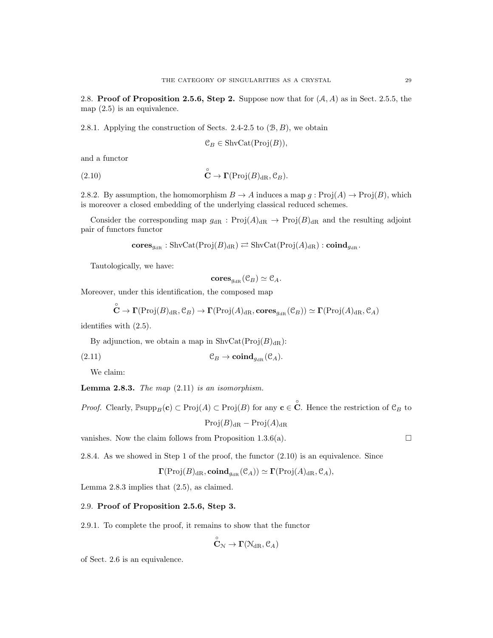2.8. Proof of Proposition 2.5.6, Step 2. Suppose now that for  $(A, A)$  as in Sect. 2.5.5, the map  $(2.5)$  is an equivalence.

2.8.1. Applying the construction of Sects. 2.4-2.5 to  $(\mathcal{B}, B)$ , we obtain

$$
\mathcal{C}_B \in \operatorname{ShvCat}(\operatorname{Proj}(B)),
$$

and a functor

(2.10) 
$$
\mathbf{C} \to \mathbf{\Gamma}(\mathrm{Proj}(B)_{\mathrm{dR}}, \mathcal{C}_B).
$$

2.8.2. By assumption, the homomorphism  $B \to A$  induces a map  $g : \text{Proj}(A) \to \text{Proj}(B)$ , which is moreover a closed embedding of the underlying classical reduced schemes.

Consider the corresponding map  $g_{\text{dR}}$ : Proj $(A)_{\text{dR}} \to \text{Proj}(B)_{\text{dR}}$  and the resulting adjoint pair of functors functor

$$
\mathbf{cores}_{g_{\mathrm{dR}}}: \mathrm{ShvCat}(\mathrm{Proj}(B)_{\mathrm{dR}}) \rightleftarrows \mathrm{ShvCat}(\mathrm{Proj}(A)_{\mathrm{dR}}): \mathbf{coind}_{g_{\mathrm{dR}}}.
$$

Tautologically, we have:

$$
\mathbf{cores}_{g_{\mathrm{dR}}}(\mathcal C_B)\simeq \mathcal C_A.
$$

Moreover, under this identification, the composed map

$$
\mathbf{C}\to\mathbf{\Gamma}(\mathrm{Proj}(B)_{\mathrm{dR}},\mathcal{C}_B)\to\mathbf{\Gamma}(\mathrm{Proj}(A)_{\mathrm{dR}},\mathbf{cores}_{g_{\mathrm{dR}}}(\mathcal{C}_B))\simeq\mathbf{\Gamma}(\mathrm{Proj}(A)_{\mathrm{dR}},\mathcal{C}_A)
$$

identifies with (2.5).

◦

By adjunction, we obtain a map in  $\text{ShvCat}(\text{Proj}(B)_{\text{dR}})$ :

(2.11) C<sup>B</sup> → coindgdR (CA).

We claim:

**Lemma 2.8.3.** The map  $(2.11)$  is an isomorphism.

*Proof.* Clearly,  $\mathbb{P}\text{supp}_B(c) \subset \text{Proj}(A) \subset \text{Proj}(B)$  for any  $c \in \overset{\circ}{C}$ . Hence the restriction of  $\mathcal{C}_B$  to  $Proj(B)_{dR} - Proj(A)_{dR}$ 

vanishes. Now the claim follows from Proposition 1.3.6(a).  $\Box$ 

2.8.4. As we showed in Step 1 of the proof, the functor (2.10) is an equivalence. Since

$$
\Gamma(\text{Proj}(B)_{\text{dR}}, \text{coind}_{g_{\text{dR}}}(\mathcal{C}_A)) \simeq \Gamma(\text{Proj}(A)_{\text{dR}}, \mathcal{C}_A),
$$

Lemma 2.8.3 implies that (2.5), as claimed.

# 2.9. Proof of Proposition 2.5.6, Step 3.

2.9.1. To complete the proof, it remains to show that the functor

 $\circ$ 

$$
\tilde{\mathbf{C}}_\mathcal{N} \to \mathbf{\Gamma}(\mathbb{N}_{\mathrm{dR}}, \mathfrak{C}_A)
$$

of Sect. 2.6 is an equivalence.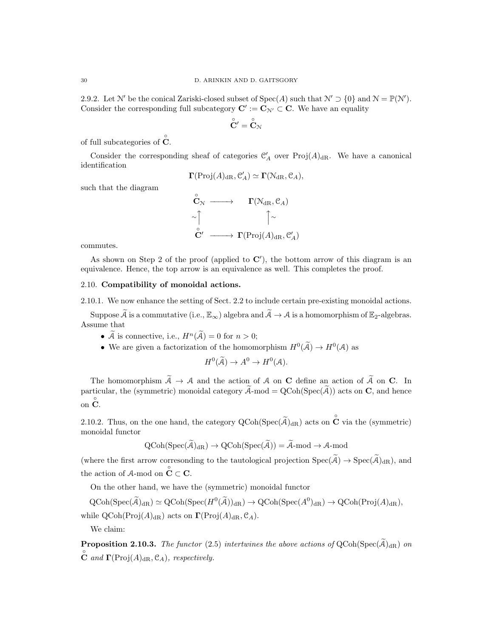2.9.2. Let N' be the conical Zariski-closed subset of  $Spec(A)$  such that  $N' \supset \{0\}$  and  $N = \mathbb{P}(N')$ . Consider the corresponding full subcategory  $\mathbf{C}' := \mathbf{C}_{\mathcal{N}'} \subset \mathbf{C}$ . We have an equality

$$
\overset{\circ}{\mathbf{C}}{}'=\overset{\circ}{\mathbf{C}}{}_{\mathcal{N}}
$$

of full subcategories of  $\hat{\textbf{C}}$ .

Consider the corresponding sheaf of categories  $\mathcal{C}'_A$  over Proj $(A)_{\text{dR}}$ . We have a canonical identification

$$
\Gamma(\mathrm{Proj}(A)_{\mathrm{dR}}, \mathcal{C}'_A) \simeq \Gamma(\mathcal{N}_{\mathrm{dR}}, \mathcal{C}_A),
$$

such that the diagram

$$
\begin{array}{ccc}\n\stackrel{\circ}{\mathbf{C}}_{\mathcal{N}} & \longrightarrow & \Gamma(\mathcal{N}_{\mathrm{dR}}, \mathcal{C}_A) \\
\sim \uparrow & & \uparrow \sim \\
\stackrel{\circ}{\mathbf{C'}} & \longrightarrow & \Gamma(\mathrm{Proj}(A)_{\mathrm{dR}}, \mathcal{C}'_A)\n\end{array}
$$

commutes.

As shown on Step 2 of the proof (applied to  $\mathbb{C}'$ ), the bottom arrow of this diagram is an equivalence. Hence, the top arrow is an equivalence as well. This completes the proof.

# 2.10. Compatibility of monoidal actions.

2.10.1. We now enhance the setting of Sect. 2.2 to include certain pre-existing monoidal actions.

Suppose  $\widetilde{A}$  is a commutative (i.e.,  $\mathbb{E}_{\infty}$ ) algebra and  $\widetilde{A} \to A$  is a homomorphism of  $\mathbb{E}_{2}$ -algebras. Assume that

- $\widetilde{A}$  is connective, i.e.,  $H^n(\widetilde{A})=0$  for  $n>0$ ;
- We are given a factorization of the homomorphism  $H^0(\tilde{\mathcal{A}}) \to H^0(\mathcal{A})$  as

$$
H^0(\widetilde{A}) \to A^0 \to H^0(A).
$$

The homomorphism  $\widetilde{A} \to A$  and the action of A on C define an action of  $\widetilde{A}$  on C. In particular, the (symmetric) monoidal category  $A$ -mod =  $QCoh(Spec(A))$  acts on C, and hence on  $\stackrel{\circ}{\mathbf{C}}$ .

2.10.2. Thus, on the one hand, the category  $Q\text{Coh}(\text{Spec}(\tilde{\mathcal{A}})_{dR})$  acts on  $\overset{\circ}{\mathbf{C}}$  via the (symmetric) monoidal functor

$$
\mathrm{QCoh}(\mathrm{Spec}(\widetilde{\mathcal{A}})_{\mathrm{dR}}) \to \mathrm{QCoh}(\mathrm{Spec}(\widetilde{\mathcal{A}})) = \widetilde{\mathcal{A}}\text{-mod} \to \mathcal{A}\text{-mod}
$$

(where the first arrow corresonding to the tautological projection  $Spec(\widetilde{A}) \to Spec(\widetilde{A})_{dR}$ ), and the action of  $A$ -mod on  $\overset{\circ}{\mathbf{C}} \subset \mathbf{C}$ .

On the other hand, we have the (symmetric) monoidal functor

 $\mathrm{QCoh}(\mathrm{Spec}(\widetilde{\mathcal{A}})_{\mathrm{dR}}) \simeq \mathrm{QCoh}(\mathrm{Spec}(H^0(\widetilde{\mathcal{A}}))_{\mathrm{dR}}) \to \mathrm{QCoh}(\mathrm{Spec}(A^0)_{\mathrm{dR}}) \to \mathrm{QCoh}(\mathrm{Proj}(A)_{\mathrm{dR}}),$ 

while  $QCoh(Proj(A)<sub>dR</sub>)$  acts on  $\Gamma(Proj(A)<sub>dR</sub>, \mathcal{C}<sub>A</sub>)$ .

We claim:

**Proposition 2.10.3.** The functor (2.5) intertwines the above actions of  $QCoh(Spec(\tilde{A})_{dR})$  on  $\stackrel{\circ}{\mathbf{C}}$  and  $\mathbf{\Gamma}(\text{Proj}(A)_{\text{dR}}, \mathcal{C}_A)$ , respectively.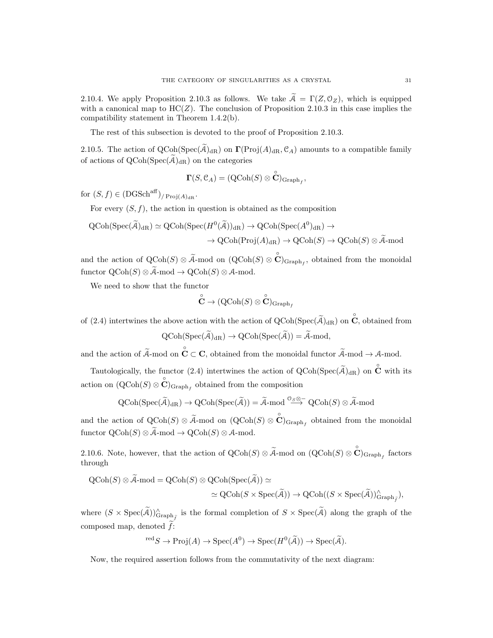2.10.4. We apply Proposition 2.10.3 as follows. We take  $\tilde{A} = \Gamma(Z, \mathcal{O}_Z)$ , which is equipped with a canonical map to  $HC(Z)$ . The conclusion of Proposition 2.10.3 in this case implies the compatibility statement in Theorem 1.4.2(b).

The rest of this subsection is devoted to the proof of Proposition 2.10.3.

2.10.5. The action of  $QCoh(Spec(\mathcal{A})_{dR})$  on  $\Gamma(Proj(\mathcal{A})_{dR}, \mathcal{C}_{\mathcal{A}})$  amounts to a compatible family of actions of  $QCoh(Spec(\tilde{\mathcal{A}})_{dR})$  on the categories

$$
\boldsymbol{\Gamma}(S,\mathfrak{C}_A) = (\operatorname{QCoh}(S) \otimes \overset{\circ}{\mathbf{C}})_{\mathrm{Graph}_f},
$$

for  $(S, f) \in (DGSch^{aff})_{P}$ <sub>roj</sub> $(A)_{dR}$ .

For every  $(S, f)$ , the action in question is obtained as the composition

$$
QCoh(Spec(\tilde{A})_{dR}) \simeq QCoh(Spec(H^0(\tilde{A}))_{dR}) \to QCoh(Spec(A^0)_{dR}) \to
$$
  

$$
\to QCoh(Proj(A)_{dR}) \to QCoh(S) \to QCoh(S) \otimes \tilde{A}
$$
-mod

and the action of  $Q\text{Coh}(S) \otimes \tilde{\mathcal{A}}$ -mod on  $(Q\text{Coh}(S) \otimes \overset{\circ}{\mathbf{C}})_{\text{Graph}_f}$ , obtained from the monoidal functor  $\mathrm{QCoh}(S) \otimes \widetilde{A}$ -mod →  $\mathrm{QCoh}(S) \otimes A$ -mod.

We need to show that the functor

$$
\overset{\circ}{\mathbf{C}} \rightarrow (\mathrm{QCoh}(S) \otimes \overset{\circ}{\mathbf{C}})_{\mathrm{Graph}_f}
$$

of (2.4) intertwines the above action with the action of  $Q\text{Coh}(\text{Spec}(\widetilde{\mathcal{A}})_{\text{dR}})$  on  $\overset{\circ}{\mathbf{C}}$ , obtained from

$$
\mathrm{QCoh}(\mathrm{Spec}(\widetilde{\mathcal{A}})_{\mathrm{dR}}) \rightarrow \mathrm{QCoh}(\mathrm{Spec}(\widetilde{\mathcal{A}})) = \widetilde{\mathcal{A}}\text{-mod},
$$

and the action of  $\widetilde{A}$ -mod on  $\overset{\circ}{\mathbf{C}} \subset \mathbf{C}$ , obtained from the monoidal functor  $\widetilde{A}$ -mod  $\rightarrow$  A-mod.

Tautologically, the functor (2.4) intertwines the action of  $Q\text{Coh}(\text{Spec}(\widetilde{\mathcal{A}})_{dR})$  on  $\overset{\circ}{\mathbf{C}}$  with its action on  $(QCoh(S) \otimes \overset{\circ}{\mathbf{C}})_{Graph_f}$  obtained from the composition

$$
\mathrm{QCoh}(\mathrm{Spec}(\widetilde{\mathcal{A}})_{\mathrm{dR}}) \to \mathrm{QCoh}(\mathrm{Spec}(\widetilde{\mathcal{A}})) = \widetilde{\mathcal{A}}\text{-}\mathrm{mod} \stackrel{\mathcal{O}_{\mathcal{S}}\otimes -}{\longrightarrow} \mathrm{QCoh}(\mathcal{S})\otimes \widetilde{\mathcal{A}}\text{-}\mathrm{mod}
$$

and the action of  $Q\text{Coh}(S) \otimes \tilde{\mathcal{A}}$ -mod on  $(Q\text{Coh}(S) \otimes \overset{\circ}{\mathbf{C}})_{\text{Graph}_f}$  obtained from the monoidal functor  $\mathrm{QCoh}(S) \otimes \widetilde{\mathcal{A}}$ -mod  $\rightarrow \mathrm{QCoh}(S) \otimes \mathcal{A}$ -mod.

2.10.6. Note, however, that the action of  $\mathrm{QCoh}(S) \otimes \widetilde{A}$ -mod on  $(\mathrm{QCoh}(S) \otimes \overset{\circ}{\mathbf{C}})_{\mathrm{Graph}_f}$  factors through

$$
\begin{aligned} \mathrm{QCoh}(S) \otimes \mathcal{A} \text{-mod} = \mathrm{QCoh}(S) \otimes \mathrm{QCoh}(\mathrm{Spec}(\mathcal{A})) \simeq \\ &\simeq \mathrm{QCoh}(S \times \mathrm{Spec}(\mathcal{A})) \to \mathrm{QCoh}((S \times \mathrm{Spec}(\mathcal{A}))^\wedge_{\mathrm{Graph}_{\widetilde{f}}}), \end{aligned}
$$

where  $(S \times \text{Spec}(\tilde{\mathcal{A}}))_{\text{Graph}_{\tilde{f}}}^{\wedge}$  is the formal completion of  $S \times \text{Spec}(\tilde{\mathcal{A}})$  along the graph of the composed map, denoted  $\tilde{f}$ :

$$
{}^{\text{red}}S \to \text{Proj}(A) \to \text{Spec}(A^0) \to \text{Spec}(H^0(\widetilde{A})) \to \text{Spec}(\widetilde{A}).
$$

Now, the required assertion follows from the commutativity of the next diagram: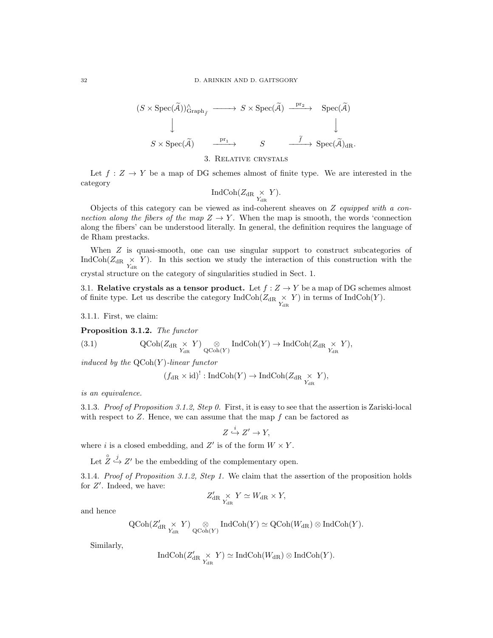$$
(S \times \text{Spec}(\widetilde{A}))^{\wedge}_{\text{Graph}_{\widetilde{f}}} \longrightarrow S \times \text{Spec}(\widetilde{A}) \xrightarrow{\text{pr}_{2}} \text{Spec}(\widetilde{A})
$$
  

$$
\downarrow \qquad \qquad \downarrow
$$
  

$$
S \times \text{Spec}(\widetilde{A}) \xrightarrow{\text{pr}_{1}} S \xrightarrow{\tilde{f}} \text{Spec}(\widetilde{A})_{\text{dR}}.
$$

3. Relative crystals

Let  $f: Z \to Y$  be a map of DG schemes almost of finite type. We are interested in the category

$$
\operatorname{IndCoh}(Z_{\operatorname{dR}} \underset{Y_{\operatorname{dR}}}{\times} Y).
$$

Objects of this category can be viewed as ind-coherent sheaves on  $Z$  equipped with a connection along the fibers of the map  $Z \rightarrow Y$ . When the map is smooth, the words 'connection along the fibers' can be understood literally. In general, the definition requires the language of de Rham prestacks.

When Z is quasi-smooth, one can use singular support to construct subcategories of IndCoh( $Z_{dR} \times Y$ ). In this section we study the interaction of this construction with the crystal structure on the category of singularities studied in Sect. 1.

3.1. Relative crystals as a tensor product. Let  $f : Z \to Y$  be a map of DG schemes almost of finite type. Let us describe the category  $\text{IndCoh}(Z_{\text{dR}} \underset{Y_{\text{dR}}}{\times} Y)$  in terms of  $\text{IndCoh}(Y)$ .

3.1.1. First, we claim:

Proposition 3.1.2. The functor

(3.1) 
$$
\mathrm{QCoh}(Z_{\mathrm{dR}} \underset{Y_{\mathrm{dR}}} \times Y) \underset{\mathrm{QCoh}(Y)}{\otimes} \mathrm{IndCoh}(Y) \to \mathrm{IndCoh}(Z_{\mathrm{dR}} \underset{Y_{\mathrm{dR}}} \times Y),
$$

induced by the  $\mathrm{QCoh}(Y)$ -linear functor

$$
(f_{\text{dR}} \times \text{id})^! : \text{IndCoh}(Y) \to \text{IndCoh}(Z_{\text{dR}} \underset{Y_{\text{dR}}}{\times} Y),
$$

is an equivalence.

3.1.3. Proof of Proposition 3.1.2, Step 0. First, it is easy to see that the assertion is Zariski-local with respect to  $Z$ . Hence, we can assume that the map  $f$  can be factored as

$$
Z \stackrel{i}{\hookrightarrow} Z' \to Y,
$$

where i is a closed embedding, and  $Z'$  is of the form  $W \times Y$ .

Let  $\stackrel{\circ}{Z} \stackrel{j}{\hookrightarrow} Z'$  be the embedding of the complementary open.

3.1.4. Proof of Proposition 3.1.2, Step 1. We claim that the assertion of the proposition holds for  $Z'$ . Indeed, we have:

$$
Z'_{\rm dR} \underset{Y_{\rm dR}}{\times} Y \simeq W_{\rm dR} \times Y,
$$

and hence

$$
\operatorname{QCoh}(Z'_{\operatorname{dR}^{\times}} \underset{Y_{\operatorname{dR}}}{\times} Y) \underset{\operatorname{QCoh}(Y)}{\otimes} \operatorname{IndCoh}(Y) \simeq \operatorname{QCoh}(W_{\operatorname{dR}}) \otimes \operatorname{IndCoh}(Y).
$$

Similarly,

$$
\operatorname{IndCoh}(Z'_{\operatorname{dR} \underset{Y_{\operatorname{dR}}}{\times} Y}) \simeq \operatorname{IndCoh}(W_{\operatorname{dR}}) \otimes \operatorname{IndCoh}(Y).
$$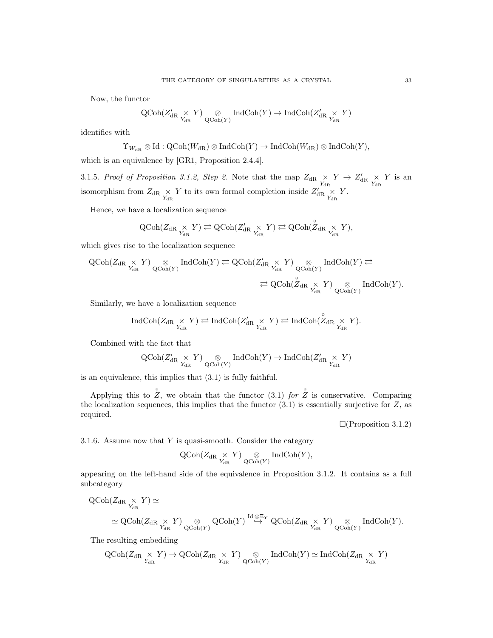Now, the functor

$$
\operatorname{QCoh}(Z'_{\operatorname{dR}.\underset{Y_{\operatorname{dR}.\phantom{A}}}{\times}Y)\underset{\operatorname{QCoh}(Y)}{\otimes}\operatorname{IndCoh}(Y)\to\operatorname{IndCoh}(Z'_{\operatorname{dR}.\underset{Y_{\operatorname{dR}.\phantom{A}}}{\times}Y)
$$

identifies with

$$
\Upsilon_{W_{\mathrm{dR}}}\otimes \mathrm{Id}: \mathrm{QCoh}(W_{\mathrm{dR}})\otimes \mathrm{IndCoh}(Y)\to \mathrm{IndCoh}(W_{\mathrm{dR}})\otimes \mathrm{IndCoh}(Y),
$$

which is an equivalence by [GR1, Proposition 2.4.4].

3.1.5. Proof of Proposition 3.1.2, Step 2. Note that the map  $Z_{\text{dR}} \times Y \rightarrow Z'_{\text{dR}} \times Y$  is an isomorphism from  $Z_{\rm dR} \underset{Y_{\rm dR}}{\times} Y$  to its own formal completion inside  $Z'_{\rm dR} \underset{Y_{\rm dR}}{\times} Y$ .

Hence, we have a localization sequence

$$
\operatorname{QCoh}(Z_{\operatorname{dR}^{\times}}\underset{Y_{\operatorname{dR}}}{\times}Y)\rightleftarrows \operatorname{QCoh}(Z'_{\operatorname{dR}}\underset{Y_{\operatorname{dR}}}{\times}Y)\rightleftarrows \operatorname{QCoh}(\overset{\circ}{Z}_{\operatorname{dR}}\underset{Y_{\operatorname{dR}}}{\times}Y),
$$

which gives rise to the localization sequence

$$
\begin{array}{ccc} \textrm{QCoh}(Z_{\textrm{dR}}\underset{Y_{\textrm{dR}}} {\times}Y) \underset{\textrm{QCoh}(Y)}{\otimes} \operatorname{IndCoh}(Y) \rightleftarrows \textrm{QCoh}(Z'_{\textrm{dR}}\underset{Y_{\textrm{dR}}} {\times}Y) \underset{\textrm{QCoh}(Y)}{\otimes} \operatorname{IndCoh}(Y) \rightleftarrows \\ \rightleftarrows \textrm{QCoh}(\overset{\circ}{Z}_{\textrm{dR}}\underset{Y_{\textrm{dR}}} {\times}Y) \underset{\textrm{QCoh}(Y)}{\otimes} \operatorname{IndCoh}(Y). \end{array}
$$

Similarly, we have a localization sequence

$$
\operatorname{IndCoh}(Z_{\operatorname{dR}^{\times}} \underset{Y_{\operatorname{dR}}}{\times} Y) \rightleftarrows \operatorname{IndCoh}(Z'_{\operatorname{dR}^{\times}} \underset{Y_{\operatorname{dR}}}{\times} Y) \rightleftarrows \operatorname{IndCoh}(\overset{\circ}{Z}_{\operatorname{dR}} \underset{Y_{\operatorname{dR}}}{\times} Y).
$$

Combined with the fact that

$$
\operatorname{QCoh}(Z'_{\operatorname{dR}^{\times}} \underset{Y_{\operatorname{dR}}}{\times} Y) \underset{\operatorname{QCoh}(Y)}{\otimes} \operatorname{IndCoh}(Y) \to \operatorname{IndCoh}(Z'_{\operatorname{dR}} \underset{Y_{\operatorname{dR}}}{\times} Y)
$$

is an equivalence, this implies that (3.1) is fully faithful.

Applying this to  $\hat{Z}$ , we obtain that the functor (3.1) for  $\hat{Z}$  is conservative. Comparing the localization sequences, this implies that the functor  $(3.1)$  is essentially surjective for Z, as required.

 $\Box$ (Proposition 3.1.2)

3.1.6. Assume now that  $Y$  is quasi-smooth. Consider the category

$$
\operatorname{QCoh}(Z_{\operatorname{dR} \underset{Y_{\operatorname{dR}}}{\times} Y) \underset{\operatorname{QCoh}(Y)}{\otimes} \operatorname{IndCoh}(Y),
$$

appearing on the left-hand side of the equivalence in Proposition 3.1.2. It contains as a full subcategory

$$
\begin{aligned} \mathrm{QCoh}(Z_{\mathrm{dR}} \underset{Y_{\mathrm{dR}}} \times Y) & \simeq \\ & \simeq \mathrm{QCoh}(Z_{\mathrm{dR}} \underset{Y_{\mathrm{dR}}} \times Y) \underset{\mathrm{QCoh}(Y)} \otimes \mathrm{QCoh}(Y) \overset{\mathrm{Id} \otimes \Xi_Y} \to \mathrm{QCoh}(Z_{\mathrm{dR}} \underset{Y_{\mathrm{dR}}} \times Y) \underset{\mathrm{QCoh}(Y)} \otimes \mathrm{IndCoh}(Y). \end{aligned}
$$

The resulting embedding

$$
\operatorname{QCoh}(Z_{\operatorname{dR}^{\times}} \underset{Y_{\operatorname{dR}}}{\times} Y) \to \operatorname{QCoh}(Z_{\operatorname{dR}} \underset{Y_{\operatorname{dR}}}{\times} Y) \underset{\operatorname{QCoh}(Y)}{\otimes} \operatorname{IndCoh}(Y) \simeq \operatorname{IndCoh}(Z_{\operatorname{dR}} \underset{Y_{\operatorname{dR}}}{\times} Y)
$$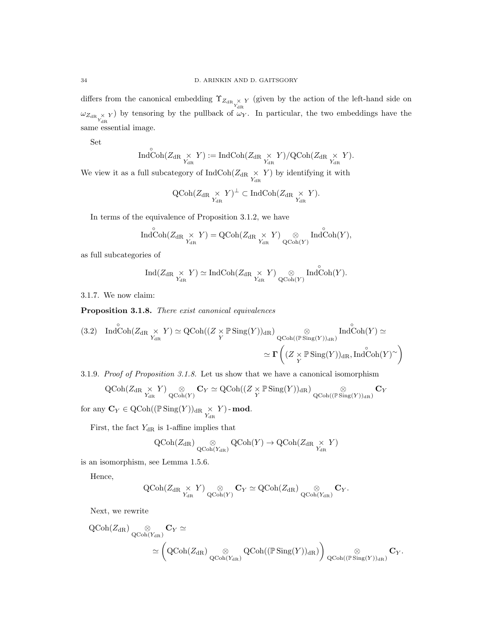differs from the canonical embedding  $\Upsilon_{Z_{dR}} \times Y$  (given by the action of the left-hand side on  $\omega_{Z_{dR} \underset{Y_{dR}}{\times} Y$ ) by tensoring by the pullback of  $\omega_Y$ . In particular, the two embeddings have the same essential image.

Set

$$
\operatorname{IndCoh}(Z_{\operatorname{dR} \underset{Y_{\operatorname{dR}}}{\times} Y) := \operatorname{IndCoh}(Z_{\operatorname{dR} \underset{Y_{\operatorname{dR}}}{\times} Y)/\operatorname{QCoh}(Z_{\operatorname{dR} \underset{Y_{\operatorname{dR}}}{\times} Y).
$$

We view it as a full subcategory of  $\text{IndCoh}(Z_{\text{dR}} \underset{Y_{\text{dR}}}{\times} Y)$  by identifying it with

$$
\operatorname{QCoh}(Z_{\operatorname{dR}} \underset{Y_{\operatorname{dR}}}{\times} Y)^{\perp} \subset \operatorname{IndCoh}(Z_{\operatorname{dR}} \underset{Y_{\operatorname{dR}}}{\times} Y).
$$

In terms of the equivalence of Proposition 3.1.2, we have

$$
\mathop{\mathrm{Ind}}\nolimits\limits^{\circ}\mathop{\mathrm{Coh}}\nolimits(Z_{\mathop{\mathrm{dR}}\nolimits}\underset{Y_{\mathop{\mathrm{dR}}\nolimits}}{\times}Y)=\mathop{\mathrm{QCoh}}\nolimits(Z_{\mathop{\mathrm{dR}}\nolimits}\underset{Y_{\mathop{\mathrm{dR}}\nolimits}}{\times}Y)\underset{\mathop{\mathrm{QCoh}}\nolimits(Y)}{\otimes}\mathop{\mathrm{Ind}}\nolimits\limits^{\circ}\mathop{\mathrm{Coh}}\nolimits(Y),
$$

as full subcategories of

◦

$$
\operatorname{Ind}(Z_{\operatorname{dR}^{\times}}\underset{Y_{\operatorname{dR}}}{\times}Y)\simeq \operatorname{IndCoh}(Z_{\operatorname{dR}}\underset{Y_{\operatorname{dR}}}{\times}Y)\underset{\operatorname{QCoh}(Y)}{\otimes}\operatorname{Ind}\overset{\circ}{\operatorname{Coh}}(Y).
$$

3.1.7. We now claim:

Proposition 3.1.8. There exist canonical equivalences

(3.2)  $\text{IndCoh}(Z_{\text{dR}} \underset{Y_{\text{dR}}}{\times} Y) \simeq \text{QCoh}((Z \underset{Y}{\times} \mathbb{P} \text{Sing}(Y))_{\text{dR}}) \underset{\text{QCoh}((\mathbb{P} \text{Sing}(Y))_{\text{dR}})}{\otimes}$ Ind $\overset{\circ}{\text{Coh}}(Y) \simeq$  $\simeq \Gamma \left( (Z \underset{Y}{\times} \mathbb{P} \operatorname{Sing}(Y))_{\operatorname{dR}}, \operatorname{Ind} \overset{\circ}{\operatorname{Coh}}(Y)_{\phantom{\big|}}^{\sim} \right)$ 

3.1.9. Proof of Proposition 3.1.8. Let us show that we have a canonical isomorphism  $\mathrm{QCoh}(Z_{\mathrm{dR}} \times Y) \quad \otimes \quad \mathbf{C}_Y \simeq \mathrm{QCoh}((Z \times \mathbb{P} \operatorname{Sing}(Y))_{\mathrm{dR}}) \quad \otimes$  $\mathbf{C}_Y$ 

$$
C_V \text{Conf}(Z_{\text{dR}} \overset{\wedge}{\underset{Y_{\text{dR}}}{\wedge}} \overset{I}{\longrightarrow} \underset{Q\text{Coh}(Y)}{\otimes} C_Y = C_V \text{conf}((Z \overset{\wedge}{\underset{Y}{\wedge}} \overset{I}{\text{ning}}(I))_{\text{dR}}) \overset{\wedge}{Q\text{Coh}((\mathbb{P}\operatorname{Sing}(Y))_{\text{dR}})}
$$

for any  $\mathbf{C}_Y \in \mathrm{QCoh}((\mathbb{P}\mathrm{Sing}(Y))_{\mathrm{dR}} \underset{Y_{\mathrm{dR}}}{\times} Y)$  - mod.

First, the fact  $Y_{\text{dR}}$  is 1-affine implies that

$$
\operatorname{QCoh}(Z_{\operatorname{dR}}) \underset{\operatorname{QCoh}(Y_{\operatorname{dR}})}{\otimes} \operatorname{QCoh}(Y) \to \operatorname{QCoh}(Z_{\operatorname{dR}} \underset{Y_{\operatorname{dR}}}{\times} Y)
$$

is an isomorphism, see Lemma 1.5.6.

Hence,

$$
\operatorname{QCoh}(Z_{\operatorname{dR}^{\times}}Y)\underset{Q\operatorname{Coh}(Y)}{\otimes} \mathbf{C}_Y \simeq \operatorname{QCoh}(Z_{\operatorname{dR}})\underset{Q\operatorname{Coh}(Y_{\operatorname{dR}})}{\otimes} \mathbf{C}_Y.
$$

Next, we rewrite

$$
\begin{aligned} \mathrm{QCoh}(Z_{\mathrm{dR}}) \underset{\mathrm{QCoh}(Y_{\mathrm{dR}})}\otimes \mathbf{C}_Y &\simeq \\ & \simeq \left(\mathrm{QCoh}(Z_{\mathrm{dR}}) \underset{\mathrm{QCoh}(Y_{\mathrm{dR}})}\otimes \mathrm{QCoh}((\mathbb{P} \, \mathrm{Sing}(Y))_{\mathrm{dR}})\right) \underset{\mathrm{QCoh}((\mathbb{P} \, \mathrm{Sing}(Y))_{\mathrm{dR}})}\otimes \mathbf{C}_Y. \end{aligned}
$$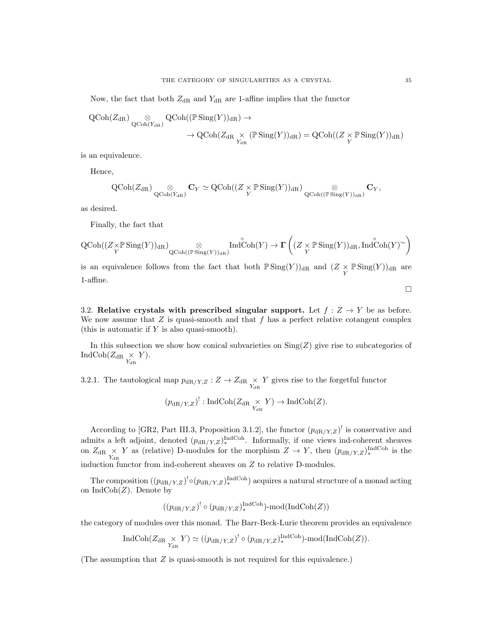Now, the fact that both  $Z_{\text{dR}}$  and  $Y_{\text{dR}}$  are 1-affine implies that the functor

$$
\begin{aligned} \mathrm{QCoh}(Z_{\mathrm{dR}}) \underset{\mathrm{QCoh}(Y_{\mathrm{dR}})}{\otimes} \mathrm{QCoh}((\mathbb{P} \operatorname{Sing}(Y))_{\mathrm{dR}}) \rightarrow \\ \rightarrow \mathrm{QCoh}(Z_{\mathrm{dR}} \underset{Y_{\mathrm{dR}}}{\times} (\mathbb{P} \operatorname{Sing}(Y))_{\mathrm{dR}}) = \mathrm{QCoh}((Z \underset{Y}{\times} \mathbb{P} \operatorname{Sing}(Y))_{\mathrm{dR}}) \end{aligned}
$$

is an equivalence.

Hence,

$$
\operatorname{QCoh}(Z_{\operatorname{dR}}) \underset{\operatorname{QCoh}(Y_{\operatorname{dR}})}{\otimes} \mathbf{C}_Y \simeq \operatorname{QCoh}((Z \times \operatorname{\mathbb{P}}\operatorname{Sing}(Y))_{\operatorname{dR}}) \underset{\operatorname{QCoh}((\operatorname{\mathbb{P}}\operatorname{Sing}(Y))_{\operatorname{dR}})}{\otimes} \mathbf{C}_Y,
$$

as desired.

Finally, the fact that

$$
\operatorname{QCoh}((Z{\underset{Y}{\times}}{\mathbb{P}}\operatorname{Sing}(Y))_{\mathrm{dR}}) \underset{\operatorname{QCoh}((\mathbb{P}}\operatorname{Sing}(Y))_{\mathrm{dR}})}{\otimes} \operatorname{Ind}^{\circ}\!\!\operatorname{Coh}(Y) \to \Gamma\left((Z {\underset{Y}{\times}}{\mathbb{P}}\operatorname{Sing}(Y))_{\mathrm{dR}}, \operatorname{Ind}^{\circ}\!\!\operatorname{Coh}(Y)^{\sim}\right)
$$

is an equivalence follows from the fact that both  $\mathbb{P} \text{Sing}(Y)$ <sub>dR</sub> and  $(Z \times \mathbb{P} \text{Sing}(Y))_{dR}$  are 1-affine.

 $\Box$ 

3.2. Relative crystals with prescribed singular support. Let  $f: Z \to Y$  be as before. We now assume that  $Z$  is quasi-smooth and that  $f$  has a perfect relative cotangent complex (this is automatic if Y is also quasi-smooth).

In this subsection we show how conical subvarieties on  $\text{Sing}(Z)$  give rise to subcategories of IndCoh $(Z_{\rm dR} \underset{Y_{\rm dR}}{\times} Y)$ .

3.2.1. The tautological map  $p_{dR/Y,Z}: Z \to Z_{dR} \underset{Y_{dR}}{\times} Y$  gives rise to the forgetful functor

$$
(p_{\mathrm{dR}/Y,Z})^!: \mathrm{IndCoh}(Z_{\mathrm{dR}}\underset{Y_{\mathrm{dR}}} \times Y) \to \mathrm{IndCoh}(Z).
$$

According to [GR2, Part III.3, Proposition 3.1.2], the functor  $(p_{\text{dR}/Y,Z})^!$  is conservative and admits a left adjoint, denoted  $(p_{dR/Y,Z})_*^{\text{IndCoh}}$ . Informally, if one views ind-coherent sheaves on  $Z_{\text{dR}} \times Y$  as (relative) D-modules for the morphism  $Z \to Y$ , then  $(p_{\text{dR}/Y,Z})_*^{\text{IndCoh}}$  is the induction functor from ind-coherent sheaves on  $Z$  to relative D-modules.

The composition  $((p_{dR/Y,Z})^! \circ (p_{dR/Y,Z})^{\text{IndCoh}})$  acquires a natural structure of a monad acting on  $\text{IndCoh}(Z)$ . Denote by

$$
((p_{\mathrm{dR}/Y,Z})^! \circ (p_{\mathrm{dR}/Y,Z})_*^{\mathrm{IndCoh}}) \text{-mod}(\mathrm{IndCoh}(Z))
$$

the category of modules over this monad. The Barr-Beck-Lurie theorem provides an equivalence

$$
\operatorname{IndCoh}(Z_{\operatorname{dR} \underset{Y_{\operatorname{dR} }}{\times} Y) \simeq ((p_{\operatorname{dR}/Y,Z})^! \circ (p_{\operatorname{dR}/Y,Z})_*^{\operatorname{IndCoh}}) \text{-mod}(\operatorname{IndCoh}(Z)).
$$

(The assumption that  $Z$  is quasi-smooth is not required for this equivalence.)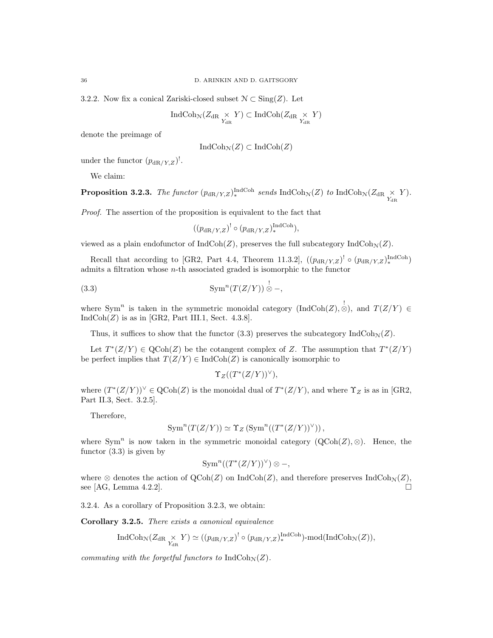3.2.2. Now fix a conical Zariski-closed subset  $\mathcal{N} \subset \text{Sing}(Z)$ . Let

$$
\operatorname{IndCoh}_{\mathcal{N}}(Z_{\operatorname{dR}}\underset{Y_{\operatorname{dR}}}{\times}Y)\subset\operatorname{IndCoh}(Z_{\operatorname{dR}}\underset{Y_{\operatorname{dR}}}{\times}Y)
$$

denote the preimage of

$$
IndCoh_{\mathcal{N}}(Z) \subset IndCoh(Z)
$$

under the functor  $(p_{\mathrm{dR}/Y,Z})^!$ .

We claim:

**Proposition 3.2.3.** The functor  $(p_{dR/Y,Z})_*^{\text{IndCoh}}$  sends  $\text{IndCoh}_{\mathcal{N}}(Z)$  to  $\text{IndCoh}_{\mathcal{N}}(Z_{dR} \times Y)$ .

Proof. The assertion of the proposition is equivalent to the fact that

$$
((p_{\mathrm{dR}/Y,Z})^! \circ (p_{\mathrm{dR}/Y,Z})_*^{\mathrm{IndCoh}}),
$$

viewed as a plain endofunctor of  $\text{IndCoh}(Z)$ , preserves the full subcategory  $\text{IndCoh}_{N}(Z)$ .

Recall that according to [GR2, Part 4.4, Theorem 11.3.2],  $((p_{\text{dR}/Y,Z})^! \circ (p_{\text{dR}/Y,Z})^{\text{IndCoh}})$ admits a filtration whose n-th associated graded is isomorphic to the functor

$$
(3.3) \t\t\t\tSym^n(T(Z/Y))\overset{!}{\otimes}-,
$$

where Sym<sup>n</sup> is taken in the symmetric monoidal category (IndCoh(Z),  $\&$ ), and  $T(Z/Y) \in$  $IndCoh(Z)$  is as in [GR2, Part III.1, Sect. 4.3.8].

Thus, it suffices to show that the functor (3.3) preserves the subcategory  $\text{IndCoh}_{\mathcal{N}}(Z)$ .

Let  $T^*(Z/Y) \in \text{QCoh}(Z)$  be the cotangent complex of Z. The assumption that  $T^*(Z/Y)$ be perfect implies that  $T(Z/Y) \in \text{IndCoh}(Z)$  is canonically isomorphic to

$$
\Upsilon_Z((T^*(Z/Y))^{\vee}),
$$

where  $(T^*(Z/Y))^{\vee} \in \text{QCoh}(Z)$  is the monoidal dual of  $T^*(Z/Y)$ , and where  $\Upsilon_Z$  is as in [GR2, Part II.3, Sect. 3.2.5].

Therefore,

$$
\operatorname{Sym}^n(T(Z/Y)) \simeq \Upsilon_Z \left( \operatorname{Sym}^n((T^*(Z/Y))^{\vee}) \right),
$$

where Sym<sup>n</sup> is now taken in the symmetric monoidal category  $(QCoh(Z), \otimes)$ . Hence, the functor (3.3) is given by

$$
\operatorname{Sym}^n((T^*(Z/Y))^{\vee})\otimes -
$$

where ⊗ denotes the action of  $\mathrm{QCoh}(Z)$  on IndCoh(Z), and therefore preserves IndCoh<sub>N</sub>(Z), see [AG, Lemma 4.2.2].

3.2.4. As a corollary of Proposition 3.2.3, we obtain:

Corollary 3.2.5. There exists a canonical equivalence

$$
\operatorname{IndCoh}_{\mathcal{N}}(Z_{\mathrm{dR}} \underset{Y_{\mathrm{dR}}}{\times} Y) \simeq ((p_{\mathrm{dR}/Y,Z})^! \circ (p_{\mathrm{dR}/Y,Z})^{\operatorname{IndCoh}}_*) \text{-mod}(\operatorname{IndCoh}_{\mathcal{N}}(Z)),
$$

commuting with the forgetful functors to  $\text{IndCoh}_{\mathcal{N}}(Z)$ .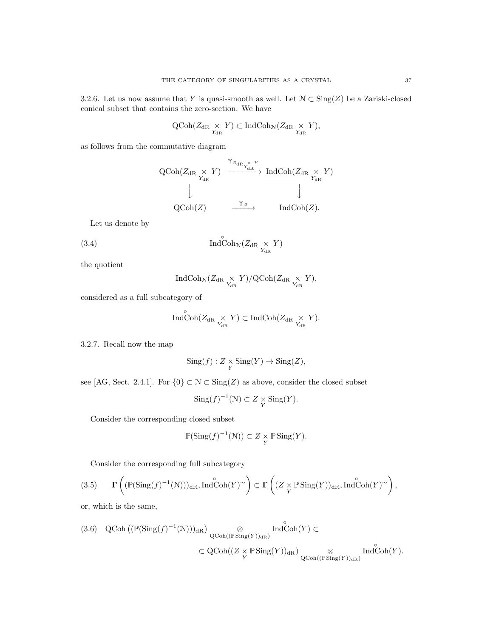3.2.6. Let us now assume that Y is quasi-smooth as well. Let  $\mathcal{N} \subset \text{Sing}(Z)$  be a Zariski-closed conical subset that contains the zero-section. We have

$$
\operatorname{QCoh}(Z_{\operatorname{dR}^{\times}} \underset{Y_{\operatorname{dR}}}{\times} Y) \subset \operatorname{IndCoh}_{\mathcal{N}}(Z_{\operatorname{dR}} \underset{Y_{\operatorname{dR}}}{\times} Y),
$$

as follows from the commutative diagram

$$
\begin{array}{ccc}\n\text{QCoh}(Z_{\text{dR}} \underset{Y_{\text{dR}}} \times Y) & \xrightarrow{\Upsilon_{Z_{\text{dR}}}} \text{IndCoh}(Z_{\text{dR}} \underset{Y_{\text{dR}}} \times Y) \\
& & \downarrow \qquad & \downarrow \qquad & \downarrow \qquad & \downarrow \qquad & \downarrow \\
\text{QCoh}(Z) & \xrightarrow{\Upsilon_Z} & & \text{IndCoh}(Z).\n\end{array}
$$

Let us denote by

(3.4) 
$$
\operatorname{Ind}^{\circ}\operatorname{Coh}_{\mathcal{N}}(Z_{\mathrm{dR}} \underset{Y_{\mathrm{dR}}}{\times} Y)
$$

the quotient

$$
\operatorname{IndCoh}_{\mathcal{N}}(Z_{\mathrm{dR}} \underset{Y_{\mathrm{dR}}}{\times} Y)/\mathrm{QCoh}(Z_{\mathrm{dR}} \underset{Y_{\mathrm{dR}}}{\times} Y),
$$

considered as a full subcategory of

$$
\operatorname{Ind}\nolimits_{\operatorname{Coh}\nolimits}^{\circ} (Z_{\operatorname{dR}\nolimits} \underset{Y_{\operatorname{dR}\nolimits}}{\times} Y) \subset \operatorname{Ind}\nolimits_{\operatorname{Coh}\nolimits} (Z_{\operatorname{dR}\nolimits} \underset{Y_{\operatorname{dR}\nolimits}}{\times} Y).
$$

3.2.7. Recall now the map

$$
Sing(f): Z \underset{Y}{\times} Sing(Y) \to Sing(Z),
$$

see [AG, Sect. 2.4.1]. For  $\{0\} \subset \mathcal{N} \subset \text{Sing}(Z)$  as above, consider the closed subset

$$
\operatorname{Sing}(f)^{-1}(\mathcal{N}) \subset Z \underset{Y}{\times} \operatorname{Sing}(Y).
$$

Consider the corresponding closed subset

$$
\mathbb{P}(\mathrm{Sing}(f)^{-1}(\mathcal{N})) \subset Z \underset{Y}{\times} \mathbb{P}\mathrm{Sing}(Y).
$$

Consider the corresponding full subcategory

(3.5) 
$$
\mathbf{\Gamma}\left((\mathbb{P}(\text{Sing}(f)^{-1}(\mathcal{N})))_{dR}, \text{Ind}^{\circ}\text{Coh}(Y)^{\sim}\right) \subset \mathbf{\Gamma}\left((Z \underset{Y}{\times} \mathbb{P}\text{Sing}(Y))_{dR}, \text{Ind}^{\circ}\text{Coh}(Y)^{\sim}\right),
$$

or, which is the same,

$$
(3.6) \quad \text{QCoh}\left((\mathbb{P}(\text{Sing}(f)^{-1}(\mathcal{N})))_{\text{dR}}\right) \underset{\text{QCoh}\left((\mathbb{P}\operatorname{Sing}(Y))_{\text{dR}}\right)}{\otimes} \text{Ind}\overset{\circ}{\text{Coh}}(Y) \subset
$$
  

$$
\subset \text{QCoh}\left((Z \times \mathbb{P}\operatorname{Sing}(Y))_{\text{dR}}\right) \underset{\text{QCoh}\left((\mathbb{P}\operatorname{Sing}(Y))_{\text{dR}}\right)}{\otimes} \text{Ind}\overset{\circ}{\text{Coh}}(Y).
$$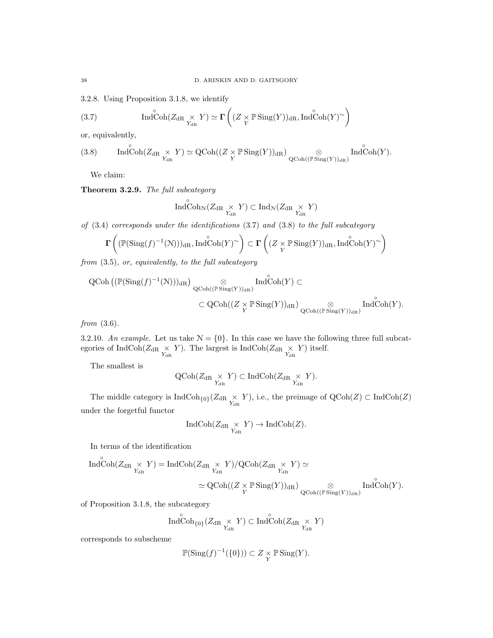3.2.8. Using Proposition 3.1.8, we identify

(3.7) 
$$
\operatorname{Ind}\operatorname{Coh}(Z_{\operatorname{dR} \underset{Y_{\operatorname{dR}}}{\times} Y) \simeq \Gamma\left((Z \underset{Y}{\times} \mathbb{P} \operatorname{Sing}(Y))_{\operatorname{dR}} , \operatorname{Ind}\operatorname{Coh}(Y)^{\sim}\right)
$$

or, equivalently,

(3.8) 
$$
\operatorname{Ind}\operatorname{Coh}(Z_{\operatorname{dR} \underset{Y_{\operatorname{dR}}}{\times} Y) \simeq \operatorname{QCoh}((Z \underset{Y}{\times} \mathbb{P} \operatorname{Sing}(Y))_{\operatorname{dR}}) \underset{\operatorname{QCoh}((\mathbb{P} \operatorname{Sing}(Y))_{\operatorname{dR}})}{\otimes} \operatorname{Ind}\operatorname{Coh}(Y).
$$

We claim:

Theorem 3.2.9. The full subcategory

$$
\operatorname{Ind}\nolimits_{\operatorname{Coh}\nolimits_{\mathcal{N}}}(Z_{\operatorname{dR}\nolimits} \underset{Y_{\operatorname{dR}\nolimits}}{\times} Y) \subset \operatorname{Ind}\nolimits_{\mathcal{N}}(Z_{\operatorname{dR}\nolimits} \underset{Y_{\operatorname{dR}\nolimits}}{\times} Y)
$$

of (3.4) corresponds under the identifications (3.7) and (3.8) to the full subcategory

$$
\mathbf{\Gamma}\left((\mathbb{P}(\mathrm{Sing}(f)^{-1}(\mathbb{N})))_{\mathrm{dR}},\mathrm{Ind}\overset{\circ}{\mathrm{Coh}}(Y)^{\sim}\right)\subset\mathbf{\Gamma}\left((Z\underset{Y}{\times}\mathbb{P}\,\mathrm{Sing}(Y))_{\mathrm{dR}},\mathrm{Ind}\overset{\circ}{\mathrm{Coh}}(Y)^{\sim}\right)
$$

from (3.5), or, equivalently, to the full subcategory

$$
\begin{array}{ll}\mathrm{QCoh}\left((\mathbb{P}(\mathrm{Sing}(f)^{-1}(\mathbb{N}))\right)_{\mathrm{dR}}) & \underset{\mathrm{QCoh}((\mathbb{P}\operatorname{Sing}(Y))_{\mathrm{dR}})}{\otimes} \mathrm{Ind}\overset{\circ}{\mathrm{Coh}}(Y) \subset \\ & \subset \mathrm{QCoh}((Z \times \mathbb{P}\operatorname{Sing}(Y))_{\mathrm{dR}}) & \underset{\mathrm{QCoh}((\mathbb{P}\operatorname{Sing}(Y))_{\mathrm{dR}})}{\otimes} \mathrm{Ind}\overset{\circ}{\mathrm{Coh}}(Y).\end{array}
$$

from  $(3.6)$ .

3.2.10. An example. Let us take  $\mathcal{N} = \{0\}$ . In this case we have the following three full subcategories of IndCoh( $Z_{\text{dR}} \underset{Y_{\text{dR}}}{\times} Y$ ). The largest is IndCoh( $Z_{\text{dR}} \underset{Y_{\text{dR}}}{\times} Y$ ) itself.

The smallest is

$$
\operatorname{QCoh}(Z_{\operatorname{dR} \underset{Y_{\operatorname{dR}}}{\times} Y) \subset \operatorname{IndCoh}(Z_{\operatorname{dR} \underset{Y_{\operatorname{dR}}}{\times} Y).
$$

The middle category is  $\text{IndCoh}_{{0}}(Z_{dR} \times Y)$ , i.e., the preimage of  $\text{QCoh}(Z) \subset \text{IndCoh}(Z)$ under the forgetful functor

$$
\operatorname{IndCoh}(Z_{\operatorname{dR} \underset{Y_{\operatorname{dR}}}{\times} Y}) \to \operatorname{IndCoh}(Z).
$$

In terms of the identification

$$
\begin{aligned} \operatorname{Ind}\nolimits^{\circ}\!\!\operatorname{Coh}\nolimits(Z_{\operatorname{dR}\nolimits} &\underset{Y_{\operatorname{dR}\nolimits}}{\times} Y) = \operatorname{Ind}\nolimits \operatorname{Coh}\nolimits(Z_{\operatorname{dR}\nolimits} &\underset{Y_{\operatorname{dR}\nolimits}}{\times} Y)/{\operatorname{QCoh}\nolimits}(Z_{\operatorname{dR}\nolimits} &\underset{Y_{\operatorname{dR}\nolimits}}{\times} Y) \simeq \\ &\simeq \operatorname{QCoh}\nolimits((Z \underset{Y}{\times} \operatorname{\mathbb{P}}\nolimits\operatorname{Sing}(Y))_{\operatorname{dR}\nolimits}) \underset{\operatorname{QCoh}\nolimits((\operatorname{\mathbb{P}}\nolimits\operatorname{Sing}(Y))_{\operatorname{dR}\nolimits})}{\otimes} \operatorname{Ind}\nolimits^{\circ}\!\!\operatorname{Coh}\nolimits(Y). \end{aligned}
$$

of Proposition 3.1.8, the subcategory

$$
\mathop{\mathrm{Ind}}\nolimits\limits^{\circ}\mathop{\mathrm{Coh}}\nolimits_{\{0\}}(Z_{\mathop{\mathrm{dR}}\nolimits} \underset{Y_{\mathop{\mathrm{dR}}\nolimits}}{\times} Y) \subset \mathop{\mathrm{Ind}}\nolimits\limits^{\circ}\mathop{\mathrm{Coh}}\nolimits(Z_{\mathop{\mathrm{dR}}\nolimits} \underset{Y_{\mathop{\mathrm{dR}}\nolimits}}{\times} Y)
$$

corresponds to subscheme

$$
\mathbb{P}(\mathrm{Sing}(f)^{-1}(\{0\})) \subset Z \underset{Y}{\times} \mathbb{P} \operatorname{Sing}(Y).
$$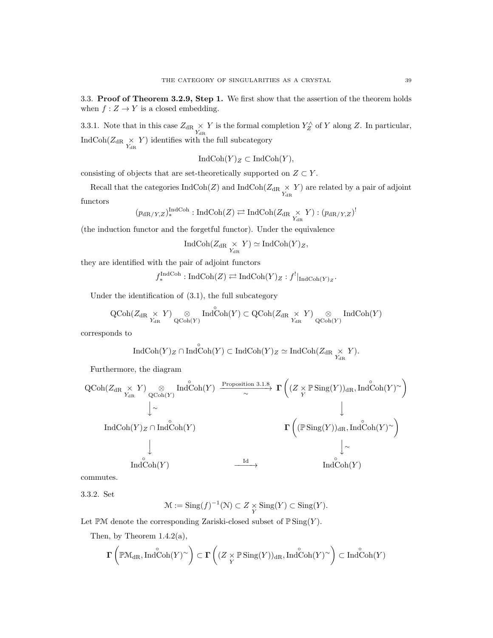3.3. Proof of Theorem 3.2.9, Step 1. We first show that the assertion of the theorem holds when  $f: Z \to Y$  is a closed embedding.

3.3.1. Note that in this case  $Z_{\text{dR}} \times Y$  is the formal completion  $Y_Z^{\wedge}$  of Y along Z. In particular, IndCoh( $Z_{\text{dR}} \underset{Y_{\text{dR}}}{\times} Y$ ) identifies with the full subcategory

$$
IndCoh(Y)_Z \subset IndCoh(Y),
$$

consisting of objects that are set-theoretically supported on  $Z \subset Y$ .

Recall that the categories  $\text{IndCoh}(Z)$  and  $\text{IndCoh}(Z_{\text{dR}} \times Y)$  are related by a pair of adjoint functors

$$
(p_{\mathrm{dR}/Y,Z})_*^{\mathrm{IndCoh}}: \mathrm{IndCoh}(Z) \rightleftarrows \mathrm{IndCoh}(Z_{\mathrm{dR}} \underset{Y_{\mathrm{dR}}}{\times} Y) : (p_{\mathrm{dR}/Y,Z})^!
$$

(the induction functor and the forgetful functor). Under the equivalence

$$
\operatorname{IndCoh}(Z_{\operatorname{dR} \underset{Y_{\operatorname{dR}}}{\times} Y) \simeq \operatorname{IndCoh}(Y)_Z,
$$

they are identified with the pair of adjoint functors

 $f_*^{\text{IndCoh}}: \text{IndCoh}(Z) \rightleftarrows \text{IndCoh}(Y)_Z : f^!|_{\text{IndCoh}(Y)_Z}.$ 

Under the identification of (3.1), the full subcategory

$$
\operatorname{QCoh}(Z_{\operatorname{dR}^{-} \times_{\operatorname{dR}^{}} Y}) \underset{\operatorname{QCoh}(Y)}{\otimes} \operatorname{Ind}\nolimits\operatorname{Coh}(Y) \subset \operatorname{QCoh}(Z_{\operatorname{dR}^{-} \times_{\operatorname{dR}^{-} Y})} \underset{\operatorname{QCoh}(Y)}{\otimes} \operatorname{Ind}\nolimits\operatorname{Coh}(Y)
$$

corresponds to

$$
\operatorname{IndCoh}(Y)_Z \cap \operatorname{Ind}\nolimits^{\circ}\operatorname{Coh}(Y) \subset \operatorname{IndCoh}(Y)_Z \simeq \operatorname{IndCoh}(\mathbb{Z}_{\operatorname{dR}} \underset{Y_{\operatorname{dR}}}{\times} Y).
$$

Furthermore, the diagram

$$
\begin{array}{ccc}\n\text{QCoh}(Z_{\text{dR}} \underset{Y_{\text{dR}}} \times Y) \underset{\text{QCoh}(Y)}{\otimes} \text{Ind}\overset{\circ}{\text{Coh}(Y)} & \xrightarrow{\text{Proposition 3.1.8}} \Gamma\left((Z \underset{Y}{\times} \mathbb{P} \text{Sing}(Y))_{\text{dR}}, \text{Ind}\overset{\circ}{\text{Coh}(Y)}{}^{\circ}\right) \\
& \downarrow & & \downarrow & & \downarrow \\
\text{Ind}\text{Coh}(Y)_{Z} \cap \text{Ind}\overset{\circ}{\text{Coh}(Y)} & & \rightharpoonup \Gamma\left((\mathbb{P} \text{Sing}(Y))_{\text{dR}}, \text{Ind}\overset{\circ}{\text{Coh}(Y)}{}^{\circ}\right) \\
& & \downarrow & & \downarrow \\
& & \text{Ind}\overset{\circ}{\text{Coh}(Y)} & & \xrightarrow{\text{Id}} & & \text{Ind}\overset{\circ}{\text{Coh}(Y)} \\
& & & \downarrow & & \downarrow \\
& & & \text{Ind}\overset{\circ}{\text{Coh}(Y)} & & & \xrightarrow{\text{Id}} & & \text{Ind}\overset{\circ}{\text{Coh}(Y)}\n\end{array}
$$

commutes.

3.3.2. Set

$$
\mathcal{M} := \mathrm{Sing}(f)^{-1}(\mathcal{N}) \subset Z \underset{Y}{\times} \mathrm{Sing}(Y) \subset \mathrm{Sing}(Y).
$$

Let  $\mathbb{P} \mathcal{M}$  denote the corresponding Zariski-closed subset of  $\mathbb{P} \operatorname{Sing}(Y)$ .

Then, by Theorem  $1.4.2(a)$ ,

$$
\boldsymbol{\Gamma}\left(\mathbb{P}\mathbb{M}_{\mathrm{dR}},\mathrm{Ind}\overset{\circ}{\mathrm{Coh}}(Y)^{\sim}\right)\subset\boldsymbol{\Gamma}\left((Z\times_{Y}\mathbb{P}\operatorname{Sing}(Y))_{\mathrm{dR}},\mathrm{Ind}\overset{\circ}{\mathrm{Coh}}(Y)^{\sim}\right)\subset\operatorname{Ind}\overset{\circ}{\mathrm{Coh}}(Y)
$$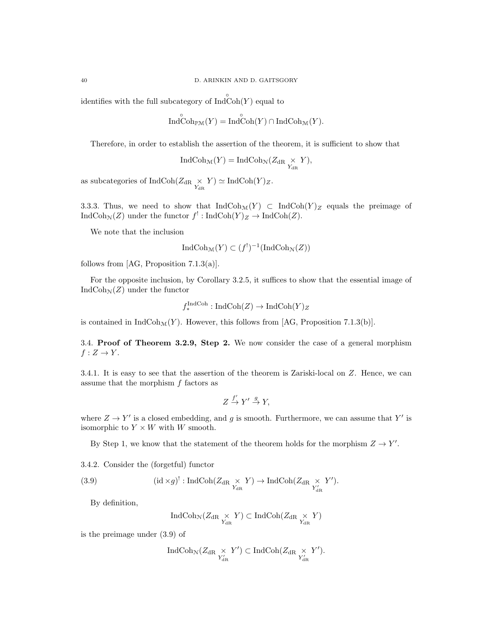identifies with the full subcategory of  $\text{Ind}\, \text{Coh}(Y)$  equal to

$$
\mathop{\rm Ind}\nolimits\limits^{\circ}\mathop{\rm Coh}\nolimits_{\mathbb{P}\mathcal{M}}(Y)=\mathop{\rm Ind}\nolimits\limits^{\circ}\mathop{\rm Coh}\nolimits(Y)\cap\mathop{\rm Ind}\nolimits\mathop{\rm Coh}\nolimits_{\mathcal{M}}(Y).
$$

Therefore, in order to establish the assertion of the theorem, it is sufficient to show that

$$
\operatorname{IndCoh}_{\mathcal{M}}(Y) = \operatorname{IndCoh}_{\mathcal{N}}(Z_{\operatorname{dR}} \underset{Y_{\operatorname{dR}}}{\times} Y),
$$

as subcategories of  $\text{IndCoh}(Z_{\text{dR}} \underset{Y_{\text{dR}}}{\times} Y) \simeq \text{IndCoh}(Y)_Z.$ 

3.3.3. Thus, we need to show that  $\text{IndCoh}_{\mathcal{M}}(Y) \subset \text{IndCoh}(Y)_{Z}$  equals the preimage of  $\text{IndCoh}_{\mathcal{N}}(Z)$  under the functor  $f^!: \text{IndCoh}(Y)_Z \to \text{IndCoh}(Z)$ .

We note that the inclusion

$$
IndCoh_{\mathcal{M}}(Y) \subset (f^!)^{-1}(IndCoh_{\mathcal{N}}(Z))
$$

follows from [AG, Proposition 7.1.3(a)].

For the opposite inclusion, by Corollary 3.2.5, it suffices to show that the essential image of  $\text{IndCoh}_{\mathcal{N}}(Z)$  under the functor

$$
f_*^{\text{IndCoh}} : \text{IndCoh}(Z) \to \text{IndCoh}(Y)_Z
$$

is contained in  $IndCoh_{\mathcal{M}}(Y)$ . However, this follows from [AG, Proposition 7.1.3(b)].

3.4. Proof of Theorem 3.2.9, Step 2. We now consider the case of a general morphism  $f: Z \to Y$ .

3.4.1. It is easy to see that the assertion of the theorem is Zariski-local on Z. Hence, we can assume that the morphism f factors as

$$
Z \xrightarrow{f'} Y' \xrightarrow{g} Y,
$$

where  $Z \to Y'$  is a closed embedding, and g is smooth. Furthermore, we can assume that Y' is isomorphic to  $Y \times W$  with W smooth.

By Step 1, we know that the statement of the theorem holds for the morphism  $Z \to Y'$ .

3.4.2. Consider the (forgetful) functor

(3.9) 
$$
(\mathrm{id} \times g)^!: \mathrm{IndCoh}(Z_{\mathrm{dR}} \underset{Y_{\mathrm{dR}}}{\times} Y) \to \mathrm{IndCoh}(Z_{\mathrm{dR}} \underset{Y'_{\mathrm{dR}}}{\times} Y').
$$

By definition,

$$
\operatorname{IndCoh}_{\mathcal{N}}(Z_{\operatorname{dR}} \underset{Y_{\operatorname{dR}}}{\times} Y) \subset \operatorname{IndCoh}(Z_{\operatorname{dR}} \underset{Y_{\operatorname{dR}}}{\times} Y)
$$

is the preimage under (3.9) of

$$
\operatorname{IndCoh}_{\mathcal{N}}(Z_{\mathrm{dR}} \underset{Y'_{\mathrm{dR}}}{\times} Y') \subset \operatorname{IndCoh}(Z_{\mathrm{dR}} \underset{Y'_{\mathrm{dR}}}{\times} Y').
$$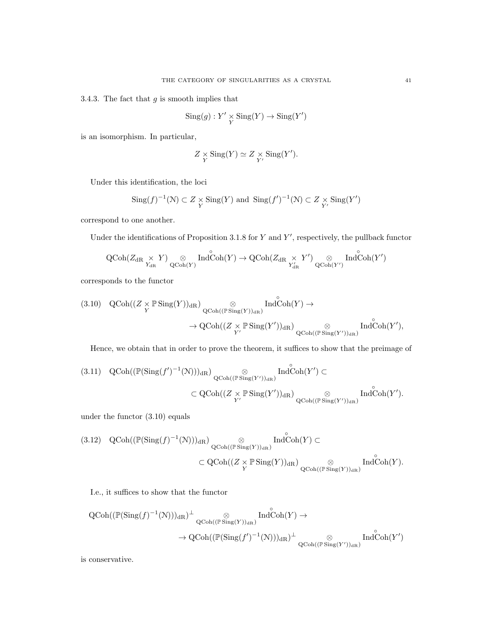3.4.3. The fact that  $g$  is smooth implies that

$$
Sing(g): Y' \underset{Y}{\times} Sing(Y) \to Sing(Y')
$$

is an isomorphism. In particular,

$$
Z \underset{Y}{\times} \text{Sing}(Y) \simeq Z \underset{Y'}{\times} \text{Sing}(Y').
$$

Under this identification, the loci

$$
\operatorname{Sing}(f)^{-1}(\mathcal{N}) \subset Z \underset{Y}{\times} \operatorname{Sing}(Y) \text{ and } \operatorname{Sing}(f')^{-1}(\mathcal{N}) \subset Z \underset{Y'}{\times} \operatorname{Sing}(Y')
$$

correspond to one another.

Under the identifications of Proposition 3.1.8 for  $Y$  and  $Y'$ , respectively, the pullback functor

$$
\operatorname{QCoh}(Z_{\operatorname{dR}^{\vphantom{\dagger}}\times Y})\underset{\operatorname{QCoh}(Y)}{\otimes}\operatorname{Ind}\nolimits\operatorname{Coh}(Y)\to \operatorname{QCoh}(Z_{\operatorname{dR}^{\vphantom{\dagger}}\times Y'})\underset{\operatorname{Y}'_{\operatorname{dR}}}{\otimes}\operatorname{Ind}\nolimits\operatorname{Coh}(Y')
$$

corresponds to the functor

$$
\begin{array}{ll} \text{(3.10)} & \mathrm{QCoh}((Z \times \mathbb{P} \operatorname{Sing}(Y))_{\mathrm{dR}}) \underset{\mathrm{QCoh}((\mathbb{P} \operatorname{Sing}(Y))_{\mathrm{dR}})}{\otimes} \mathrm{Ind}^{\circ}\mathrm{Coh}(Y) \to \\ & \to \mathrm{QCoh}((Z \times \mathbb{P} \operatorname{Sing}(Y'))_{\mathrm{dR}}) \underset{\mathrm{QCoh}((\mathbb{P} \operatorname{Sing}(Y'))_{\mathrm{dR}})}{\otimes} \mathrm{Ind}^{\circ}\mathrm{Coh}(Y'), \end{array}
$$

Hence, we obtain that in order to prove the theorem, it suffices to show that the preimage of

$$
(3.11) \quad \operatorname{QCoh}((\mathbb{P}(\operatorname{Sing}(f')^{-1}(\mathbb{N})))_{\mathrm{dR}}) \underset{\mathbb{Q}\operatorname{Coh}((\mathbb{P}\operatorname{Sing}(Y'))_{\mathrm{dR}})}{\otimes} \operatorname{Ind\overset{\circ}{\operatorname{Coh}}(Y')_{\mathrm{dR}})} (\operatorname{Ind\overset{\circ}{\operatorname{Coh}}(Y') \subset
$$
  

$$
\subset \operatorname{QCoh}((Z \underset{Y'}{\times} \mathbb{P}\operatorname{Sing}(Y'))_{\mathrm{dR}}) \underset{\mathbb{Q}\operatorname{Coh}((\mathbb{P}\operatorname{Sing}(Y'))_{\mathrm{dR}})}{\otimes} \operatorname{Ind\overset{\circ}{\operatorname{Coh}}(Y')_{\mathrm{dR}}},
$$

under the functor (3.10) equals

$$
(3.12) QCoh((\mathbb{P}(\mathrm{Sing}(f)^{-1}(\mathcal{N})))_{\mathrm{dR}}) \underset{\mathrm{QCoh}((\mathbb{P}\mathrm{Sing}(Y))_{\mathrm{dR}})}{\otimes} \mathrm{Ind}^{\circ}\mathrm{Coh}(Y) \subset
$$
  

$$
\subset \mathrm{QCoh}((Z \times \mathbb{P}\mathrm{Sing}(Y))_{\mathrm{dR}}) \underset{\mathrm{QCoh}((\mathbb{P}\mathrm{Sing}(Y))_{\mathrm{dR}})}{\otimes} \mathrm{Ind}^{\circ}\mathrm{Coh}(Y).
$$

I.e., it suffices to show that the functor

$$
\begin{aligned} \mathrm{QCoh}((\mathbb{P}(\mathrm{Sing}(f)^{-1}(\mathbb{N})))_{\mathrm{dR}})^{\perp}\underset{\mathrm{QCoh}((\mathbb{P} \mathrm{Sing}(Y))_{\mathrm{dR}})}{\otimes} \mathrm{Ind}\overset{\circ}{\mathrm{Coh}}(Y) \rightarrow \\ &\to \mathrm{QCoh}((\mathbb{P}(\mathrm{Sing}(f')^{-1}(\mathbb{N})))_{\mathrm{dR}})^{\perp}\underset{\mathrm{QCoh}((\mathbb{P} \mathrm{Sing}(Y'))_{\mathrm{dR}})}{\otimes} \mathrm{Ind}\overset{\circ}{\mathrm{Coh}}(Y') \end{aligned}
$$

is conservative.

◦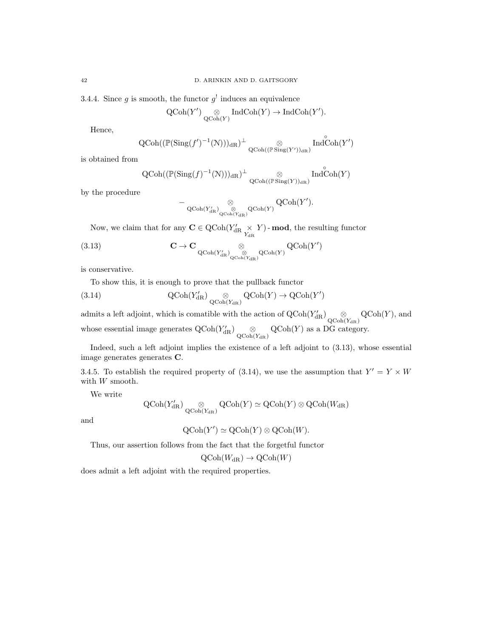3.4.4. Since g is smooth, the functor  $g^{\dagger}$  induces an equivalence

$$
\operatorname{QCoh}(Y') \underset{\operatorname{QCoh}(Y)}{\otimes} \operatorname{IndCoh}(Y) \to \operatorname{IndCoh}(Y').
$$

Hence,

$$
\operatorname{QCoh}((\operatorname{\mathbb P}(\operatorname{Sing}(f')^{-1}({\mathcal N})))_{\mathrm{dR}})^\perp \underset{\operatorname{QCoh}((\operatorname{\mathbb P} \operatorname{Sing}(Y'))_{\mathrm{dR}})}{\otimes} \operatorname{Ind}^\circ_{\operatorname{Coh}(Y')}
$$

is obtained from

$$
\operatorname{QCoh}((\operatorname{\mathbb{P}}(\operatorname{Sing}(f)^{-1}(\mathcal{N})))_{\mathrm{dR}})^{\perp} \underset{\operatorname{QCoh}((\operatorname{\mathbb{P}}\operatorname{Sing}(Y))_{\mathrm{dR}})}{\otimes} \operatorname{Ind}^{\circ}\operatorname{Coh}(Y)
$$

by the procedure

$$
- \mathop{\otimes} \limits_{\mathrm{QCoh}(Y'_{\mathrm{dR}})} \mathop{\otimes} \limits_{\mathrm{QCoh}(Y_{\mathrm{dR}})} \mathrm{QCoh}(Y) } \mathrm{QCoh}(Y').
$$

Now, we claim that for any  $\mathbf{C} \in \text{QCoh}(Y_{\text{dR}}' \times Y)$  - **mod**, the resulting functor

(3.13) 
$$
\mathbf{C} \to \mathbf{C} \underset{\mathrm{QCoh}(Y'_{\mathrm{dR}})_{\mathrm{QCoh}(Y_{\mathrm{dR}})} \otimes \mathrm{QCoh}(Y)}{\otimes} \mathrm{QCoh}(Y')
$$

is conservative.

To show this, it is enough to prove that the pullback functor

(3.14) 
$$
\operatorname{QCoh}(Y'_{\mathrm{dR}}) \underset{\operatorname{QCoh}(Y_{\mathrm{dR}})}{\otimes} \operatorname{QCoh}(Y) \to \operatorname{QCoh}(Y')
$$

admits a left adjoint, which is comatible with the action of  $\mathrm{QCoh}(Y'_{\mathrm{dR}}) \underset{\mathrm{QCoh}(Y_{\mathrm{dR}})}{\otimes} \mathrm{QCoh}(Y)$ , and whose essential image generates  $Q\text{Coh}(Y'_{\text{dR}})$   $\underset{Q\text{Coh}(Y_{\text{dR}})}{\otimes}$   $Q\text{Coh}(Y)$  as a DG category.

Indeed, such a left adjoint implies the existence of a left adjoint to (3.13), whose essential image generates generates C.

3.4.5. To establish the required property of (3.14), we use the assumption that  $Y' = Y \times W$ with  $W$  smooth.

We write

$$
\operatorname{QCoh}(Y'_{\operatorname{dR}}) \underset{\operatorname{QCoh}(Y_{\operatorname{dR}})}{\otimes} \operatorname{QCoh}(Y) \simeq \operatorname{QCoh}(Y) \otimes \operatorname{QCoh}(W_{\operatorname{dR}})
$$

and

$$
\mathrm{QCoh}(Y') \simeq \mathrm{QCoh}(Y) \otimes \mathrm{QCoh}(W).
$$

Thus, our assertion follows from the fact that the forgetful functor

$$
\text{QCoh}(W_{\mathrm{dR}}) \to \text{QCoh}(W)
$$

does admit a left adjoint with the required properties.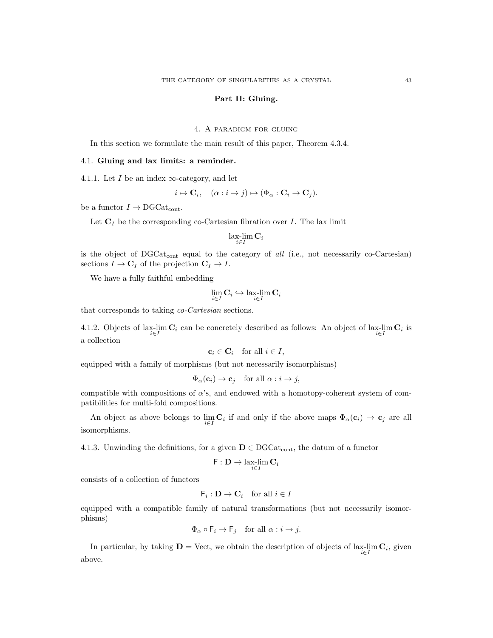### Part II: Gluing.

# 4. A paradigm for gluing

In this section we formulate the main result of this paper, Theorem 4.3.4.

## 4.1. Gluing and lax limits: a reminder.

4.1.1. Let I be an index  $\infty$ -category, and let

$$
i \mapsto \mathbf{C}_i, \quad (\alpha : i \to j) \mapsto (\Phi_\alpha : \mathbf{C}_i \to \mathbf{C}_j).
$$

be a functor  $I \rightarrow \text{DGCat}_{\text{cont}}$ .

Let  $C_I$  be the corresponding co-Cartesian fibration over I. The lax limit

$$
\operatorname*{lax-lim}_{i\in I}\mathbf{C}_{i}
$$

is the object of  $DGCat_{cont}$  equal to the category of all (i.e., not necessarily co-Cartesian) sections  $I \to \mathbf{C}_I$  of the projection  $\mathbf{C}_I \to I$ .

We have a fully faithful embedding

$$
\lim_{i \in I} \mathbf{C}_i \hookrightarrow \lim_{i \in I} \mathbf{C}_i
$$

that corresponds to taking co-Cartesian sections.

4.1.2. Objects of lax-lim  $\mathbf{C}_i$  can be concretely described as follows: An object of lax-lim  $\mathbf{C}_i$  is a collection

$$
\mathbf{c}_i \in \mathbf{C}_i \quad \text{for all } i \in I,
$$

equipped with a family of morphisms (but not necessarily isomorphisms)

$$
\Phi_{\alpha}(\mathbf{c}_i) \to \mathbf{c}_j \quad \text{for all } \alpha : i \to j,
$$

compatible with compositions of  $\alpha$ 's, and endowed with a homotopy-coherent system of compatibilities for multi-fold compositions.

An object as above belongs to  $\lim_{i \in I} \mathbf{C}_i$  if and only if the above maps  $\Phi_\alpha(\mathbf{c}_i) \to \mathbf{c}_j$  are all isomorphisms.

4.1.3. Unwinding the definitions, for a given  $D \in DGCat_{cont}$ , the datum of a functor

$$
\mathsf{F}:\mathbf{D}\to\lim_{i\in I}\mathbf{C}_i
$$

consists of a collection of functors

$$
\mathsf{F}_i: \mathbf{D} \to \mathbf{C}_i \quad \text{for all } i \in I
$$

equipped with a compatible family of natural transformations (but not necessarily isomorphisms)

$$
\Phi_{\alpha} \circ \mathsf{F}_i \to \mathsf{F}_j \quad \text{for all } \alpha : i \to j.
$$

In particular, by taking  $\mathbf{D} = \text{Vect}$ , we obtain the description of objects of lax-lim  $\mathbf{C}_i$ , given above.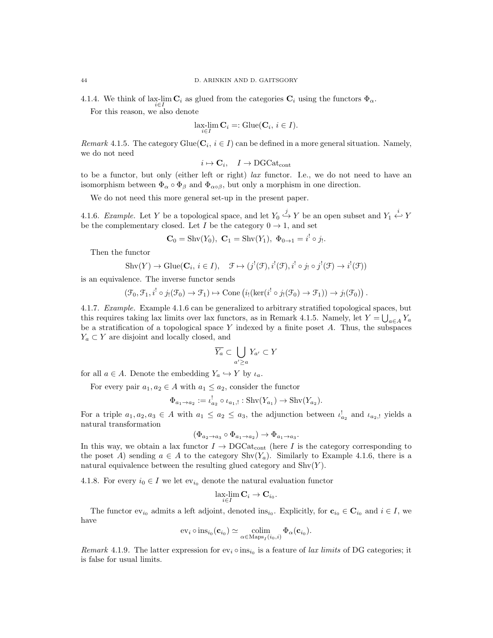4.1.4. We think of lax-lim  $\mathbf{C}_i$  as glued from the categories  $\mathbf{C}_i$  using the functors  $\Phi_{\alpha}$ .

For this reason, we also denote

$$
\underset{i \in I}{\text{lux-lim }} \mathbf{C}_i =: \text{Glue}(\mathbf{C}_i, i \in I).
$$

Remark 4.1.5. The category Glue( $C_i$ ,  $i \in I$ ) can be defined in a more general situation. Namely, we do not need

$$
i \mapsto \mathbf{C}_i, \quad I \to \mathrm{DGCat}_{\mathrm{cont}}
$$

to be a functor, but only (either left or right) lax functor. I.e., we do not need to have an isomorphism between  $\Phi_{\alpha} \circ \Phi_{\beta}$  and  $\Phi_{\alpha \circ \beta}$ , but only a morphism in one direction.

We do not need this more general set-up in the present paper.

4.1.6. Example. Let Y be a topological space, and let  $Y_0 \stackrel{j}{\hookrightarrow} Y$  be an open subset and  $Y_1 \stackrel{i}{\hookleftarrow} Y$ be the complementary closed. Let I be the category  $0 \rightarrow 1$ , and set

$$
C_0 = \text{Shv}(Y_0), \ C_1 = \text{Shv}(Y_1), \ \Phi_{0 \to 1} = i^! \circ j_!.
$$

Then the functor

$$
Shv(Y) \to Glue(\mathbf{C}_i, i \in I), \quad \mathfrak{F} \mapsto (j^!(\mathfrak{F}), i^!(\mathfrak{F}), i^! \circ j_! \circ j^!(\mathfrak{F}) \to i^!(\mathfrak{F}))
$$

is an equivalence. The inverse functor sends

$$
(\mathcal{F}_0, \mathcal{F}_1, i^! \circ j_! (\mathcal{F}_0) \to \mathcal{F}_1) \mapsto \text{Cone} \left( i_! (\ker(i^! \circ j_! (\mathcal{F}_0) \to \mathcal{F}_1)) \to j_! (\mathcal{F}_0) \right).
$$

4.1.7. Example. Example 4.1.6 can be generalized to arbitrary stratified topological spaces, but this requires taking lax limits over lax functors, as in Remark 4.1.5. Namely, let  $Y = \bigcup_{a \in A} Y_a$ be a stratification of a topological space  $Y$  indexed by a finite poset  $A$ . Thus, the subspaces  $Y_a \subset Y$  are disjoint and locally closed, and

$$
\overline{Y_a} \subset \bigcup_{a' \ge a} Y_{a'} \subset Y
$$

for all  $a \in A$ . Denote the embedding  $Y_a \hookrightarrow Y$  by  $\iota_a$ .

For every pair  $a_1, a_2 \in A$  with  $a_1 \le a_2$ , consider the functor

$$
\Phi_{a_1 \to a_2} := \iota_{a_2}^! \circ \iota_{a_1,!} : \text{Shv}(Y_{a_1}) \to \text{Shv}(Y_{a_2}).
$$

For a triple  $a_1, a_2, a_3 \in A$  with  $a_1 \le a_2 \le a_3$ , the adjunction between  $\iota_{a_2}^!$  and  $\iota_{a_2,1}$  yields a natural transformation

$$
(\Phi_{a_2 \to a_3} \circ \Phi_{a_1 \to a_2}) \to \Phi_{a_1 \to a_3}.
$$

In this way, we obtain a lax functor  $I \to DGCat_{cont}$  (here I is the category corresponding to the poset A) sending  $a \in A$  to the category  $\text{Shv}(Y_a)$ . Similarly to Example 4.1.6, there is a natural equivalence between the resulting glued category and  $\text{Shv}(Y)$ .

4.1.8. For every  $i_0 \in I$  we let  $ev_{i_0}$  denote the natural evaluation functor

$$
\operatorname*{lax-lim}_{i\in I}\mathbf{C}_{i}\rightarrow\mathbf{C}_{i_{0}}.
$$

The functor  $ev_{i_0}$  admits a left adjoint, denoted ins<sub>i<sub>0</sub></sub>. Explicitly, for  $\mathbf{c}_{i_0} \in \mathbf{C}_{i_0}$  and  $i \in I$ , we have

$$
\mathrm{ev}_i \circ \mathrm{ins}_{i_0}(\mathbf{c}_{i_0}) \simeq \underset{\alpha \in \mathrm{Maps}_I(i_0, i)}{\mathrm{colim}} \Phi_\alpha(\mathbf{c}_{i_0}).
$$

*Remark* 4.1.9. The latter expression for  $ev_i \circ ins_{i_0}$  is a feature of *lax limits* of DG categories; it is false for usual limits.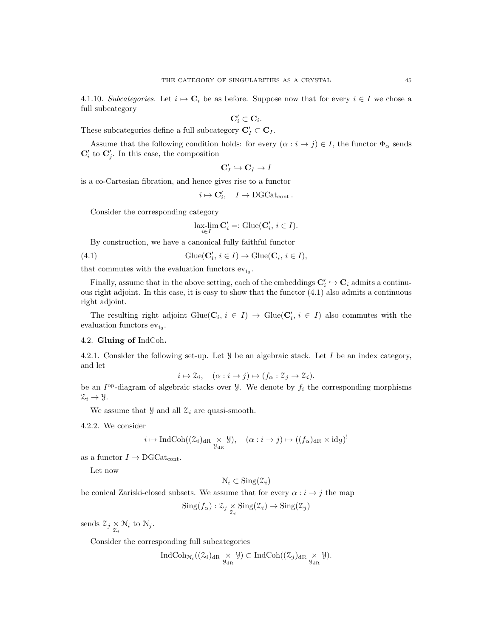4.1.10. Subcategories. Let  $i \mapsto \mathbf{C}_i$  be as before. Suppose now that for every  $i \in I$  we chose a full subcategory

$$
\mathbf{C}_i' \subset \mathbf{C}_i.
$$

These subcategories define a full subcategory  $\mathbf{C}'_I \subset \mathbf{C}_I$ .

Assume that the following condition holds: for every  $(\alpha : i \to j) \in I$ , the functor  $\Phi_{\alpha}$  sends  $\mathbf{C}'_i$  to  $\mathbf{C}'_j$ . In this case, the composition

$$
\mathbf{C}'_I \hookrightarrow \mathbf{C}_I \to I
$$

is a co-Cartesian fibration, and hence gives rise to a functor

$$
i \mapsto \mathbf{C}'_i, \quad I \to \text{DGCat}_{\text{cont}}.
$$

Consider the corresponding category

$$
\operatorname{lax-lim}_{i \in I} \mathbf{C}'_i =: \operatorname{Glue}(\mathbf{C}'_i, i \in I).
$$

By construction, we have a canonical fully faithful functor

(4.1) 
$$
\text{Glue}(\mathbf{C}'_i, i \in I) \to \text{Glue}(\mathbf{C}_i, i \in I),
$$

that commutes with the evaluation functors  $ev_{i_0}$ .

Finally, assume that in the above setting, each of the embeddings  $\mathbf{C}'_i \hookrightarrow \mathbf{C}_i$  admits a continuous right adjoint. In this case, it is easy to show that the functor (4.1) also admits a continuous right adjoint.

The resulting right adjoint Glue( $\mathbf{C}_i$ ,  $i \in I$ )  $\rightarrow$  Glue( $\mathbf{C}'_i$ ,  $i \in I$ ) also commutes with the evaluation functors  $ev_{i_0}$ .

## 4.2. Gluing of IndCoh.

4.2.1. Consider the following set-up. Let  $\mathcal Y$  be an algebraic stack. Let I be an index category, and let

$$
i \mapsto \mathcal{Z}_i, \quad (\alpha : i \to j) \mapsto (f_\alpha : \mathcal{Z}_j \to \mathcal{Z}_i).
$$

be an  $I^{\text{op}}$ -diagram of algebraic stacks over  $\mathcal{Y}$ . We denote by  $f_i$  the corresponding morphisms  $\mathcal{Z}_i \rightarrow \mathcal{Y}.$ 

We assume that  $\mathcal{Y}$  and all  $\mathcal{Z}_i$  are quasi-smooth.

4.2.2. We consider

$$
i \mapsto \operatorname{IndCoh}((\mathcal{Z}_i)_{\mathrm{dR}} \underset{\mathcal{Y}_{\mathrm{dR}}}{\times} \mathcal{Y}), \quad (\alpha : i \to j) \mapsto ((f_\alpha)_{\mathrm{dR}} \times \mathrm{id}_{\mathcal{Y}})^!
$$

as a functor  $I \rightarrow \text{DGCat}_{\text{cont}}$ .

Let now

$$
\mathcal{N}_i \subset \operatorname{Sing}(\mathcal{Z}_i)
$$

be conical Zariski-closed subsets. We assume that for every  $\alpha : i \rightarrow j$  the map

$$
\mathrm{Sing}(f_{\alpha}): \mathcal{Z}_j \underset{\mathcal{Z}_i}{\times} \mathrm{Sing}(\mathcal{Z}_i) \to \mathrm{Sing}(\mathcal{Z}_j)
$$

sends  $\mathcal{Z}_j \underset{\mathcal{Z}_i}{\times} \mathcal{N}_i$  to  $\mathcal{N}_j$ .

Consider the corresponding full subcategories

$$
\operatorname{IndCoh}_{\mathcal{N}_i}((\mathcal{Z}_i)_{\mathrm{dR}} \underset{\mathcal{Y}_{\mathrm{dR}}}{\times} \mathcal{Y}) \subset \operatorname{IndCoh}((\mathcal{Z}_j)_{\mathrm{dR}} \underset{\mathcal{Y}_{\mathrm{dR}}}{\times} \mathcal{Y}).
$$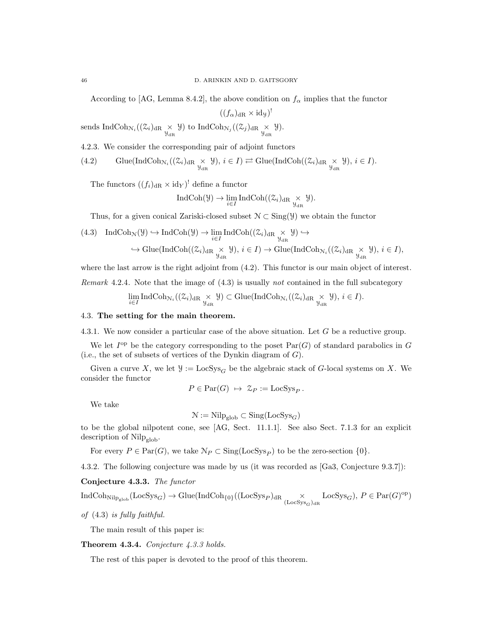According to [AG, Lemma 8.4.2], the above condition on  $f_{\alpha}$  implies that the functor

 $((f_{\alpha})_{dR} \times id_{\mathcal{Y}})^{!}$ 

sends IndCoh<sub>N<sub>i</sub></sub> $((\mathcal{Z}_i)_{\text{dR}} \underset{\mathcal{Y}_{\text{dR}}}{\times} \mathcal{Y})$  to IndCoh<sub>N<sub>j</sub></sub> $((\mathcal{Z}_j)_{\text{dR}} \underset{\mathcal{Y}_{\text{dR}}}{\times} \mathcal{Y})$ .

4.2.3. We consider the corresponding pair of adjoint functors

(4.2) 
$$
\text{Glue}(\text{IndCoh}_{\mathcal{N}_i}((\mathcal{Z}_i)_{\text{dR}} \underset{\mathcal{Y}_{\text{dR}}}{\times} \mathcal{Y}), i \in I) \rightleftarrows \text{Glue}(\text{IndCoh}((\mathcal{Z}_i)_{\text{dR}} \underset{\mathcal{Y}_{\text{dR}}}{\times} \mathcal{Y}), i \in I).
$$

The functors  $((f_i)_{dR} \times id_Y)^!$  define a functor

$$
\operatorname{IndCoh}(\mathcal{Y}) \to \lim_{i \in I} \operatorname{IndCoh}((\mathcal{Z}_i)_{\mathrm{dR}} \underset{\mathcal{Y}_{\mathrm{dR}}}{\times} \mathcal{Y}).
$$

Thus, for a given conical Zariski-closed subset  $\mathcal{N} \subset \text{Sing}(\mathcal{Y})$  we obtain the functor

$$
(4.3) IndCoh_{\mathcal{N}}(\mathcal{Y}) \hookrightarrow IndCoh(\mathcal{Y}) \to \lim_{i \in I} IndCoh((\mathcal{Z}_{i})_{dR} \underset{\mathcal{Y}_{dR}}{\times} \mathcal{Y}) \hookrightarrow
$$

$$
\hookrightarrow Glue(IndCoh((\mathcal{Z}_{i})_{dR} \underset{\mathcal{Y}_{dR}}{\times} \mathcal{Y}), i \in I) \to Glue(IndCoh_{\mathcal{N}_{i}}((\mathcal{Z}_{i})_{dR} \underset{\mathcal{Y}_{dR}}{\times} \mathcal{Y}), i \in I),
$$

where the last arrow is the right adjoint from  $(4.2)$ . This functor is our main object of interest. Remark 4.2.4. Note that the image of  $(4.3)$  is usually not contained in the full subcategory  $\lim_{i\in I} \text{IndCoh}_{\mathcal{N}_i}((\mathcal{Z}_i)_{\text{dR}} \underset{\mathcal{Y}_{\text{dR}}}{\times} \mathcal{Y}) \subset \text{Glue}(\text{IndCoh}_{\mathcal{N}_i}((\mathcal{Z}_i)_{\text{dR}} \underset{\mathcal{Y}_{\text{dR}}}{\times} \mathcal{Y}), i \in I).$ 

## 4.3. The setting for the main theorem.

4.3.1. We now consider a particular case of the above situation. Let G be a reductive group.

We let  $I^{op}$  be the category corresponding to the poset  $Par(G)$  of standard parabolics in G (i.e., the set of subsets of vertices of the Dynkin diagram of  $G$ ).

Given a curve X, we let  $\mathcal{Y} := \text{LocSys}_G$  be the algebraic stack of G-local systems on X. We consider the functor

$$
P \in Par(G) \rightarrow \mathcal{Z}_P := LocSys_P.
$$

We take

$$
\mathcal{N} := \text{Nilp}_{\text{glob}} \subset \text{Sing}(\text{LocSys}_G)
$$

to be the global nilpotent cone, see [AG, Sect. 11.1.1]. See also Sect. 7.1.3 for an explicit description of Nilp<sub>glob</sub>.

For every  $P \in \text{Par}(G)$ , we take  $N_P \subset \text{Sing}(\text{LocSys}_P)$  to be the zero-section  $\{0\}$ .

4.3.2. The following conjecture was made by us (it was recorded as [Ga3, Conjecture 9.3.7]):

Conjecture 4.3.3. The functor

 $\text{IndCoh}_{\text{NilP}_{\text{glob}}}(\text{LocSys}_G) \to \text{Glue}(\text{IndCoh}_{\{0\}}((\text{LocSys}_P)_{\text{dR}} \underset{(\text{LocSys}_G)_{\text{dR}}}{\times} \text{LocSys}_G), P \in \text{Par}(G)^{\text{op}})$ 

of (4.3) is fully faithful.

The main result of this paper is:

Theorem 4.3.4. Conjecture 4.3.3 holds.

The rest of this paper is devoted to the proof of this theorem.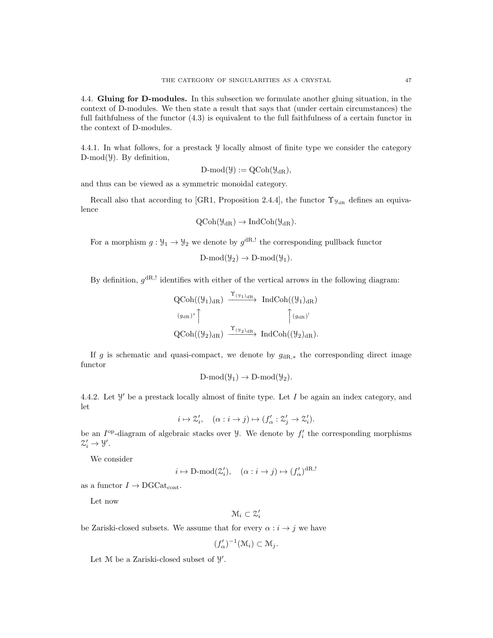4.4. Gluing for D-modules. In this subsection we formulate another gluing situation, in the context of D-modules. We then state a result that says that (under certain circumstances) the full faithfulness of the functor (4.3) is equivalent to the full faithfulness of a certain functor in the context of D-modules.

4.4.1. In what follows, for a prestack Y locally almost of finite type we consider the category  $D-mod(y)$ . By definition,

$$
D\text{-mod}(\mathcal{Y}):=QCoh(\mathcal{Y}_{dR}),
$$

and thus can be viewed as a symmetric monoidal category.

Recall also that according to [GR1, Proposition 2.4.4], the functor  $\Upsilon_{\mathcal{Y}_{dR}}$  defines an equivalence

$$
Q\text{Coh}(\mathcal{Y}_{dR}) \to \text{IndCoh}(\mathcal{Y}_{dR}).
$$

For a morphism  $g: \mathcal{Y}_1 \to \mathcal{Y}_2$  we denote by  $g^{dR, !}$  the corresponding pullback functor

 $D\text{-mod}(\mathcal{Y}_2) \to D\text{-mod}(\mathcal{Y}_1).$ 

By definition,  $g^{dR,}$  identifies with either of the vertical arrows in the following diagram:

$$
\operatorname{QCoh}((\mathcal{Y}_1)_{\mathrm{dR}}) \xrightarrow{\Upsilon_{(\mathcal{Y}_1)_{\mathrm{dR}}}} \operatorname{IndCoh}((\mathcal{Y}_1)_{\mathrm{dR}})
$$
  

$$
\left(\begin{matrix} (g_{\mathrm{dR}})^* \\ g_{\mathrm{dR}} \end{matrix}\right)^* \qquad \qquad \int (g_{\mathrm{dR}})^! \qquad \qquad \int (g_{\mathrm{dR}})^! \qquad \qquad
$$
  

$$
\operatorname{QCoh}((\mathcal{Y}_2)_{\mathrm{dR}}) \xrightarrow{\Upsilon_{(\mathcal{Y}_2)_{\mathrm{dR}}}} \operatorname{IndCoh}((\mathcal{Y}_2)_{\mathrm{dR}}).
$$

If g is schematic and quasi-compact, we denote by  $g_{\text{dR},*}$  the corresponding direct image functor

$$
D\text{-mod}(\mathcal{Y}_1) \to D\text{-mod}(\mathcal{Y}_2).
$$

4.4.2. Let  $\mathcal{Y}'$  be a prestack locally almost of finite type. Let I be again an index category, and let

$$
i \mapsto \mathcal{Z}'_i, \quad (\alpha : i \to j) \mapsto (f'_\alpha : \mathcal{Z}'_j \to \mathcal{Z}'_i).
$$

be an  $I^{\text{op}}$ -diagram of algebraic stacks over  $\mathcal{Y}$ . We denote by  $f_i'$  the corresponding morphisms  $\mathcal{Z}'_i \to \mathcal{Y}'.$ 

We consider

$$
i \mapsto D\text{-mod}(\mathcal{Z}'_i), \quad (\alpha : i \to j) \mapsto (f'_\alpha)^{\text{dR},!}
$$

as a functor  $I \rightarrow \text{DGCat}_{\text{cont}}$ .

Let now

$$
\mathcal{M}_i \subset \mathcal{Z}'_i
$$

be Zariski-closed subsets. We assume that for every  $\alpha : i \to j$  we have

$$
(f'_{\alpha})^{-1}(\mathfrak{M}_i) \subset \mathfrak{M}_j.
$$

Let  $M$  be a Zariski-closed subset of  $\mathcal{Y}'$ .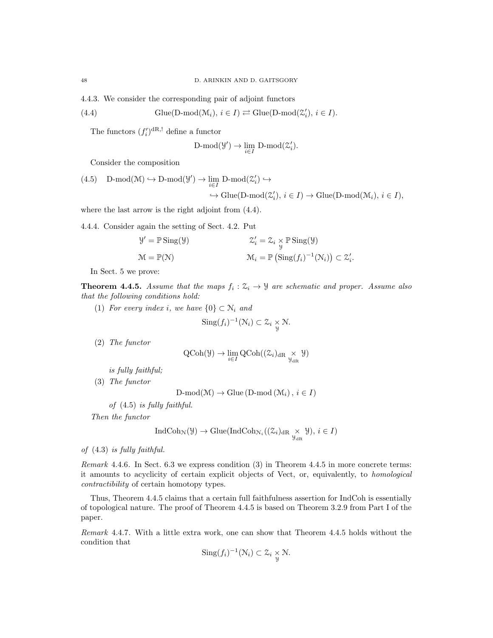4.4.3. We consider the corresponding pair of adjoint functors

(4.4) 
$$
\text{Glue}(\text{D-mod}(\mathcal{M}_i), i \in I) \rightleftarrows \text{Glue}(\text{D-mod}(\mathcal{Z}'_i), i \in I).
$$

The functors  $(f_i')^{\text{dR},!}$  define a functor

$$
\text{D-mod}(\mathcal{Y}') \to \lim_{i \in I} \ \text{D-mod}(\mathcal{Z}'_i).
$$

Consider the composition

(4.5) 
$$
D\text{-mod}(\mathcal{M}) \hookrightarrow D\text{-mod}(\mathcal{Y}') \to \lim_{i \in I} D\text{-mod}(\mathcal{Z}'_i) \hookrightarrow
$$

$$
\hookrightarrow \text{Glue}(D\text{-mod}(\mathcal{Z}'_i), i \in I) \to \text{Glue}(D\text{-mod}(\mathcal{M}_i), i \in I),
$$

where the last arrow is the right adjoint from (4.4).

4.4.4. Consider again the setting of Sect. 4.2. Put

$$
\mathcal{Y}' = \mathbb{P} \operatorname{Sing}(\mathcal{Y}) \qquad \qquad \mathcal{Z}'_i = \mathcal{Z}_i \underset{\mathcal{Y}}{\times} \mathbb{P} \operatorname{Sing}(\mathcal{Y})
$$

$$
\mathcal{M} = \mathbb{P}(\mathcal{N}) \qquad \qquad \mathcal{M}_i = \mathbb{P} \left( \operatorname{Sing}(f_i)^{-1}(\mathcal{N}_i) \right) \subset \mathcal{Z}'_i.
$$

In Sect. 5 we prove:

**Theorem 4.4.5.** Assume that the maps  $f_i : \mathcal{Z}_i \to \mathcal{Y}$  are schematic and proper. Assume also that the following conditions hold:

(1) For every index i, we have  $\{0\} \subset \mathbb{N}_i$  and

$$
\operatorname{Sing}(f_i)^{-1}(\mathcal{N}_i) \subset \mathcal{Z}_i \underset{\mathcal{Y}}{\times} \mathcal{N}.
$$

(2) The functor

$$
\operatorname{QCoh}(\mathcal{Y}) \to \lim_{i \in I} \operatorname{QCoh}((\mathcal{Z}_i)_{\mathrm{dR}} \underset{\mathcal{Y}_{\mathrm{dR}}}{\times} \mathcal{Y})
$$

is fully faithful;

(3) The functor

 $D\text{-mod}(\mathcal{M}) \to \text{Glue}(\text{D-mod}(\mathcal{M}_i), i \in I)$ 

of (4.5) is fully faithful.

Then the functor

$$
\operatorname{IndCoh}_{\mathcal{N}}(\mathcal{Y}) \to \operatorname{Glue}(\operatorname{IndCoh}_{\mathcal{N}_i}((\mathcal{Z}_i)_{\operatorname{dR}} \underset{\mathcal{Y}_{\operatorname{dR}}}{\times} \mathcal{Y}), i \in I)
$$

of (4.3) is fully faithful.

Remark 4.4.6. In Sect. 6.3 we express condition (3) in Theorem 4.4.5 in more concrete terms: it amounts to acyclicity of certain explicit objects of Vect, or, equivalently, to homological contractibility of certain homotopy types.

Thus, Theorem 4.4.5 claims that a certain full faithfulness assertion for IndCoh is essentially of topological nature. The proof of Theorem 4.4.5 is based on Theorem 3.2.9 from Part I of the paper.

Remark 4.4.7. With a little extra work, one can show that Theorem 4.4.5 holds without the condition that

$$
\operatorname{Sing}(f_i)^{-1}(\mathcal{N}_i) \subset \mathcal{Z}_i \underset{\mathcal{Y}}{\times} \mathcal{N}.
$$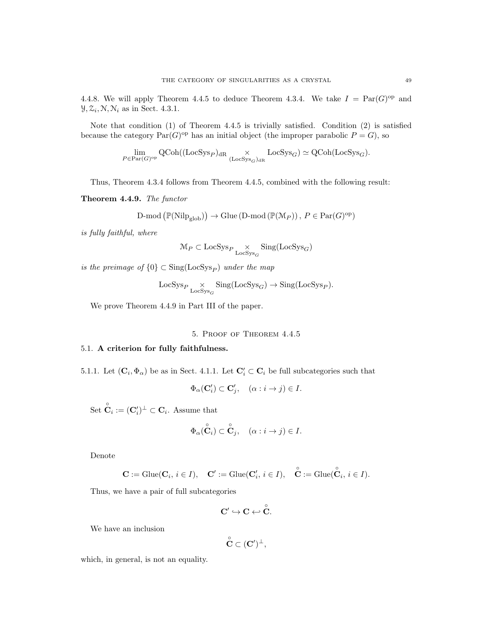4.4.8. We will apply Theorem 4.4.5 to deduce Theorem 4.3.4. We take  $I = \text{Par}(G)^{\text{op}}$  and  $\mathcal{Y}, \mathcal{Z}_i, \mathcal{N}, \mathcal{N}_i$  as in Sect. 4.3.1.

Note that condition (1) of Theorem 4.4.5 is trivially satisfied. Condition (2) is satisfied because the category  $\text{Par}(G)^\text{op}$  has an initial object (the improper parabolic  $P = G$ ), so

$$
\lim_{P\in\operatorname{Par}(G)^{\operatorname{op}}} \operatorname{QCoh}((\operatorname{LocSys}_P)_{\operatorname{dR}}\underset{(\operatorname{LocSys}_G)_{\operatorname{dR}}}{\times}\operatorname{LocSys}_G)\simeq \operatorname{QCoh}(\operatorname{LocSys}_G).
$$

Thus, Theorem 4.3.4 follows from Theorem 4.4.5, combined with the following result:

Theorem 4.4.9. The functor

$$
\text{D-mod}\left(\mathbb{P}(\text{Nilp}_{\text{glob}})\right) \to \text{Glue}\left(\text{D-mod}\left(\mathbb{P}(\mathcal{M}_P)\right), \, P \in \text{Par}(G)^{\text{op}}\right)
$$

is fully faithful, where

$$
\mathcal{M}_P \subset \text{LocSys}_P \underset{\text{LocSys}_G}{\times} \text{Sing}(\text{LocSys}_G)
$$

is the preimage of  $\{0\} \subset \text{Sing}(\text{LocSys}_P)$  under the map

$$
\text{LocSys}_P \underset{\text{LocSys}_G}{\times} \text{Sing}(\text{LocSys}_G) \to \text{Sing}(\text{LocSys}_P).
$$

We prove Theorem 4.4.9 in Part III of the paper.

## 5. Proof of Theorem 4.4.5

# 5.1. A criterion for fully faithfulness.

5.1.1. Let  $(C_i, \Phi_\alpha)$  be as in Sect. 4.1.1. Let  $C_i' \subset C_i$  be full subcategories such that

$$
\Phi_{\alpha}(\mathbf{C}'_i) \subset \mathbf{C}'_j, \quad (\alpha : i \to j) \in I.
$$

Set  $\overset{\circ}{\mathbf{C}}_i := (\mathbf{C}'_i)^{\perp} \subset \mathbf{C}_i$ . Assume that

$$
\Phi_{\alpha}(\overset{\circ}{\mathbf{C}}_i) \subset \overset{\circ}{\mathbf{C}}_j, \quad (\alpha : i \to j) \in I.
$$

Denote

$$
\mathbf{C} := \mathrm{Glue}(\mathbf{C}_i, i \in I), \quad \mathbf{C}' := \mathrm{Glue}(\mathbf{C}'_i, i \in I), \quad \overset{\circ}{\mathbf{C}} := \mathrm{Glue}(\overset{\circ}{\mathbf{C}}_i, i \in I).
$$

Thus, we have a pair of full subcategories

$$
C' \hookrightarrow C \hookleftarrow \overset{\circ}{C}.
$$

We have an inclusion

$$
\overset{\circ}{\mathbf{C}}\subset (\mathbf{C}')^{\perp},
$$

which, in general, is not an equality.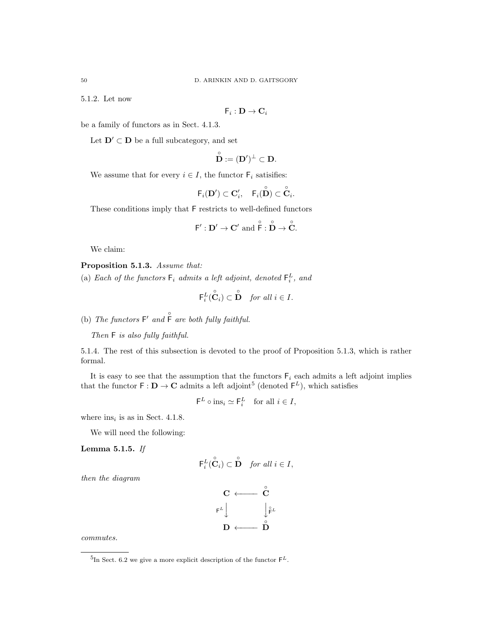5.1.2. Let now

$$
\mathsf{F}_i:\mathbf{D}\to\mathbf{C}_i
$$

be a family of functors as in Sect. 4.1.3.

Let  $\mathbf{D}' \subset \mathbf{D}$  be a full subcategory, and set

$$
\tilde{\mathbf{D}} := (\mathbf{D}')^{\perp} \subset \mathbf{D}.
$$

◦

We assume that for every  $i \in I$ , the functor  $\mathsf{F}_i$  satisifies:

$$
\mathsf{F}_i(\mathbf{D}') \subset \mathbf{C}'_i, \quad \mathsf{F}_i(\overset{\circ}{\mathbf{D}}) \subset \overset{\circ}{\mathbf{C}}_i.
$$

These conditions imply that F restricts to well-defined functors

$$
F':\mathbf{D}'\to \mathbf{C}'\text{ and }\overset{\circ}{F}:\overset{\circ}{\mathbf{D}}\to \overset{\circ}{\mathbf{C}}.
$$

We claim:

Proposition 5.1.3. Assume that:

(a) Each of the functors  $\mathsf{F}_i$  admits a left adjoint, denoted  $\mathsf{F}_i^L$ , and

$$
\mathsf{F}_i^L(\hat{\check{\mathbf{C}}}_i) \subset \overset{\circ}{\mathbf{D}} \quad \textit{for all } i \in I.
$$

(b) The functors  $F'$  and  $\hat{F}$  are both fully faithful.

Then  $F$  is also fully faithful.

5.1.4. The rest of this subsection is devoted to the proof of Proposition 5.1.3, which is rather formal.

It is easy to see that the assumption that the functors  $F_i$  each admits a left adjoint implies that the functor  $\mathsf{F} : \mathbf{D} \to \mathbf{C}$  admits a left adjoint<sup>5</sup> (denoted  $\mathsf{F}^L$ ), which satisfies

$$
\mathsf{F}^L \circ \text{ins}_i \simeq \mathsf{F}_i^L \quad \text{for all } i \in I,
$$

where  $ins_i$  is as in Sect. 4.1.8.

We will need the following:

Lemma 5.1.5. If

$$
\mathsf{F}_i^L(\overset{\circ}{\mathbf{C}}_i) \subset \overset{\circ}{\mathbf{D}} \quad \textit{for all } i \in I,
$$

then the diagram



commutes.

<sup>&</sup>lt;sup>5</sup>In Sect. 6.2 we give a more explicit description of the functor  $\mathsf{F}^L$ .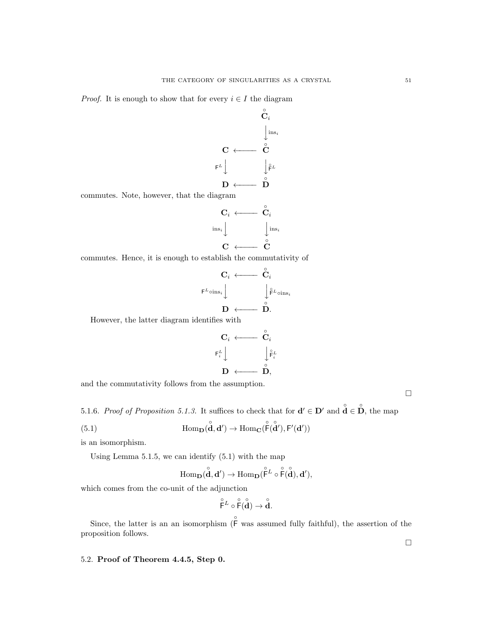*Proof.* It is enough to show that for every  $i \in I$  the diagram



commutes. Note, however, that the diagram

$$
\begin{array}{ccc}\n\mathbf{C}_i & \longleftarrow & \overset{\circ}{\mathbf{C}}_i \\
\downarrow & & \downarrow \text{ins}_i \\
\mathbf{C} & \longleftarrow & \overset{\circ}{\mathbf{C}}\n\end{array}
$$

commutes. Hence, it is enough to establish the commutativity of

$$
\begin{array}{ccc}\n & C_i & \longleftarrow & \stackrel{\circ}{C}_i \\
\downarrow^{\varepsilon_{L}}\circ \mathrm{ins}_i & & \downarrow^{\varepsilon_{L}}\circ \mathrm{ins}_i \\
 & D & \longleftarrow & \stackrel{\circ}{D}.\n\end{array}
$$

However, the latter diagram identifies with

$$
\begin{array}{ccc} \mathbf{C}_i & \longleftarrow & \overset{\circ}{\mathbf{C}}_i \\ \mathbf{F}_i^L \Big\downarrow & & \Big\downarrow \overset{\circ}{\mathbf{F}_i^L} \\ \mathbf{D} & \longleftarrow & \overset{\circ}{\mathbf{D}}, \end{array}
$$

and the commutativity follows from the assumption.

5.1.6. Proof of Proposition 5.1.3. It suffices to check that for  $\mathbf{d}' \in \mathbf{D}'$  and  $\mathbf{d} \in \mathbf{D}$ , the map

(5.1) 
$$
\text{Hom}_{\mathbf{D}}(\overset{\circ}{\mathbf{d}},\mathbf{d}') \to \text{Hom}_{\mathbf{C}}(\overset{\circ}{\mathsf{F}}(\overset{\circ}{\mathbf{d}}'),\mathsf{F}'(\mathbf{d}'))
$$

is an isomorphism.

Using Lemma 5.1.5, we can identify (5.1) with the map

$$
\operatorname{Hom}\nolimits_{\mathbf{D}}(\overset{\circ}{\mathbf{d}},\mathbf{d}') \to \operatorname{Hom}\nolimits_{\mathbf{D}}(\overset{\circ}{F}{}^L \circ \overset{\circ}{F}(\overset{\circ}{\mathbf{d}}),\mathbf{d}'),
$$

which comes from the co-unit of the adjunction

$$
\overset{\circ}{\mathsf{F}}^L \circ \overset{\circ}{\mathsf{F}}(\overset{\circ}{\mathbf{d}}) \to \overset{\circ}{\mathbf{d}}.
$$

Since, the latter is an an isomorphism  $(\hat{F}$  was assumed fully faithful), the assertion of the proposition follows.

# 5.2. Proof of Theorem 4.4.5, Step 0.

 $\Box$ 

 $\Box$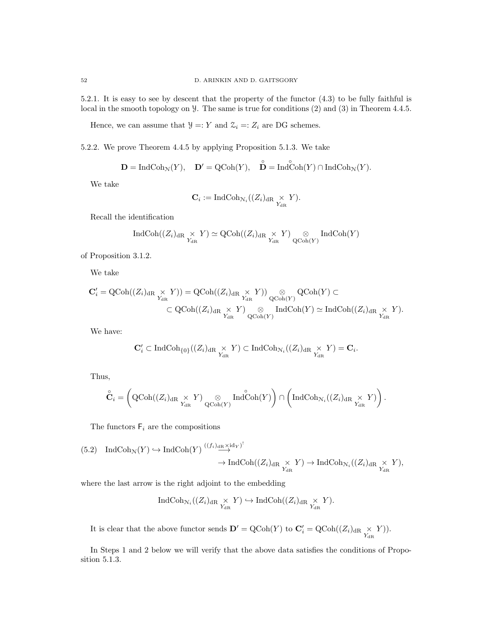5.2.1. It is easy to see by descent that the property of the functor (4.3) to be fully faithful is local in the smooth topology on Y. The same is true for conditions (2) and (3) in Theorem 4.4.5.

Hence, we can assume that  $\mathcal{Y}=:Y$  and  $\mathcal{Z}_i=:Z_i$  are DG schemes.

5.2.2. We prove Theorem 4.4.5 by applying Proposition 5.1.3. We take

$$
\mathbf{D}=\operatorname{IndCoh}_{\mathcal{N}}(Y),\quad \mathbf{D}'=\operatorname{QCoh}(Y),\quad \overset{\circ}{\mathbf{D}}=\operatorname{Ind}\overset{\circ}{\operatorname{Coh}}(Y)\cap\operatorname{IndCoh}_{\mathcal{N}}(Y).
$$

We take

$$
\mathbf{C}_i := \text{IndCoh}_{\mathcal{N}_i}((Z_i)_{\text{dR}} \underset{Y_{\text{dR}}}{\times} Y).
$$

Recall the identification

$$
\operatorname{IndCoh}((Z_i)_{\mathrm{dR}} \underset{Y_{\mathrm{dR}}}{\times} Y) \simeq \operatorname{QCoh}((Z_i)_{\mathrm{dR}} \underset{Y_{\mathrm{dR}}}{\times} Y) \underset{\operatorname{QCoh}(Y)}{\otimes} \operatorname{IndCoh}(Y)
$$

of Proposition 3.1.2.

We take

$$
\begin{aligned} \mathbf{C}'_i = \operatorname{QCoh}((Z_i)_{\operatorname{dR} \begin{array}{c} \times \\ Y_{\operatorname{dR}} \end{array}} Y)) &= \operatorname{QCoh}((Z_i)_{\operatorname{dR} \begin{array}{c} \times \\ Y_{\operatorname{dR}} \end{array}} Y)) \underset{\operatorname{QCoh}(Y)}{\otimes} \operatorname{QCoh}(Y) \subset \\ &\subset \operatorname{QCoh}((Z_i)_{\operatorname{dR} \begin{array}{c} \times \\ Y_{\operatorname{dR}} \end{array}} Y) \underset{\operatorname{QCoh}(Y)}{\otimes} \operatorname{IndCoh}(Y) \simeq \operatorname{IndCoh}((Z_i)_{\operatorname{dR} \begin{array}{c} \times \\ Y_{\operatorname{dR}} \end{array}} Y). \end{aligned}
$$

We have:

$$
\mathbf{C}'_i \subset \text{IndCoh}_{\{0\}}((Z_i)_{\text{dR}} \underset{Y_{\text{dR}}}{\times} Y) \subset \text{IndCoh}_{\mathcal{N}_i}((Z_i)_{\text{dR}} \underset{Y_{\text{dR}}}{\times} Y) = \mathbf{C}_i.
$$

Thus,

$$
\overset{\circ}{\mathbf{C}}_i = \left( \text{QCoh}((Z_i)_{\text{dR}} \underset{Y_{\text{dR}}}{\times} Y) \underset{\text{QCoh}(Y)}{\otimes} \text{Ind} \overset{\circ}{\text{Coh}}(Y) \right) \cap \left( \text{IndCoh}_{\mathcal{N}_i}((Z_i)_{\text{dR}} \underset{Y_{\text{dR}}}{\times} Y) \right).
$$

The functors  $F_i$  are the compositions

$$
(5.2) IndCoh_{\mathcal{N}}(Y) \hookrightarrow IndCoh(Y) \stackrel{((f_i)_{\mathrm{dR}} \times \mathrm{id}_Y)^!}{\longrightarrow} \mathrm{IndCoh}((Z_i)_{\mathrm{dR}} \underset{Y_{\mathrm{dR}}}{\times} Y) \to \mathrm{IndCoh}_{\mathcal{N}_i}((Z_i)_{\mathrm{dR}} \underset{Y_{\mathrm{dR}}}{\times} Y),
$$

where the last arrow is the right adjoint to the embedding

$$
\operatorname{IndCoh}_{\mathcal{N}_i}((Z_i)_{\operatorname{dR} \underset{Y_{\operatorname{dR}}}{\times} Y) \hookrightarrow \operatorname{IndCoh}((Z_i)_{\operatorname{dR} \underset{Y_{\operatorname{dR}}}{\times} Y).
$$

It is clear that the above functor sends  $\mathbf{D}' = \mathrm{QCoh}(Y)$  to  $\mathbf{C}'_i = \mathrm{QCoh}((Z_i)_{\text{dR}} \underset{Y_{\text{dR}}}{\times} Y)$ .

In Steps 1 and 2 below we will verify that the above data satisfies the conditions of Proposition 5.1.3.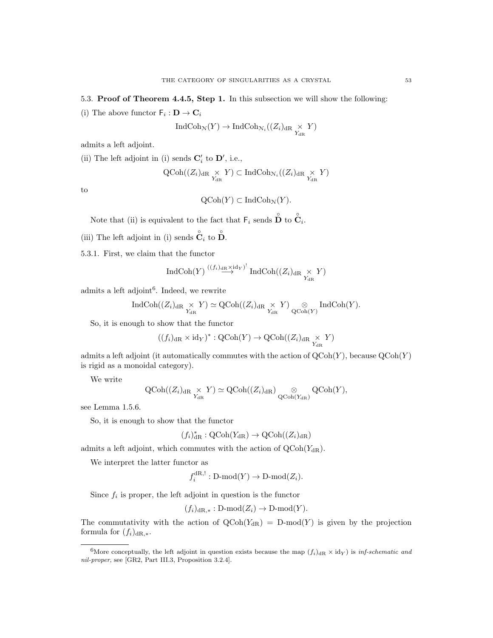# 5.3. Proof of Theorem 4.4.5, Step 1. In this subsection we will show the following:

(i) The above functor  $\mathsf{F}_i : \mathbf{D} \to \mathbf{C}_i$ 

$$
\operatorname{IndCoh}_{\mathcal{N}}(Y) \to \operatorname{IndCoh}_{\mathcal{N}_i}((Z_i)_{\operatorname{dR}} \underset{Y_{\operatorname{dR}}}{\times} Y)
$$

admits a left adjoint.

(ii) The left adjoint in (i) sends  $\mathbf{C}'_i$  to  $\mathbf{D}'$ , i.e.,

$$
\operatorname{QCoh}((Z_i)_{\operatorname{dR} \underset{Y_{\operatorname{dR}}}{\times} Y) \subset \operatorname{IndCoh}_{\mathcal{N}_i}((Z_i)_{\operatorname{dR} \underset{Y_{\operatorname{dR}}}{\times} Y)
$$

to

$$
\mathrm{QCoh}(Y) \subset \mathrm{IndCoh}_{\mathcal{N}}(Y).
$$

Note that (ii) is equivalent to the fact that  $\mathsf{F}_i$  sends  $\overset{\circ}{\mathbf{D}}$  to  $\overset{\circ}{\mathbf{C}}_i$ .

(iii) The left adjoint in (i) sends  $\hat{\check{\mathbf{C}}}_i$  to  $\hat{\check{\mathbf{D}}}$ .

5.3.1. First, we claim that the functor

$$
\operatorname{IndCoh}(Y) \stackrel{((f_i)_{\operatorname{dR} \times \operatorname{id}_Y})^!}{\longrightarrow} \operatorname{IndCoh}((Z_i)_{\operatorname{dR} \underset{Y_{\operatorname{dR}}}{\times}} Y)
$$

admits a left adjoint<sup>6</sup>. Indeed, we rewrite

$$
\operatorname{IndCoh}((Z_i)_{\operatorname{dR} \underset{Y_{\operatorname{dR}}}{\times} Y) \simeq \operatorname{QCoh}((Z_i)_{\operatorname{dR} \underset{Y_{\operatorname{dR}}}{\times} Y) \underset{\operatorname{QCoh}(Y)}{\otimes} \operatorname{IndCoh}(Y).
$$

So, it is enough to show that the functor

$$
((f_i)_{\rm dR} \times \mathrm{id}_Y)^* : {\rm QCoh}(Y) \to {\rm QCoh}((Z_i)_{\rm dR} \underset{Y_{\rm dR}}{\times} Y)
$$

admits a left adjoint (it automatically commutes with the action of  $QCoh(Y)$ , because  $QCoh(Y)$ is rigid as a monoidal category).

We write

$$
\operatorname{QCoh}((Z_i)_{\operatorname{dR} \underset{Y_{\operatorname{dR}}}{\times} Y) \simeq \operatorname{QCoh}((Z_i)_{\operatorname{dR}}) \underset{\operatorname{QCoh}(Y_{\operatorname{dR}})}{\otimes} \operatorname{QCoh}(Y),
$$

see Lemma 1.5.6.

So, it is enough to show that the functor

$$
(f_i)_{\rm dR}^*: {\rm QCoh}(Y_{\rm dR}) \to {\rm QCoh}((Z_i)_{\rm dR})
$$

admits a left adjoint, which commutes with the action of  $QCoh(Y_{dR})$ .

We interpret the latter functor as

$$
f_i^{dR,!}: \mathrm{D-mod}(Y) \to \mathrm{D-mod}(Z_i).
$$

Since  $f_i$  is proper, the left adjoint in question is the functor

 $(f_i)_{\text{dR},*}: \text{D-mod}(Z_i) \to \text{D-mod}(Y).$ 

The commutativity with the action of  $QCoh(Y_{dR}) = D-mod(Y)$  is given by the projection formula for  $(f_i)_{\text{dR},*}$ .

<sup>&</sup>lt;sup>6</sup>More conceptually, the left adjoint in question exists because the map  $(f_i)_{\text{dR}} \times \text{id}_Y$  is inf-schematic and nil-proper, see [GR2, Part III.3, Proposition 3.2.4].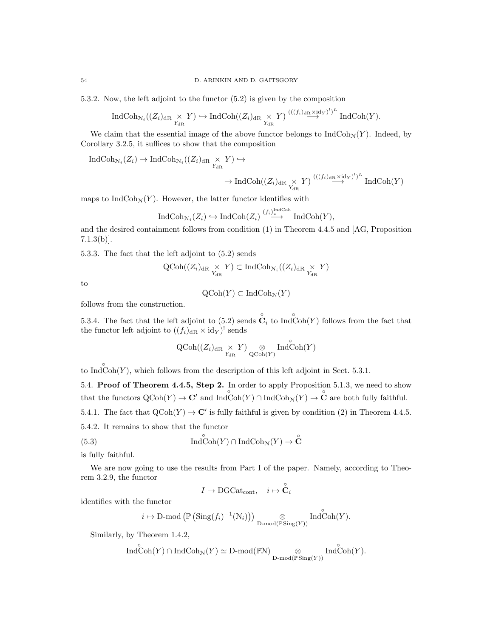5.3.2. Now, the left adjoint to the functor (5.2) is given by the composition

$$
\operatorname{IndCoh}_{\mathcal{N}_i}((Z_i)_{\operatorname{dR} \underset{Y_{\operatorname{dR}}}{\times} Y) \hookrightarrow \operatorname{IndCoh}((Z_i)_{\operatorname{dR} \underset{Y_{\operatorname{dR}}}{\times} Y) \xrightarrow{(((f_i)_{\operatorname{dR}} \times \operatorname{id}_Y)')^L} \operatorname{IndCoh}(Y).
$$

We claim that the essential image of the above functor belongs to  $\text{IndCoh}_{\mathcal{N}}(Y)$ . Indeed, by Corollary 3.2.5, it suffices to show that the composition

$$
\operatorname{IndCoh}_{\mathcal{N}_i}(Z_i) \to \operatorname{IndCoh}_{\mathcal{N}_i}((Z_i)_{\operatorname{dR} \underset{Y_{\operatorname{dR}}}{\times} Y}) \hookrightarrow
$$
  

$$
\to \operatorname{IndCoh}((Z_i)_{\operatorname{dR} \underset{Y_{\operatorname{dR}}}{\times} Y}) \xrightarrow{(((f_i)_{\operatorname{dR} \times \operatorname{id}_Y})^!)^L} \operatorname{IndCoh}(Y)
$$

maps to  $\text{IndCoh}_{\mathcal{N}}(Y)$ . However, the latter functor identifies with

$$
\operatorname{IndCoh}_{\mathcal{N}_i}(Z_i) \hookrightarrow \operatorname{IndCoh}(Z_i) \stackrel{(f_i)_{\ast}^{\operatorname{IndCoh}}}{\longrightarrow} \operatorname{IndCoh}(Y),
$$

and the desired containment follows from condition (1) in Theorem 4.4.5 and [AG, Proposition 7.1.3(b)].

5.3.3. The fact that the left adjoint to (5.2) sends

$$
\operatorname{QCoh}((Z_i)_{\operatorname{dR} \underset{Y_{\operatorname{dR}}}{\times} Y) \subset \operatorname{IndCoh}_{\mathcal{N}_i}((Z_i)_{\operatorname{dR} \underset{Y_{\operatorname{dR}}}{\times} Y)
$$

to

$$
\mathrm{QCoh}(Y) \subset \mathrm{IndCoh}_\mathcal{N}(Y)
$$

follows from the construction.

5.3.4. The fact that the left adjoint to (5.2) sends  $\overset{\circ}{\mathbf{C}}_i$  to Ind $\overset{\circ}{\text{Coh}}(Y)$  follows from the fact that the functor left adjoint to  $((f_i)_{dR} \times id_Y)$ <sup>!</sup> sends

$$
\operatorname{QCoh}((Z_i)_{\operatorname{dR} \underset{Y_{\operatorname{dR}}}{\times} Y) \underset{\operatorname{QCoh}(Y)}{\otimes} \operatorname{Ind\hspace{0.05cm} \operatorname{Coh}(Y)}
$$

to IndCoh(Y), which follows from the description of this left adjoint in Sect. 5.3.1.

5.4. Proof of Theorem 4.4.5, Step 2. In order to apply Proposition 5.1.3, we need to show that the functors  $\mathrm{QCoh}(Y) \to \mathbb{C}'$  and  $\mathrm{Ind}\mathrm{Coh}(Y) \cap \mathrm{Ind}\mathrm{Coh}_\mathcal{N}(Y) \to \mathbb{C}$  are both fully faithful. 5.4.1. The fact that  $\text{QCoh}(Y) \to \mathbb{C}'$  is fully faithful is given by condition (2) in Theorem 4.4.5.

5.4.2. It remains to show that the functor

(5.3) 
$$
\operatorname{Ind}\operatorname{Coh}(Y) \cap \operatorname{Ind}\operatorname{Coh}_{\mathcal{N}}(Y) \to \overset{\circ}{\mathbf{C}}
$$

is fully faithful.

We are now going to use the results from Part I of the paper. Namely, according to Theorem 3.2.9, the functor

$$
I \to \mathrm{DGCat}_\mathrm{cont}, \quad i \mapsto \overset{\circ}{\mathbf{C}}_i
$$

identifies with the functor

$$
i \mapsto \mathrm{D\text{-}mod}\left(\mathbb{P}\left(\mathrm{Sing}(f_i)^{-1}(\mathcal{N}_i)\right)\right) \underset{\mathrm{D\text{-}mod}(\mathbb{P}\mathrm{Sing}(Y))}{\otimes} \mathrm{Ind}^{\circ}\mathrm{Coh}(Y).
$$

Similarly, by Theorem 1.4.2,

$$
\widehat{\mathrm{Ind}}_{\mathrm{Coh}}^{\circ}(\overline{Y})\cap \mathrm{IndCoh}_{\mathcal{N}}(\overline{Y})\simeq \mathrm{D}\text{-}\mathrm{mod}(\mathbb{P}\mathcal{N})\underset{\mathrm{D}\text{-}\mathrm{mod}(\mathbb{P}\mathrm{Sing}(Y))}{\otimes}\mathrm{Ind}_{\mathrm{Coh}}^{\circ}(\overline{Y}).
$$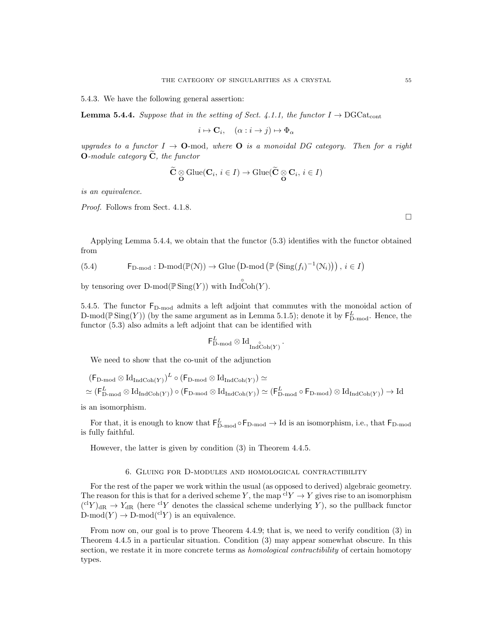5.4.3. We have the following general assertion:

**Lemma 5.4.4.** Suppose that in the setting of Sect. 4.1.1, the functor  $I \rightarrow \text{DGCat}_{cont}$ 

$$
i \mapsto \mathbf{C}_i, \quad (\alpha : i \to j) \mapsto \Phi_\alpha
$$

upgrades to a functor  $I \rightarrow \mathbf{O}$ -mod, where  $\mathbf{O}$  is a monoidal DG category. Then for a right **O**-module category  $\tilde{C}$ , the functor

$$
\widetilde{\mathbf{C}}\underset{\mathbf{O}}{\otimes}\text{Glue}(\mathbf{C}_i,\,i\in I)\rightarrow\text{Glue}(\widetilde{\mathbf{C}}\underset{\mathbf{O}}{\otimes}\mathbf{C}_i,\,i\in I)
$$

is an equivalence.

Proof. Follows from Sect. 4.1.8.

Applying Lemma 5.4.4, we obtain that the functor (5.3) identifies with the functor obtained from

(5.4) 
$$
\mathsf{F}_{D\text{-mod}}: D\text{-mod}(\mathbb{P}(N)) \to \text{Glue}(D\text{-mod}(\mathbb{P}(\text{Sing}(f_i)^{-1}(N_i))), i \in I)
$$

by tensoring over  $D\text{-mod}(\mathbb{P}\text{Sing}(Y))$  with  $\overset{\circ}{\text{Ind}}\overset{\circ}{\text{Coh}}(Y)$ .

5.4.5. The functor  $F_{D\text{-mod}}$  admits a left adjoint that commutes with the monoidal action of D-mod( $\mathbb{P} \text{Sing}(Y)$ ) (by the same argument as in Lemma 5.1.5); denote it by  $\mathsf{F}^L_{\text{D-mod}}$ . Hence, the functor (5.3) also admits a left adjoint that can be identified with

$$
\mathsf{F}^L_{\mathrm{D-mod}}\otimes \mathrm{Id}_{\mathrm{Ind}\mathrm{Coh}(Y)}\,.
$$

We need to show that the co-unit of the adjunction

$$
\begin{aligned} &\left(\mathsf{F}_{\mathsf{D}\text{-}\mathsf{mod}}\otimes \mathrm{Id}_{\mathrm{Ind}\mathrm{Coh}(Y)}\right)^{L}\circ\left(\mathsf{F}_{\mathsf{D}\text{-}\mathsf{mod}}\otimes \mathrm{Id}_{\mathrm{Ind}\mathrm{Coh}(Y)}\right)\simeq \\ &\simeq\left(\mathsf{F}_{\mathsf{D}\text{-}\mathsf{mod}}^L\otimes \mathrm{Id}_{\mathrm{Ind}\mathrm{Coh}(Y)}\right)\circ\left(\mathsf{F}_{\mathsf{D}\text{-}\mathsf{mod}}\otimes \mathrm{Id}_{\mathrm{Ind}\mathrm{Coh}(Y)}\right)\simeq\left(\mathsf{F}_{\mathsf{D}\text{-}\mathsf{mod}}^L\circ\mathsf{F}_{\mathsf{D}\text{-}\mathsf{mod}}\right)\otimes \mathrm{Id}_{\mathrm{Ind}\mathrm{Coh}(Y)}\right)\to \mathrm{Id} \end{aligned}
$$

is an isomorphism.

For that, it is enough to know that  $F_{D\text{-mod}}^L \circ F_{D\text{-mod}} \to \text{Id}$  is an isomorphism, i.e., that  $F_{D\text{-mod}}$ is fully faithful.

However, the latter is given by condition (3) in Theorem 4.4.5.

#### 6. Gluing for D-modules and homological contractibility

For the rest of the paper we work within the usual (as opposed to derived) algebraic geometry. The reason for this is that for a derived scheme Y, the map  ${}^{cl}Y \rightarrow Y$  gives rise to an isomorphism  $({}^{cl}Y)_{dR} \rightarrow Y_{dR}$  (here <sup>cl</sup>Y denotes the classical scheme underlying Y), so the pullback functor  $D\text{-mod}(Y) \to D\text{-mod}({^{cl}Y})$  is an equivalence.

From now on, our goal is to prove Theorem 4.4.9; that is, we need to verify condition  $(3)$  in Theorem 4.4.5 in a particular situation. Condition (3) may appear somewhat obscure. In this section, we restate it in more concrete terms as *homological contractibility* of certain homotopy types.

 $\Box$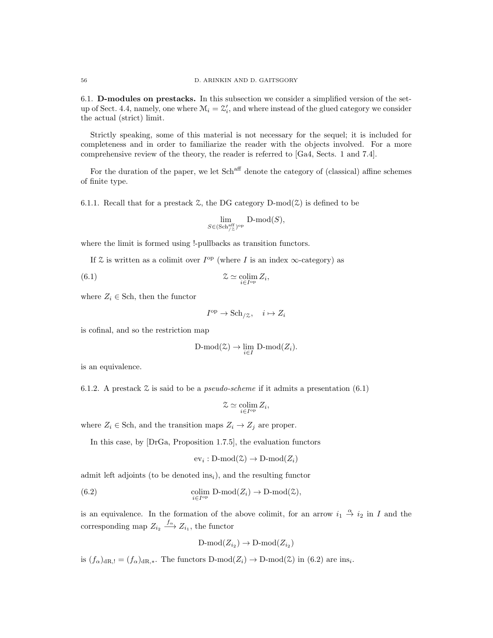6.1. D-modules on prestacks. In this subsection we consider a simplified version of the setup of Sect. 4.4, namely, one where  $\mathcal{M}_i = \mathcal{Z}'_i$ , and where instead of the glued category we consider the actual (strict) limit.

Strictly speaking, some of this material is not necessary for the sequel; it is included for completeness and in order to familiarize the reader with the objects involved. For a more comprehensive review of the theory, the reader is referred to [Ga4, Sects. 1 and 7.4].

For the duration of the paper, we let  $Sch<sup>aff</sup>$  denote the category of (classical) affine schemes of finite type.

6.1.1. Recall that for a prestack  $\mathfrak{L}$ , the DG category D-mod $(\mathfrak{L})$  is defined to be

$$
\lim_{S \in (\text{Sch}_{/Z}^{\text{aff}})^{\text{op}}} \text{D-mod}(S),
$$

where the limit is formed using !-pullbacks as transition functors.

If  $\mathfrak X$  is written as a colimit over  $I^{\rm op}$  (where I is an index  $\infty$ -category) as

(6.1) 
$$
\mathcal{Z} \simeq \underset{i \in I^{\text{op}}} {\text{colim}} \, Z_i,
$$

where  $Z_i \in$  Sch, then the functor

$$
I^{\rm op} \to \text{Sch}_{/\mathcal{Z}}, \quad i \mapsto Z_i
$$

is cofinal, and so the restriction map

$$
\text{D-mod}(\mathcal{Z}) \to \lim_{i \in I} \text{D-mod}(Z_i).
$$

is an equivalence.

6.1.2. A prestack  $\mathcal Z$  is said to be a *pseudo-scheme* if it admits a presentation (6.1)

$$
\mathcal{Z}\simeq \operatornamewithlimits{colim}_{i\in I^{\mathrm{op}}} Z_i,
$$

where  $Z_i \in$  Sch, and the transition maps  $Z_i \rightarrow Z_j$  are proper.

In this case, by [DrGa, Proposition 1.7.5], the evaluation functors

$$
ev_i : D\text{-mod}(\mathcal{Z}) \to D\text{-mod}(Z_i)
$$

admit left adjoints (to be denoted ins<sub>i</sub>), and the resulting functor

(6.2) 
$$
\underset{i \in I^{\mathrm{op}}}{\mathrm{colim}} \mathrm{D}\text{-}\mathrm{mod}(Z_i) \to \mathrm{D}\text{-}\mathrm{mod}(\mathcal{Z}),
$$

is an equivalence. In the formation of the above colimit, for an arrow  $i_1 \stackrel{\alpha}{\rightarrow} i_2$  in I and the corresponding map  $Z_{i_2} \xrightarrow{f_{\alpha}} Z_{i_1}$ , the functor

$$
\mathrm{D\text{-}mod}(Z_{i_2}) \to \mathrm{D\text{-}mod}(Z_{i_2})
$$

is  $(f_{\alpha})_{dR,!} = (f_{\alpha})_{dR,*}$ . The functors  $D\text{-mod}(Z_i) \to D\text{-mod}(\mathcal{Z})$  in  $(6.2)$  are ins<sub>i</sub>.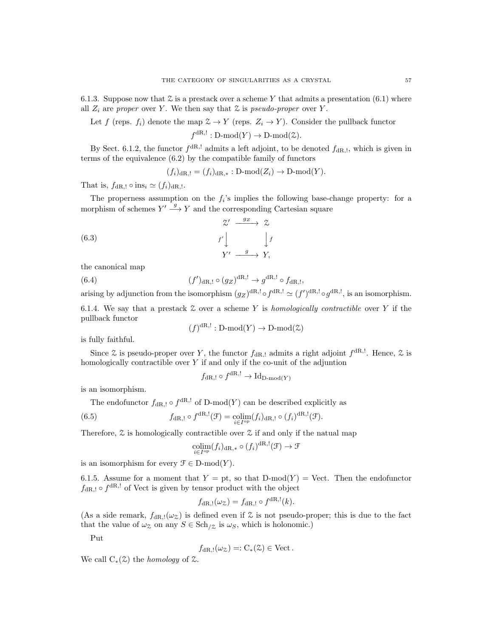6.1.3. Suppose now that  $\mathcal Z$  is a prestack over a scheme Y that admits a presentation (6.1) where all  $Z_i$  are proper over Y. We then say that  $\mathcal Z$  is pseudo-proper over Y.

Let f (reps.  $f_i$ ) denote the map  $\mathcal{Z} \to Y$  (reps.  $Z_i \to Y$ ). Consider the pullback functor

 $f^{dR,!}: D\text{-mod}(Y) \to D\text{-mod}(\mathcal{Z}).$ 

By Sect. 6.1.2, the functor  $f^{dR,!}$  admits a left adjoint, to be denoted  $f_{dR,}$ , which is given in terms of the equivalence (6.2) by the compatible family of functors

$$
(f_i)_{\mathrm{dR},!} = (f_i)_{\mathrm{dR},*} : D\text{-mod}(Z_i) \to D\text{-mod}(Y).
$$

That is,  $f_{\text{dR},!} \circ \text{ins}_i \simeq (f_i)_{\text{dR},!}$ .

The properness assumption on the  $f_i$ 's implies the following base-change property: for a morphism of schemes  $Y' \stackrel{g}{\longrightarrow} Y$  and the corresponding Cartesian square

(6.3) 
$$
\begin{array}{ccc}\n & \mathcal{Z}' & \xrightarrow{g_{\mathcal{Z}}} & \mathcal{Z} \\
 f' & & f' \\
 Y' & \xrightarrow{g} & Y,\n\end{array}
$$

the canonical map

 $(6.4)$  $(y_{\text{dR},!} \circ (g_Z)^{\text{dR},!} \to g^{\text{dR},!} \circ f_{\text{dR},!},$ 

arising by adjunction from the isomorphism  $(g_Z)^{dR, !} \circ f^{dR, !} \simeq (f')^{dR, !} \circ g^{dR, !}$ , is an isomorphism.

6.1.4. We say that a prestack  $\mathcal Z$  over a scheme Y is homologically contractible over Y if the pullback functor

$$
(f)
$$
<sup>dR,!</sup>: D-mod $(Y)$   $\rightarrow$  D-mod $(\mathcal{Z})$ 

is fully faithful.

Since  $\mathfrak L$  is pseudo-proper over Y, the functor  $f_{\text{dR},!}$  admits a right adjoint  $f^{\text{dR},!}$ . Hence,  $\mathfrak L$  is homologically contractible over  $Y$  if and only if the co-unit of the adjuntion

$$
f_{\mathrm{dR},!} \circ f^{\mathrm{dR},!} \to \mathrm{Id}_{\mathrm{D-mod}(Y)}
$$

is an isomorphism.

The endofunctor  $f_{\text{dR},!} \circ f^{\text{dR},!}$  of D-mod $(Y)$  can be described explicitly as

(6.5) 
$$
f_{\mathrm{dR},!} \circ f^{\mathrm{dR},!}(\mathcal{F}) = \underset{i \in I^{\mathrm{op}}}{\mathrm{colim}} (f_i)_{\mathrm{dR},!} \circ (f_i)^{\mathrm{dR},!}(\mathcal{F}).
$$

Therefore,  $\mathfrak X$  is homologically contractible over  $\mathfrak X$  if and only if the natual map

$$
\underset{i \in I^{\mathrm{op}}}{\mathrm{colim}}(f_i)_{\mathrm{dR},*} \circ (f_i)^{\mathrm{dR},!}(\mathcal{F}) \to \mathcal{F}
$$

is an isomorphism for every  $\mathcal{F} \in \mathcal{D}$ -mod $(Y)$ .

6.1.5. Assume for a moment that  $Y = pt$ , so that  $D-mod(Y) = Vect$ . Then the endofunctor  $f_{\text{dR},!} \circ f^{\text{dR},!}$  of Vect is given by tensor product with the object

$$
f_{\mathrm{dR},!}(\omega_{\mathcal{Z}}) = f_{\mathrm{dR},!} \circ f^{\mathrm{dR},!}(k).
$$

(As a side remark,  $f_{\text{dR},!}(\omega_{\mathcal{Z}})$  is defined even if  $\mathcal Z$  is not pseudo-proper; this is due to the fact that the value of  $\omega_{\mathcal{Z}}$  on any  $S \in \text{Sch}_{\mathcal{Z}}$  is  $\omega_{S}$ , which is holonomic.)

Put

$$
f_{\mathrm{dR},!}(\omega_{\mathcal{Z}})=:C_*(\mathcal{Z})\in \mathrm{Vect}.
$$

We call  $C_*(\mathfrak{L})$  the *homology* of  $\mathfrak{L}$ .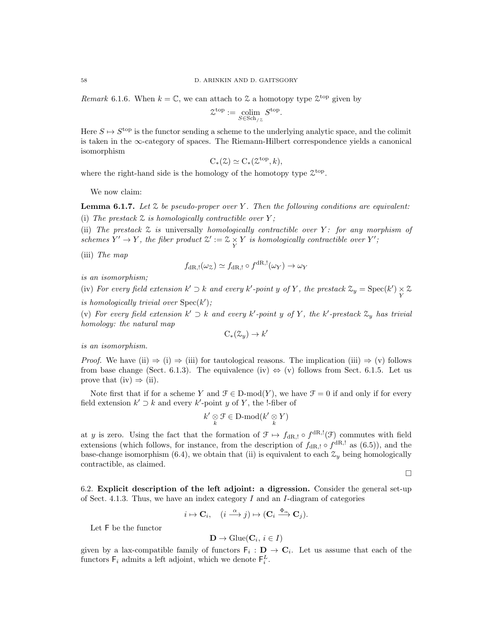*Remark* 6.1.6. When  $k = \mathbb{C}$ , we can attach to  $\mathcal Z$  a homotopy type  $\mathcal Z^{\text{top}}$  given by

$$
\mathcal{Z}^{\text{top}} := \underset{S \in \text{Sch}_{/Z}}{\text{colim}} S^{\text{top}}.
$$

Here  $S \mapsto S^{\text{top}}$  is the functor sending a scheme to the underlying analytic space, and the colimit is taken in the ∞-category of spaces. The Riemann-Hilbert correspondence yields a canonical isomorphism

$$
C_*(\mathcal{Z}) \simeq C_*(\mathcal{Z}^{\text{top}}, k),
$$

where the right-hand side is the homology of the homotopy type  $\mathfrak{X}^{\text{top}}$ .

We now claim:

**Lemma 6.1.7.** Let  $\mathcal Z$  be pseudo-proper over Y. Then the following conditions are equivalent: (i) The prestack  $\mathfrak X$  is homologically contractible over Y;

(ii) The prestack  $\mathfrak X$  is universally homologically contractible over  $Y$ : for any morphism of schemes  $Y' \to Y$ , the fiber product  $\mathcal{Z}' := \mathcal{Z} \times Y$  is homologically contractible over  $Y'$ ;

(iii) The map

$$
f_{\mathrm{dR},!}(\omega_\mathbb{Z}) \simeq f_{\mathrm{dR},!} \circ f^{\mathrm{dR},!}(\omega_Y) \to \omega_Y
$$

is an isomorphism;

(iv) For every field extension  $k' \supset k$  and every  $k'$ -point y of Y, the prestack  $\mathcal{Z}_y = \text{Spec}(k') \underset{Y}{\times} \mathcal{Z}$ 

is homologically trivial over  $Spec(k')$ ;

(v) For every field extension  $k' \supset k$  and every  $k'$ -point y of Y, the  $k'$ -prestack  $\mathfrak{X}_y$  has trivial homology: the natural map

$$
C_*(\mathcal{Z}_y) \to k
$$

 $\prime$ 

is an isomorphism.

*Proof.* We have (ii)  $\Rightarrow$  (i)  $\Rightarrow$  (iii) for tautological reasons. The implication (iii)  $\Rightarrow$  (v) follows from base change (Sect. 6.1.3). The equivalence (iv)  $\Leftrightarrow$  (v) follows from Sect. 6.1.5. Let us prove that (iv)  $\Rightarrow$  (ii).

Note first that if for a scheme Y and  $\mathcal{F} \in \mathcal{D}$ -mod $(Y)$ , we have  $\mathcal{F} = 0$  if and only if for every field extension  $k' \supset k$  and every  $k'$ -point y of Y, the !-fiber of

$$
k' \underset{k}{\otimes} \mathcal{F} \in \mathbf{D}\text{-}\mathrm{mod}(k' \underset{k}{\otimes} Y)
$$

at y is zero. Using the fact that the formation of  $\mathcal{F} \mapsto f_{dR,l} \circ f^{dR,l}(\mathcal{F})$  commutes with field extensions (which follows, for instance, from the description of  $f_{\text{dR},!} \circ f^{\text{dR},!}$  as (6.5)), and the base-change isomorphism (6.4), we obtain that (ii) is equivalent to each  $\mathcal{Z}_y$  being homologically contractible, as claimed.

 $\Box$ 

6.2. Explicit description of the left adjoint: a digression. Consider the general set-up of Sect. 4.1.3. Thus, we have an index category  $I$  and an  $I$ -diagram of categories

$$
i \mapsto \mathbf{C}_i, \quad (i \stackrel{\alpha}{\longrightarrow} j) \mapsto (\mathbf{C}_i \stackrel{\Phi_{\alpha}}{\longrightarrow} \mathbf{C}_j).
$$

Let F be the functor

$$
\mathbf{D} \to \text{Glue}(\mathbf{C}_i, i \in I)
$$

given by a lax-compatible family of functors  $\mathsf{F}_i : \mathbf{D} \to \mathbf{C}_i$ . Let us assume that each of the functors  $\mathsf{F}_i$  admits a left adjoint, which we denote  $\mathsf{F}_i^L$ .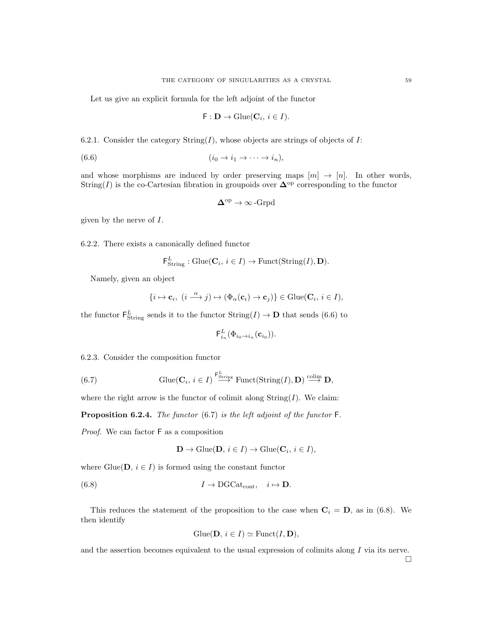Let us give an explicit formula for the left adjoint of the functor

$$
\mathsf{F}:\mathbf{D}\to\operatorname{Glue}(\mathbf{C}_i,\,i\in I).
$$

6.2.1. Consider the category  $String(I)$ , whose objects are strings of objects of I:

$$
(6.6) \qquad (i_0 \to i_1 \to \cdots \to i_n),
$$

and whose morphisms are induced by order preserving maps  $[m] \to [n]$ . In other words, String(I) is the co-Cartesian fibration in groupoids over  $\Delta^{\rm op}$  corresponding to the functor

$$
\Delta^{\mathrm{op}} \to \infty\operatorname{-Grpd}
$$

given by the nerve of I.

6.2.2. There exists a canonically defined functor

$$
\mathsf{F}_{\text{String}}^{L}: \text{Glue}(\mathbf{C}_{i}, i \in I) \to \text{Funct}(\text{String}(I), \mathbf{D}).
$$

Namely, given an object

$$
\{i \mapsto \mathbf{c}_i, \ (i \stackrel{\alpha}{\longrightarrow} j) \mapsto (\Phi_\alpha(\mathbf{c}_i) \to \mathbf{c}_j)\} \in \mathrm{Glue}(\mathbf{C}_i, \, i \in I),
$$

the functor  $\mathsf{F}^L_{\text{String}}$  sends it to the functor  $\text{String}(I) \to \mathbf{D}$  that sends (6.6) to

$$
\mathsf{F}^L_{i_n}(\Phi_{i_0\to i_n}(\mathbf{c}_{i_0})).
$$

6.2.3. Consider the composition functor

(6.7) 
$$
\text{Glue}(\mathbf{C}_i, i \in I) \stackrel{\mathsf{F}_{\text{String}}^L}{\longrightarrow} \text{Funct}(\text{String}(I), \mathbf{D}) \stackrel{\text{colim}}{\longrightarrow} \mathbf{D},
$$

where the right arrow is the functor of colimit along  $String(I)$ . We claim:

**Proposition 6.2.4.** The functor  $(6.7)$  is the left adjoint of the functor  $\mathsf{F}$ .

Proof. We can factor F as a composition

$$
\mathbf{D} \to \text{Glue}(\mathbf{D}, i \in I) \to \text{Glue}(\mathbf{C}_i, i \in I),
$$

where Glue( $D, i \in I$ ) is formed using the constant functor

(6.8) 
$$
I \to \text{DGCat}_{\text{cont}}, \quad i \mapsto \mathbf{D}.
$$

This reduces the statement of the proposition to the case when  $C_i = D$ , as in (6.8). We then identify

$$
Glue(D, i \in I) \simeq Funct(I, D),
$$

and the assertion becomes equivalent to the usual expression of colimits along I via its nerve.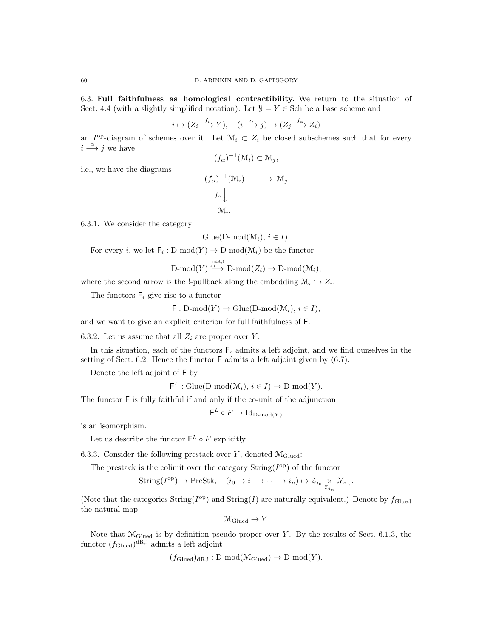6.3. Full faithfulness as homological contractibility. We return to the situation of Sect. 4.4 (with a slightly simplified notation). Let  $\mathcal{Y} = Y \in$  Sch be a base scheme and

$$
i \mapsto (Z_i \xrightarrow{f_i} Y), \quad (i \xrightarrow{\alpha} j) \mapsto (Z_j \xrightarrow{f_{\alpha}} Z_i)
$$

an  $I^{op}$ -diagram of schemes over it. Let  $\mathcal{M}_i \subset Z_i$  be closed subschemes such that for every  $i \stackrel{\alpha}{\longrightarrow} j$  we have  $(f_{\alpha})^{-1}(\mathfrak{M}_i) \subset \mathfrak{M}_j,$ 

i.e., we have the diagrams

$$
(f_{\alpha})^{-1}(\mathfrak{M}_{i}) \longrightarrow \mathfrak{M}_{j}
$$

$$
f_{\alpha} \downarrow
$$

$$
\mathfrak{M}_{i}.
$$

6.3.1. We consider the category

$$
Glue(D-mod(\mathcal{M}_i), i \in I).
$$

For every *i*, we let  $\mathsf{F}_i : \mathsf{D}\text{-mod}(Y) \to \mathsf{D}\text{-mod}(\mathcal{M}_i)$  be the functor

$$
\text{D-mod}(Y) \stackrel{f_i^{dR,1}}{\longrightarrow} \text{D-mod}(Z_i) \to \text{D-mod}(\mathcal{M}_i),
$$

where the second arrow is the !-pullback along the embedding  $\mathcal{M}_i \hookrightarrow Z_i$ .

The functors  $F_i$  give rise to a functor

 $\mathsf{F}: \mathrm{D-mod}(Y) \to \mathrm{Glue}(\mathrm{D-mod}(\mathcal{M}_i), i \in I),$ 

and we want to give an explicit criterion for full faithfulness of F.

6.3.2. Let us assume that all  $Z_i$  are proper over Y.

In this situation, each of the functors  $F_i$  admits a left adjoint, and we find ourselves in the setting of Sect. 6.2. Hence the functor F admits a left adjoint given by (6.7).

Denote the left adjoint of F by

 $\mathsf{F}^L : \mathrm{Glue}(\mathrm{D-mod}(\mathcal{M}_i), i \in I) \to \mathrm{D-mod}(Y).$ 

The functor F is fully faithful if and only if the co-unit of the adjunction

$$
\mathsf{F}^L\circ F\to\mathrm{Id}_{\mathrm{D}\text{-}\mathrm{mod}(Y)}
$$

is an isomorphism.

Let us describe the functor  $\mathsf{F}^L \circ F$  explicitly.

6.3.3. Consider the following prestack over Y, denoted  $\mathcal{M}_{\text{Glued}}$ :

The prestack is the colimit over the category  $String(I^{op})$  of the functor

String(
$$
I^{\text{op}}
$$
)  $\to$  PreStk,  $(i_0 \to i_1 \to \cdots \to i_n) \mapsto \mathcal{Z}_{i_0} \underset{\mathcal{Z}_{i_n}}{\times} \mathcal{M}_{i_n}$ .

(Note that the categories String( $I^{\rm op}$ ) and String(I) are naturally equivalent.) Denote by  $f_{\rm Glued}$ the natural map

$$
\mathcal{M}_{\text{Glued}} \to Y.
$$

Note that  $\mathcal{M}_{\text{Glued}}$  is by definition pseudo-proper over Y. By the results of Sect. 6.1.3, the functor  $(f_{\text{Glued}})^{\text{dR},!}$  admits a left adjoint

$$
(f_{\text{Glued}})_{\text{dR},!}: D\text{-mod}(\mathcal{M}_{\text{Glued}}) \to D\text{-mod}(Y).
$$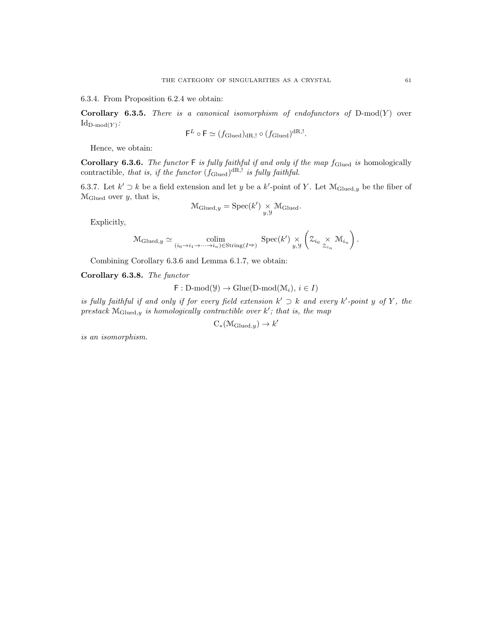6.3.4. From Proposition 6.2.4 we obtain:

Corollary 6.3.5. There is a canonical isomorphism of endofunctors of  $D-mod(Y)$  over  ${\rm Id}_{{\rm D-mod}(Y)}$ : L

$$
\mathsf{F}^L \circ \mathsf{F} \simeq (f_{\mathrm{Glued}})_{\mathrm{dR},!} \circ (f_{\mathrm{Glued}})^{\mathrm{dR},!}.
$$

Hence, we obtain:

**Corollary 6.3.6.** The functor  $\mathsf{F}$  is fully faithful if and only if the map  $f_{\text{Glued}}$  is homologically contractible, that is, if the functor  $(f_{\text{Glued}})^{dR, !}$  is fully faithful.

6.3.7. Let  $k' \supset k$  be a field extension and let y be a k'-point of Y. Let  $\mathcal{M}_{\text{Glued},y}$  be the fiber of  $M_{\text{Glued}}$  over y, that is,

$$
\mathcal{M}_{\text{Glued},y} = \text{Spec}(k') \underset{y,y}{\times} \mathcal{M}_{\text{Glued}}.
$$

Explicitly,

$$
\mathcal{M}_{\text{Glued},y} \simeq \underset{(i_0 \to i_1 \to \cdots \to i_n) \in \text{String}(I^{\text{op}})}{\text{colim}} \text{Spec}(k') \underset{y,y}{\times} \left( \mathcal{Z}_{i_0} \underset{\mathcal{Z}_{i_n}}{\times} \mathcal{M}_{i_n} \right).
$$

Combining Corollary 6.3.6 and Lemma 6.1.7, we obtain:

Corollary 6.3.8. The functor

$$
F: D\text{-mod}(\mathcal{Y}) \to \text{Glue}(D\text{-mod}(\mathcal{M}_i), i \in I)
$$

is fully faithful if and only if for every field extension  $k' \supset k$  and every  $k'$ -point y of Y, the prestack  $\mathcal{M}_{\text{Glued},y}$  is homologically contractible over k'; that is, the map

$$
C_*(\mathcal{M}_{\mathrm{Glued},y}) \to k'
$$

is an isomorphism.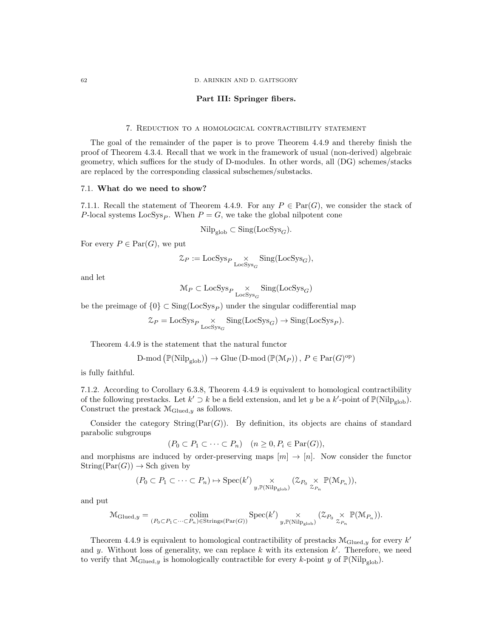### Part III: Springer fibers.

## 7. Reduction to a homological contractibility statement

The goal of the remainder of the paper is to prove Theorem 4.4.9 and thereby finish the proof of Theorem 4.3.4. Recall that we work in the framework of usual (non-derived) algebraic geometry, which suffices for the study of D-modules. In other words, all (DG) schemes/stacks are replaced by the corresponding classical subschemes/substacks.

### 7.1. What do we need to show?

7.1.1. Recall the statement of Theorem 4.4.9. For any  $P \in \text{Par}(G)$ , we consider the stack of P-local systems  $\text{LocSys}_P$ . When  $P = G$ , we take the global nilpotent cone

$$
\mathrm{Nilp}_{\mathrm{glob}} \subset \mathrm{Sing}(\mathrm{LocSys}_G).
$$

For every  $P \in \text{Par}(G)$ , we put

$$
\mathcal{Z}_P := \text{LocSys}_P \underset{\text{LocSys}_G}{\times} \text{Sing}(\text{LocSys}_G),
$$

and let

$$
\mathcal{M}_P \subset \text{LocSys}_{P} \underset{\text{LocSys}_G}{\times} \text{Sing}(\text{LocSys}_G)
$$

be the preimage of  $\{0\} \subset \text{Sing}(\text{LocSys}_P)$  under the singular codifferential map

$$
\mathcal{Z}_P = \text{LocSys}_P \underset{\text{LocSys}_G}{\times} \text{Sing}(\text{LocSys}_G) \to \text{Sing}(\text{LocSys}_P).
$$

Theorem 4.4.9 is the statement that the natural functor

$$
\text{D-mod}\left(\mathbb{P}(\text{Nilp}_{\text{glob}})\right) \to \text{Glue}\left(\text{D-mod}\left(\mathbb{P}(\mathcal{M}_P)\right), \, P \in \text{Par}(G)^{\text{op}}\right)
$$

is fully faithful.

7.1.2. According to Corollary 6.3.8, Theorem 4.4.9 is equivalent to homological contractibility of the following prestacks. Let  $k' \supset k$  be a field extension, and let y be a  $k'$ -point of  $\mathbb{P}(\text{Nilp}_{\text{glob}})$ . Construct the prestack  $M_{\text{Glued},y}$  as follows.

Consider the category  $String(Par(G))$ . By definition, its objects are chains of standard parabolic subgroups

$$
(P_0 \subset P_1 \subset \cdots \subset P_n) \quad (n \ge 0, P_i \in \text{Par}(G)),
$$

and morphisms are induced by order-preserving maps  $[m] \to [n]$ . Now consider the functor  $String(Par(G)) \rightarrow Sch$  given by

$$
(P_0 \subset P_1 \subset \cdots \subset P_n) \mapsto \mathrm{Spec}(k') \underset{y, \mathbb{P}(\mathrm{Nilp}_\mathrm{glob})}{\times} (\mathcal{Z}_{P_0} \underset{\mathcal{Z}_{P_n}}{\times} \mathbb{P}(\mathcal{M}_{P_n})),
$$

and put

$$
\mathcal{M}_{\mathrm{Glued},y} = \underset{(P_0 \subset P_1 \subset \cdots \subset P_n) \in \mathrm{String}(\mathrm{Par}(G))}{\mathrm{colim}} \mathrm{Spec}(k') \underset{y, \mathbb{P}(\mathrm{Nilp}_{\mathrm{glob}})}{\times} (\mathcal{Z}_{P_0} \underset{\mathcal{Z}_{P_n}}{\times} \mathbb{P}(\mathcal{M}_{P_n})).
$$

Theorem 4.4.9 is equivalent to homological contractibility of prestacks  $\mathcal{M}_{\text{Glued},y}$  for every  $k'$ and y. Without loss of generality, we can replace  $k$  with its extension  $k'$ . Therefore, we need to verify that  $\mathcal{M}_{\text{Glued},y}$  is homologically contractible for every k-point y of  $\mathbb{P}(\text{Nilp}_{\text{glob}})$ .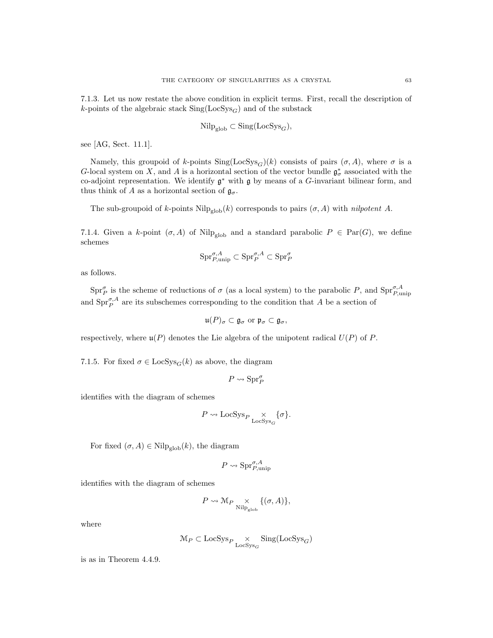7.1.3. Let us now restate the above condition in explicit terms. First, recall the description of k-points of the algebraic stack  $\text{Sing}(\text{LocSys}_G)$  and of the substack

$$
\mathrm{Nilp}_{\mathrm{glob}} \subset \mathrm{Sing}(\mathrm{LocSys}_G),
$$

see [AG, Sect. 11.1].

Namely, this groupoid of k-points  $\text{Sing}(\text{LocSys}_G)(k)$  consists of pairs  $(\sigma, A)$ , where  $\sigma$  is a G-local system on X, and A is a horizontal section of the vector bundle  $\mathfrak{g}^*_{\sigma}$  associated with the co-adjoint representation. We identify  $\mathfrak{g}^*$  with  $\mathfrak{g}$  by means of a G-invariant bilinear form, and thus think of A as a horizontal section of  $\mathfrak{g}_{\sigma}$ .

The sub-groupoid of k-points  $\text{Nilp}_{\text{glob}}(k)$  corresponds to pairs  $(\sigma, A)$  with *nilpotent A*.

7.1.4. Given a k-point  $(\sigma, A)$  of Nilp<sub>glob</sub> and a standard parabolic  $P \in \text{Par}(G)$ , we define schemes

$$
\mathrm{Spr}^{\sigma,A}_{P,\mathrm{unip}}\subset \mathrm{Spr}^{\sigma,A}_P\subset \mathrm{Spr}^{\sigma}_P
$$

as follows.

 $\text{Spr}_{P}^{\sigma}$  is the scheme of reductions of  $\sigma$  (as a local system) to the parabolic P, and  $\text{Spr}_{P,\text{unip}}^{\sigma,A}$ and  $\text{Spr}_{P}^{\sigma,A}$  are its subschemes corresponding to the condition that A be a section of

$$
\mathfrak{u}(P)_{\sigma}\subset\mathfrak{g}_{\sigma}\text{ or }\mathfrak{p}_{\sigma}\subset\mathfrak{g}_{\sigma},
$$

respectively, where  $\mathfrak{u}(P)$  denotes the Lie algebra of the unipotent radical  $U(P)$  of P.

7.1.5. For fixed  $\sigma \in \text{LocSys}_G(k)$  as above, the diagram

$$
P \leadsto \mathrm{Spr}^\sigma_P
$$

identifies with the diagram of schemes

$$
P \leadsto \mathsf{LocSys}_P \underset{\mathsf{LocSys}_G}{\times} \{\sigma\}.
$$

For fixed  $(\sigma, A) \in \text{Nilp}_{\text{glob}}(k)$ , the diagram

$$
P \leadsto \mathrm{Spr}_{P,\mathrm{unip}}^{\sigma,A}
$$

identifies with the diagram of schemes

$$
P \leadsto \mathcal{M}_P \underset{\text{Nilp}_\text{glob}}{\times} \{(\sigma, A)\},
$$

where

$$
\mathcal{M}_P \subset \text{LocSys}_P \underset{\text{LocSys}_G}{\times} \text{Sing}(\text{LocSys}_G)
$$

is as in Theorem 4.4.9.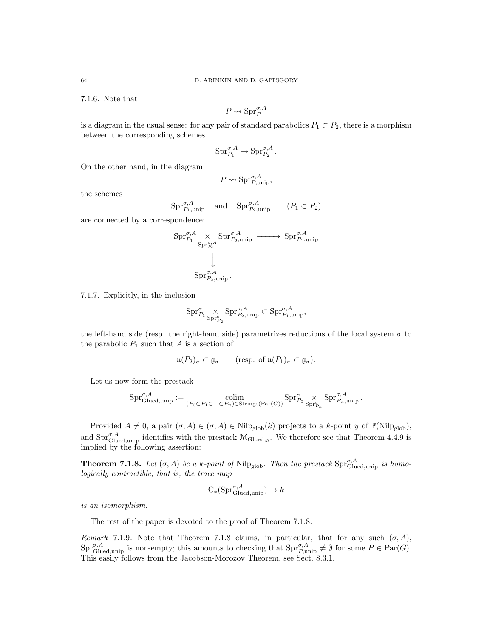7.1.6. Note that

$$
P \leadsto \mathrm{Spr}_P^{\sigma, A}
$$

is a diagram in the usual sense: for any pair of standard parabolics  $P_1 \subset P_2$ , there is a morphism between the corresponding schemes

$$
\text{Spr}_{P_1}^{\sigma,A}\to \text{Spr}_{P_2}^{\sigma,A}\,.
$$

On the other hand, in the diagram

$$
P \leadsto \mathrm{Spr}_{P,\mathrm{unip}}^{\sigma,A},
$$

the schemes

$$
\text{Spr}_{P_1,\text{unip}}^{\sigma,A} \quad \text{and} \quad \text{Spr}_{P_2,\text{unip}}^{\sigma,A} \qquad (P_1 \subset P_2)
$$

are connected by a correspondence:

$$
\begin{aligned} \mathrm{Spr}^{\sigma,A}_{P_1} &\times \mathrm{Spr}^{\sigma,A}_{P_2,\mathrm{unip}} \xrightarrow{\hspace*{1.5cm}} \mathrm{Spr}^{\sigma,A}_{P_1,\mathrm{unip}} \\ &\downarrow \phantom{\Bigg|} \\ \mathrm{Spr}^{\sigma,A}_{P_2,\mathrm{unip}} \,. \end{aligned}
$$

7.1.7. Explicitly, in the inclusion

$$
\mathrm{Spr}_{P_1}^\sigma \underset{\mathrm{Spr}_{P_2}^\sigma}{\times} \mathrm{Spr}_{P_2,\mathrm{unip}}^{\sigma,A} \subset \mathrm{Spr}_{P_1,\mathrm{unip}}^{\sigma,A},
$$

the left-hand side (resp. the right-hand side) parametrizes reductions of the local system  $\sigma$  to the parabolic  $P_1$  such that  $A$  is a section of

$$
\mathfrak{u}(P_2)_{\sigma} \subset \mathfrak{g}_{\sigma} \qquad (\text{resp. of } \mathfrak{u}(P_1)_{\sigma} \subset \mathfrak{g}_{\sigma}).
$$

Let us now form the prestack

$$
\textup{Spr}_{\textup{Glued,unip}}^{\sigma,A}:=\underset{(P_0\subset P_1\subset \cdots \subset P_n)\in \textup{Strings}(\textup{Par}(G))}{\textup{colim}}\textup{Spr}_{P_0}^{\sigma}\underset{\textup{Spr}_{P_n}^{\sigma}}{\times}\textup{Spr}_{P_n,\textup{unip}}^{\sigma,A}\,.
$$

Provided  $A \neq 0$ , a pair  $(\sigma, A) \in (\sigma, A) \in Nilp_{glob}(k)$  projects to a k-point y of  $\mathbb{P}(Nilp_{glob}),$ and  $\text{Spr}_{\text{Glued,unip}}^{\sigma,A}$  identifies with the prestack  $\mathcal{M}_{\text{Glued},y}$ . We therefore see that Theorem 4.4.9 is implied by the following assertion:

**Theorem 7.1.8.** Let  $(\sigma, A)$  be a k-point of Nilp<sub>glob</sub>. Then the prestack  $\text{Spr}_{\text{Glued,unip}}^{\sigma, A}$  is homologically contractible, that is, the trace map

$$
C_*(Spr_{Glued,unip}^{\sigma,A}) \to k
$$

is an isomorphism.

The rest of the paper is devoted to the proof of Theorem 7.1.8.

Remark 7.1.9. Note that Theorem 7.1.8 claims, in particular, that for any such  $(\sigma, A)$ ,  $\text{Spr}_{\text{Glued,unip}}^{\sigma,A}$  is non-empty; this amounts to checking that  $\text{Spr}_{P,\text{unip}}^{\sigma,A} \neq \emptyset$  for some  $P \in \text{Par}(G)$ . This easily follows from the Jacobson-Morozov Theorem, see Sect. 8.3.1.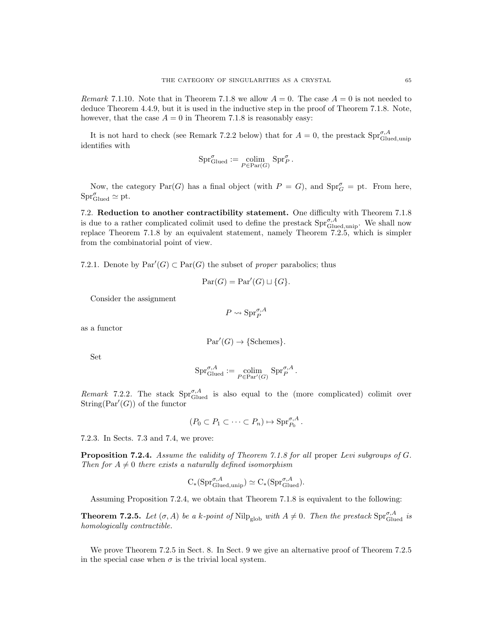Remark 7.1.10. Note that in Theorem 7.1.8 we allow  $A = 0$ . The case  $A = 0$  is not needed to deduce Theorem 4.4.9, but it is used in the inductive step in the proof of Theorem 7.1.8. Note, however, that the case  $A = 0$  in Theorem 7.1.8 is reasonably easy:

It is not hard to check (see Remark 7.2.2 below) that for  $A = 0$ , the prestack  $\text{Spr}_{\text{Glued,unip}}^{\sigma, A}$ identifies with

$$
\text{Spr}_{\text{Glued}}^{\sigma} := \underset{P \in \text{Par}(G)}{\text{colim}} \text{Spr}_{P}^{\sigma}.
$$

Now, the category  $\text{Par}(G)$  has a final object (with  $P = G$ ), and  $\text{Spr}_{G}^{\sigma} = \text{ pt}$ . From here,  $\text{Spr}^{\sigma}_{\text{Glued}} \simeq \text{pt}.$ 

7.2. Reduction to another contractibility statement. One difficulty with Theorem 7.1.8 is due to a rather complicated colimit used to define the prestack  $\text{Spr}_{\text{Glued,unip}}^{\sigma,\hat{A}}$ . We shall now replace Theorem 7.1.8 by an equivalent statement, namely Theorem 7.2.5, which is simpler from the combinatorial point of view.

7.2.1. Denote by  $\text{Par}'(G) \subset \text{Par}(G)$  the subset of proper parabolics; thus

$$
Par(G) = Par'(G) \sqcup \{G\}.
$$

Consider the assignment

$$
P \leadsto \mathrm{Spr}_P^{\sigma, A}
$$

as a functor

$$
Par'(G) \to \{Schemes\}.
$$

Set

$$
\mathrm{Spr}_{\mathrm{Glued}}^{\sigma, A} := \underset{P \in \mathrm{Par}'(G)}{\mathrm{colim}} \mathrm{Spr}_{P}^{\sigma, A} \, .
$$

Remark 7.2.2. The stack  $\text{Spr}_{\text{Glued}}^{\sigma,A}$  is also equal to the (more complicated) colimit over  $String(Par'(G))$  of the functor

$$
(P_0 \subset P_1 \subset \cdots \subset P_n) \mapsto \text{Spr}_{P_0}^{\sigma, A}.
$$

7.2.3. In Sects. 7.3 and 7.4, we prove:

Proposition 7.2.4. Assume the validity of Theorem 7.1.8 for all proper Levi subgroups of G. Then for  $A \neq 0$  there exists a naturally defined isomorphism

$$
C_*(\text{Spr}_{\text{Glued,unip}}^{\sigma,A}) \simeq C_*(\text{Spr}_{\text{Glued}}^{\sigma,A}).
$$

Assuming Proposition 7.2.4, we obtain that Theorem 7.1.8 is equivalent to the following:

**Theorem 7.2.5.** Let  $(\sigma, A)$  be a k-point of Nilp<sub>glob</sub> with  $A \neq 0$ . Then the prestack  $\text{Spr}_{\text{Glued}}^{\sigma, A}$  is homologically contractible.

We prove Theorem 7.2.5 in Sect. 8. In Sect. 9 we give an alternative proof of Theorem 7.2.5 in the special case when  $\sigma$  is the trivial local system.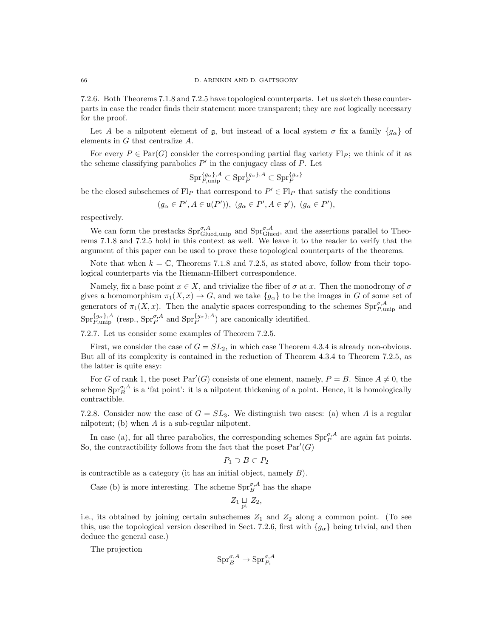7.2.6. Both Theorems 7.1.8 and 7.2.5 have topological counterparts. Let us sketch these counterparts in case the reader finds their statement more transparent; they are not logically necessary for the proof.

Let A be a nilpotent element of  $\mathfrak{g}$ , but instead of a local system  $\sigma$  fix a family  $\{g_{\alpha}\}\$  of elements in G that centralize A.

For every  $P \in \text{Par}(G)$  consider the corresponding partial flag variety  $\text{Fl}_P$ ; we think of it as the scheme classifying parabolics  $P'$  in the conjugacy class of  $P$ . Let

$$
\mathrm{Spr}_{P,\mathrm{unip}}^{\{g_\alpha\},A}\subset \mathrm{Spr}_P^{\{g_\alpha\},A}\subset \mathrm{Spr}_P^{\{g_\alpha\}}
$$

be the closed subschemes of  $\text{Fl}_P$  that correspond to  $P' \in \text{Fl}_P$  that satisfy the conditions

$$
(g_{\alpha} \in P', A \in \mathfrak{u}(P')), (g_{\alpha} \in P', A \in \mathfrak{p}'), (g_{\alpha} \in P'),
$$

respectively.

We can form the prestacks  $Spr_{Glued,unip}^{\sigma,A}$  and  $Spr_{Glued}^{\sigma,A}$ , and the assertions parallel to Theorems 7.1.8 and 7.2.5 hold in this context as well. We leave it to the reader to verify that the argument of this paper can be used to prove these topological counterparts of the theorems.

Note that when  $k = \mathbb{C}$ , Theorems 7.1.8 and 7.2.5, as stated above, follow from their topological counterparts via the Riemann-Hilbert correspondence.

Namely, fix a base point  $x \in X$ , and trivialize the fiber of  $\sigma$  at x. Then the monodromy of  $\sigma$ gives a homomorphism  $\pi_1(X, x) \to G$ , and we take  $\{g_\alpha\}$  to be the images in G of some set of generators of  $\pi_1(X, x)$ . Then the analytic spaces corresponding to the schemes  $\text{Spr}_{P,\text{unip}}^{\sigma, A}$  and  $\text{Spr}_{P,\text{unip}}^{\{g_\alpha\},A}$  (resp.,  $\text{Spr}_{P}^{\sigma,A}$  and  $\text{Spr}_{P}^{\{g_\alpha\},A}$ ) are canonically identified.

7.2.7. Let us consider some examples of Theorem 7.2.5.

First, we consider the case of  $G = SL<sub>2</sub>$ , in which case Theorem 4.3.4 is already non-obvious. But all of its complexity is contained in the reduction of Theorem 4.3.4 to Theorem 7.2.5, as the latter is quite easy:

For G of rank 1, the poset  $Par'(G)$  consists of one element, namely,  $P = B$ . Since  $A \neq 0$ , the scheme  $\text{Spr}_{B}^{\sigma,A}$  is a 'fat point': it is a nilpotent thickening of a point. Hence, it is homologically contractible.

7.2.8. Consider now the case of  $G = SL_3$ . We distinguish two cases: (a) when A is a regular nilpotent; (b) when A is a sub-regular nilpotent.

In case (a), for all three parabolics, the corresponding schemes  $\text{Spr}_{P}^{\sigma,A}$  are again fat points. So, the contractibility follows from the fact that the poset  $Par'(G)$ 

$$
P_1 \supset B \subset P_2
$$

is contractible as a category (it has an initial object, namely  $B$ ).

Case (b) is more interesting. The scheme  $\mathrm{Spr}^{\sigma,A}_{B}$  has the shape

$$
Z_1 \underset{\text{pt}}{\sqcup} Z_2,
$$

i.e., its obtained by joining certain subschemes  $Z_1$  and  $Z_2$  along a common point. (To see this, use the topological version described in Sect. 7.2.6, first with  $\{g_{\alpha}\}\$  being trivial, and then deduce the general case.)

The projection

$$
\mathrm{Spr}^{\sigma,A}_B \to \mathrm{Spr}^{\sigma,A}_{P_1}
$$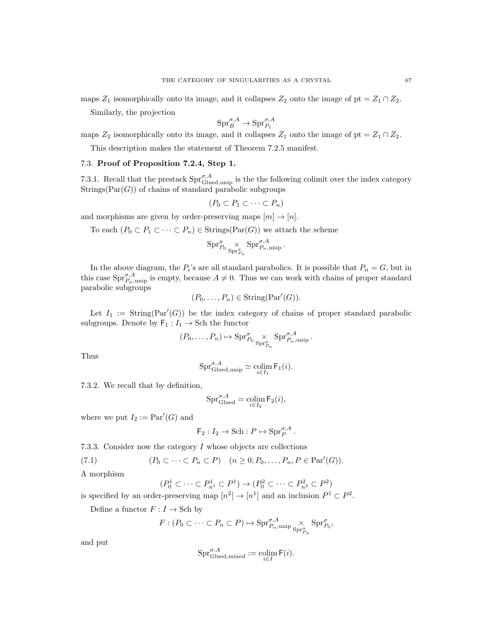maps  $Z_1$  isomorphically onto its image, and it collapses  $Z_2$  onto the image of pt =  $Z_1 \cap Z_2$ .

Similarly, the projection

$$
\mathrm{Spr}^{\sigma,A}_B \to \mathrm{Spr}^{\sigma,A}_{P_1}
$$

maps  $Z_2$  isomorphically onto its image, and it collapses  $Z_1$  onto the image of pt =  $Z_1 \cap Z_2$ .

This description makes the statement of Theorem 7.2.5 manifest.

# 7.3. Proof of Proposition 7.2.4, Step 1.

7.3.1. Recall that the prestack  $\text{Spr}_{\text{Glued,unip}}^{\sigma,\mathcal{A}}$  is the the following colimit over the index category  $Strings(Par(G))$  of chains of standard parabolic subgroups

$$
(P_0 \subset P_1 \subset \cdots \subset P_n)
$$

and morphisms are given by order-preserving maps  $[m] \to [n]$ .

To each  $(P_0 \subset P_1 \subset \cdots \subset P_n) \in \text{Strings}(\text{Par}(G))$  we attach the scheme

$$
\mathrm{Spr}^\sigma_{P_0} \underset{\mathrm{Spr}^\sigma_{P_n}}{\times} \mathrm{Spr}^{\sigma, A}_{P_n, \mathrm{unip}} \, .
$$

In the above diagram, the  $P_i$ 's are all standard parabolics. It is possible that  $P_n = G$ , but in this case  $\text{Spr}_{P_n,\text{unip}}^{\sigma,A}$  is empty, because  $A \neq 0$ . Thus we can work with chains of proper standard parabolic subgroups

$$
(P_0, \ldots, P_n) \in \text{String}(\text{Par}'(G)).
$$

Let  $I_1 := \text{String}(\text{Par}'(G))$  be the index category of chains of proper standard parabolic subgroups. Denote by  $\mathsf{F}_1 : I_1 \to \mathsf{Sch}$  the functor

$$
(P_0, \ldots, P_n) \mapsto \mathrm{Spr}_{P_0}^{\sigma} \underset{\mathrm{Spr}_{P_n}^{\sigma}}{\times} \mathrm{Spr}_{P_n, \mathrm{unip}}^{\sigma, A}.
$$

Thus

$$
\mathrm{Spr}_{\mathrm{Glued,unip}}^{\sigma,A}\simeq \underset{i\in I_1}{\mathrm{colim}}\,\mathsf{F}_1(i).
$$

7.3.2. We recall that by definition,

$$
\operatorname{Spr}_{\operatorname{Glued}}^{\sigma,A} = \operatorname*{colim}_{i \in I_2} \mathsf{F}_2(i),
$$

where we put  $I_2 := \text{Par}'(G)$  and

$$
\mathsf{F}_2: I_2 \to \mathrm{Sch}: P \mapsto \mathrm{Spr}_P^{\sigma, A}.
$$

7.3.3. Consider now the category  $I$  whose objects are collections

(7.1) 
$$
(P_0 \subset \cdots \subset P_n \subset P) \quad (n \geq 0; P_0, \ldots, P_n, P \in \operatorname{Par}'(G)).
$$

A morphism

$$
(P^1_0 \subset \cdots \subset P^1_{n^1} \subset P^1) \to (P^2_0 \subset \cdots \subset P^2_{n^2} \subset P^2)
$$

is specified by an order-preserving map  $[n^2] \to [n^1]$  and an inclusion  $P^1 \subset P^2$ .

Define a functor  $F:I\to \operatorname{Sch}$  by

$$
F: (P_0 \subset \cdots \subset P_n \subset P) \mapsto \mathrm{Spr}_{P_n, \mathrm{unip \, }_{\mathrm{Spr}_{P_n}^{\sigma}}^{\sigma, A} \times \mathrm{Spr}_{P_0}^{\sigma},
$$

and put

$$
\mathrm{Spr}_{\mathrm{Glued},\mathrm{mixed}}^{\sigma,A}:=\operatornamewithlimits{colim}_{i\in I} \mathsf{F}(i).
$$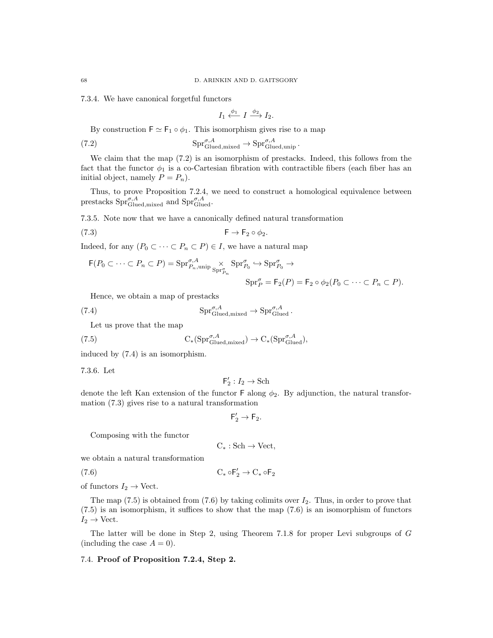7.3.4. We have canonical forgetful functors

$$
I_1 \xleftarrow{\phi_1} I \xrightarrow{\phi_2} I_2.
$$

By construction  $\mathsf{F} \simeq \mathsf{F}_1 \circ \phi_1$ . This isomorphism gives rise to a map

(7.2) 
$$
\mathrm{Spr}_{\mathrm{Glued,mixed}}^{\sigma,A} \to \mathrm{Spr}_{\mathrm{Glued,unip}}^{\sigma,A}.
$$

We claim that the map  $(7.2)$  is an isomorphism of prestacks. Indeed, this follows from the fact that the functor  $\phi_1$  is a co-Cartesian fibration with contractible fibers (each fiber has an initial object, namely  $P = P_n$ ).

Thus, to prove Proposition 7.2.4, we need to construct a homological equivalence between prestacks  $\text{Spr}_{\text{Glued},\text{mixed}}^{\sigma,A}$  and  $\text{Spr}_{\text{Glued}}^{\sigma,A}$ .

7.3.5. Note now that we have a canonically defined natural transformation

(7.3) F → F<sup>2</sup> ◦ φ2.

Indeed, for any  $(P_0 \subset \cdots \subset P_n \subset P) \in I$ , we have a natural map

$$
\mathsf{F}(P_0 \subset \cdots \subset P_n \subset P) = \mathrm{Spr}_{P_n, \mathrm{unip}}^{\sigma, A} \underset{\mathrm{Spr}_{P_n}^{\sigma}}{\times} \mathrm{Spr}_{P_0}^{\sigma} \hookrightarrow \mathrm{Spr}_{P_0}^{\sigma} \to
$$

$$
\mathrm{Spr}_{P}^{\sigma} = \mathsf{F}_2(P) = \mathsf{F}_2 \circ \phi_2(P_0 \subset \cdots \subset P_n \subset P).
$$

Hence, we obtain a map of prestacks

(7.4) 
$$
\mathrm{Spr}_{\mathrm{Glued,mixed}}^{\sigma,A} \to \mathrm{Spr}_{\mathrm{Glued}}^{\sigma,A}.
$$

Let us prove that the map

(7.5) 
$$
C_*(\mathrm{Spr}_{\mathrm{Glued,mixed}}^{\sigma,A}) \to C_*(\mathrm{Spr}_{\mathrm{Glued}}^{\sigma,A}),
$$

induced by (7.4) is an isomorphism.

7.3.6. Let

$$
\mathsf{F}_2':I_2\to\mathbf{Sch}
$$

denote the left Kan extension of the functor F along  $\phi_2$ . By adjunction, the natural transformation (7.3) gives rise to a natural transformation

$$
\mathsf{F}_2' \to \mathsf{F}_2.
$$

Composing with the functor

 $C_* : Sch \rightarrow Vect,$ 

we obtain a natural transformation

(7.6)  $C_* \circ F'_2 \to C_* \circ F_2$ 

of functors  $I_2 \to \text{Vect}$ .

The map  $(7.5)$  is obtained from  $(7.6)$  by taking colimits over  $I_2$ . Thus, in order to prove that (7.5) is an isomorphism, it suffices to show that the map (7.6) is an isomorphism of functors  $I_2 \rightarrow$  Vect.

The latter will be done in Step 2, using Theorem 7.1.8 for proper Levi subgroups of G (including the case  $A = 0$ ).

## 7.4. Proof of Proposition 7.2.4, Step 2.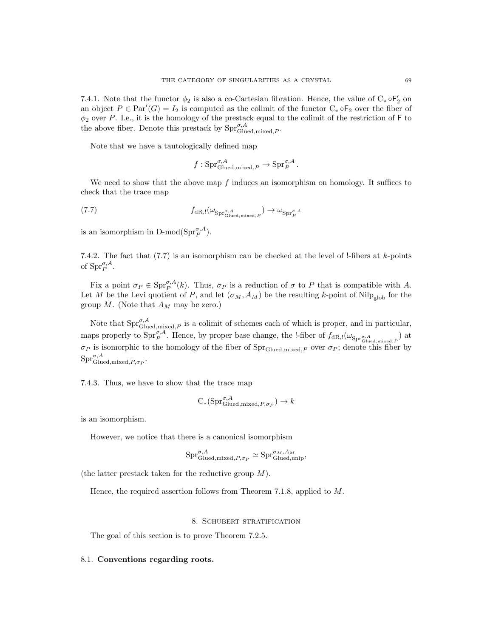7.4.1. Note that the functor  $\phi_2$  is also a co-Cartesian fibration. Hence, the value of  $C_* \circ F'_2$  on an object  $P \in \text{Par}'(G) = I_2$  is computed as the colimit of the functor  $C_* \circ F_2$  over the fiber of  $\phi_2$  over P. I.e., it is the homology of the prestack equal to the colimit of the restriction of F to the above fiber. Denote this prestack by  $\text{Spr}_{\text{Glued},\text{mixed},P}^{\sigma,A}$ .

Note that we have a tautologically defined map

$$
f: \text{Spr}_{\text{Glued},\text{mixed},P}^{\sigma,A} \to \text{Spr}_{P}^{\sigma,A}.
$$

We need to show that the above map  $f$  induces an isomorphism on homology. It suffices to check that the trace map

$$
(7.7) \t fdR,l(\omega_{\mathrm{Spr}^{\sigma,A}_{\mathrm{Glued,mixed},P}}) \to \omega_{\mathrm{Spr}^{\sigma,A}_{P}}
$$

is an isomorphism in D-mod( $\text{Spr}_{P}^{\sigma,A}$ ).

7.4.2. The fact that  $(7.7)$  is an isomorphism can be checked at the level of !-fibers at k-points of  $\text{Spr}^{\sigma,A}_{P}$ .

Fix a point  $\sigma_P \in \mathrm{Spr}_P^{\sigma,A}(k)$ . Thus,  $\sigma_P$  is a reduction of  $\sigma$  to P that is compatible with A. Let M be the Levi quotient of P, and let  $(\sigma_M, A_M)$  be the resulting k-point of Nilp<sub>glob</sub> for the group  $M$ . (Note that  $A_M$  may be zero.)

Note that  $\text{Spr}_{\text{Glued},\text{mixed},P}^{\sigma,A}$  is a colimit of schemes each of which is proper, and in particular, maps properly to  $\text{Spr}_{P}^{\sigma,A}$ . Hence, by proper base change, the !-fiber of  $f_{\text{dR},!}(\omega_{\text{Spr}_{\text{Glued,mixed},P}})$  at  $\sigma_P$  is isomorphic to the homology of the fiber of  $\text{Spr}_{\text{Glued,mixed},P}$  over  $\sigma_P$ ; denote this fiber by  $\mathrm{Spr}_{\mathrm{Glued},\mathrm{mixed},P,\sigma_P}^{\sigma,A}.$ 

7.4.3. Thus, we have to show that the trace map

$$
C_*(\mathrm{Spr}_{\mathrm{Glued},\mathrm{mixed},P,\sigma_P}^{\sigma,A}) \to k
$$

is an isomorphism.

However, we notice that there is a canonical isomorphism

$$
\text{Spr}_{\text{Glued},\text{mixed},P,\sigma_P}^{\sigma,A} \simeq \text{Spr}_{\text{Glued},\text{unip}}^{\sigma_M,A_M},
$$

(the latter prestack taken for the reductive group M).

Hence, the required assertion follows from Theorem 7.1.8, applied to M.

### 8. Schubert stratification

The goal of this section is to prove Theorem 7.2.5.

## 8.1. Conventions regarding roots.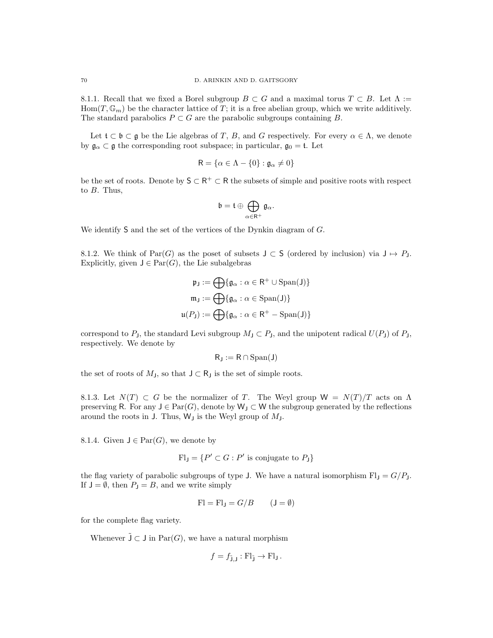8.1.1. Recall that we fixed a Borel subgroup  $B \subset G$  and a maximal torus  $T \subset B$ . Let  $\Lambda :=$  $Hom(T, \mathbb{G}_m)$  be the character lattice of T; it is a free abelian group, which we write additively. The standard parabolics  $P \subset G$  are the parabolic subgroups containing B.

Let  $\mathfrak{t} \subset \mathfrak{b} \subset \mathfrak{g}$  be the Lie algebras of T, B, and G respectively. For every  $\alpha \in \Lambda$ , we denote by  $\mathfrak{g}_{\alpha} \subset \mathfrak{g}$  the corresponding root subspace; in particular,  $\mathfrak{g}_0 = \mathfrak{t}$ . Let

$$
\mathsf{R} = \{ \alpha \in \Lambda - \{0\} : \mathfrak{g}_{\alpha} \neq 0 \}
$$

be the set of roots. Denote by  $\mathsf{S} \subset \mathsf{R}^+ \subset \mathsf{R}$  the subsets of simple and positive roots with respect to B. Thus,

$$
\mathfrak{b}=\mathfrak{t}\oplus\bigoplus_{\alpha\in\mathsf{R}^+}\mathfrak{g}_\alpha.
$$

We identify S and the set of the vertices of the Dynkin diagram of G.

8.1.2. We think of Par(G) as the poset of subsets  $J \subset S$  (ordered by inclusion) via  $J \mapsto P_J$ . Explicitly, given  $J \in \text{Par}(G)$ , the Lie subalgebras

$$
\mathfrak{p}_{\mathsf{J}} := \bigoplus \{ \mathfrak{g}_{\alpha} : \alpha \in \mathsf{R}^+ \cup \text{Span}(\mathsf{J}) \}
$$

$$
\mathfrak{m}_{\mathsf{J}} := \bigoplus \{ \mathfrak{g}_{\alpha} : \alpha \in \text{Span}(\mathsf{J}) \}
$$

$$
\mathfrak{u}(P_{\mathsf{J}}) := \bigoplus \{ \mathfrak{g}_{\alpha} : \alpha \in \mathsf{R}^+ - \text{Span}(\mathsf{J}) \}
$$

correspond to  $P_j$ , the standard Levi subgroup  $M_j \subset P_j$ , and the unipotent radical  $U(P_j)$  of  $P_j$ , respectively. We denote by

$$
R_J:=R\cap\mathrm{Span}(J)
$$

the set of roots of  $M_J$ , so that  $J \subset R_J$  is the set of simple roots.

8.1.3. Let  $N(T) \subset G$  be the normalizer of T. The Weyl group  $W = N(T)/T$  acts on  $\Lambda$ preserving R. For any  $J \in \text{Par}(G)$ , denote by  $W_J \subset W$  the subgroup generated by the reflections around the roots in J. Thus,  $W_J$  is the Weyl group of  $M_J$ .

8.1.4. Given  $J \in \text{Par}(G)$ , we denote by

$$
Fl_J = \{ P' \subset G : P' \text{ is conjugate to } P_J \}
$$

the flag variety of parabolic subgroups of type J. We have a natural isomorphism  $Fl<sub>J</sub> = G/P<sub>J</sub>$ . If  $J = \emptyset$ , then  $P_J = B$ , and we write simply

$$
Fl = FlJ = G/B \t(J = \emptyset)
$$

for the complete flag variety.

Whenever  $\tilde{J} \subset J$  in  $Par(G)$ , we have a natural morphism

$$
f = f_{\tilde{\mathsf{J}},\mathsf{J}} : \mathrm{Fl}_{\tilde{\mathsf{J}}} \to \mathrm{Fl}_{\mathsf{J}}.
$$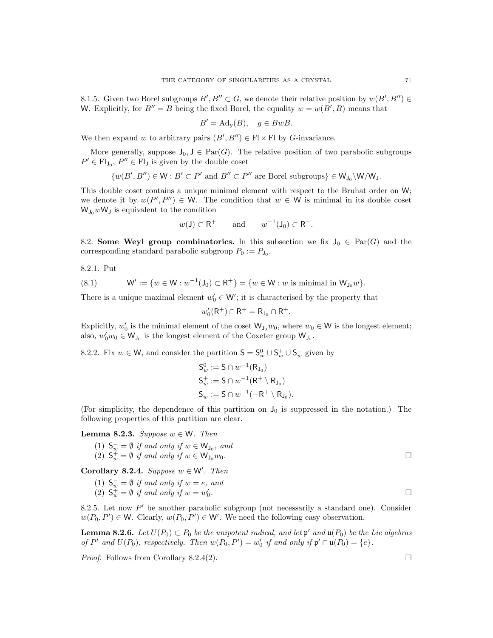8.1.5. Given two Borel subgroups  $B', B'' \subset G$ , we denote their relative position by  $w(B', B'') \in$ W. Explicitly, for  $B'' = B$  being the fixed Borel, the equality  $w = w(B', B)$  means that

$$
B' = \mathrm{Ad}_g(B), \quad g \in BwB.
$$

We then expand w to arbitrary pairs  $(B', B'') \in \text{Fl} \times \text{Fl}$  by G-invariance.

More generally, suppose  $J_0, J \in \text{Par}(G)$ . The relative position of two parabolic subgroups  $P' \in \mathrm{Fl}_{\mathrm{J}_0}, P'' \in \mathrm{Fl}_{\mathrm{J}}$  is given by the double coset

$$
\{w(B', B'') \in W : B' \subset P' \text{ and } B'' \subset P'' \text{ are Borel subgroups}\}\in W_{J_0}\setminus W/W_J.
$$

This double coset contains a unique minimal element with respect to the Bruhat order on W; we denote it by  $w(P', P'') \in W$ . The condition that  $w \in W$  is minimal in its double coset  $W_{J_0}wW_J$  is equivalent to the condition

$$
w(\mathsf{J}) \subset \mathsf{R}^+
$$
 and  $w^{-1}(\mathsf{J}_0) \subset \mathsf{R}^+.$ 

8.2. Some Weyl group combinatorics. In this subsection we fix  $J_0 \in \text{Par}(G)$  and the corresponding standard parabolic subgroup  $P_0 := P_{J_0}$ .

8.2.1. Put

(8.1) 
$$
W' := \{ w \in W : w^{-1}(J_0) \subset R^+ \} = \{ w \in W : w \text{ is minimal in } W_{J_0} w \}.
$$

There is a unique maximal element  $w'_0 \in W'$ ; it is characterised by the property that

$$
w'_0(\mathsf{R}^+) \cap \mathsf{R}^+ = \mathsf{R}_{\mathsf{J}_0} \cap \mathsf{R}^+.
$$

Explicitly,  $w'_0$  is the minimal element of the coset  $\mathsf{W}_{J_0}w_0$ , where  $w_0 \in \mathsf{W}$  is the longest element; also,  $w'_0w_0 \in W_{J_0}$  is the longest element of the Coxeter group  $W_{J_0}$ .

8.2.2. Fix  $w \in \mathsf{W}$ , and consider the partition  $\mathsf{S} = \mathsf{S}_{w}^{0} \cup \mathsf{S}_{w}^{+} \cup \mathsf{S}_{w}^{-}$  given by

$$
S_w^0 := S \cap w^{-1}(R_{J_0})
$$
  
\n
$$
S_w^+ := S \cap w^{-1}(R^+ \setminus R_{J_0})
$$
  
\n
$$
S_w^- := S \cap w^{-1}(-R^+ \setminus R_{J_0}).
$$

(For simplicity, the dependence of this partition on  $J_0$  is suppressed in the notation.) The following properties of this partition are clear.

Lemma 8.2.3. Suppose  $w \in W$ . Then

(1) 
$$
S_w^- = \emptyset
$$
 if and only if  $w \in W_{J_0}$ , and  
(2)  $S_w^+ = \emptyset$  if and only if  $w \in W_{J_0}w_0$ .

Corollary 8.2.4. Suppose  $w \in W'$ . Then

(1)  $S_w^- = \emptyset$  if and only if  $w = e$ , and

(2)  $S_w^+ = \emptyset$  if and only if  $w = w'_0$ .

8.2.5. Let now  $P'$  be another parabolic subgroup (not necessarily a standard one). Consider  $w(P_0, P') \in W$ . Clearly,  $w(P_0, P') \in W'$ . We need the following easy observation.

**Lemma 8.2.6.** Let  $U(P_0) \subset P_0$  be the unipotent radical, and let  $\mathfrak{p}'$  and  $\mathfrak{u}(P_0)$  be the Lie algebras of P' and  $U(P_0)$ , respectively. Then  $w(P_0, P') = w'_0$  if and only if  $\mathfrak{p}' \cap \mathfrak{u}(P_0) = \{e\}.$ 

*Proof.* Follows from Corollary 8.2.4(2).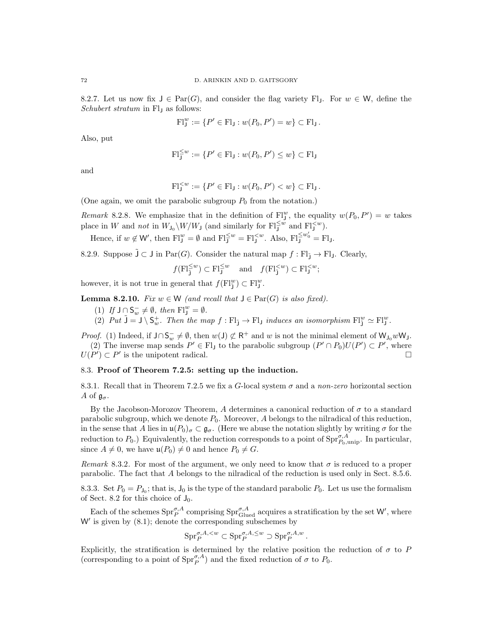8.2.7. Let us now fix  $J \in \text{Par}(G)$ , and consider the flag variety Fl<sub>J</sub>. For  $w \in W$ , define the Schubert stratum in Fl<sub>J</sub> as follows:

$$
F1_J^w := \{ P' \in F1_J : w(P_0, P') = w \} \subset F1_J.
$$

Also, put

$$
\mathrm{Fl}_{\mathrm{J}}^{\leq w} := \{ P' \in \mathrm{Fl}_{\mathrm{J}} : w(P_0, P') \leq w \} \subset \mathrm{Fl}_{\mathrm{J}}
$$

and

$$
{\rm Fl}_{J}^{&} := \{ P' \in {\rm Fl}_{J} : w(P_0, P') < w \} \subset {\rm Fl}_{J} \, .
$$

(One again, we omit the parabolic subgroup  $P_0$  from the notation.)

Remark 8.2.8. We emphasize that in the definition of  $\text{FI}^w_J$ , the equality  $w(P_0, P') = w$  takes place in W and *not* in  $W_{J_0} \setminus W/W_J$  (and similarly for  $Fl_J^{\leq w}$  and  $Fl_J^{< w}$ ).

Hence, if  $w \notin W'$ , then  $\mathrm{Fl}_J^w = \emptyset$  and  $\mathrm{Fl}_J^{\leq w} = \mathrm{Fl}_J^{< w}$ . Also,  $\mathrm{Fl}_J^{\leq w'_0} = \mathrm{Fl}_J$ .

8.2.9. Suppose  $\tilde{J} \subset J$  in Par $(G)$ . Consider the natural map  $f : Fl_{\tilde{I}} \to Fl_{J}$ . Clearly,

$$
f(\mathrm{Fl}_{\mathbf{j}}^{\leq w}) \subset \mathrm{Fl}_{\mathbf{j}}^{\leq w}
$$
 and  $f(\mathrm{Fl}_{\mathbf{j}}^{;$ 

however, it is not true in general that  $f(\mathbf{Fl}_\mathbf{j}^w) \subset \mathbf{Fl}_\mathbf{j}^w$ .

**Lemma 8.2.10.** Fix  $w \in W$  (and recall that  $J \in \text{Par}(G)$  is also fixed).

- (1) If  $J \cap S_w^- \neq \emptyset$ , then  $F1_y^w = \emptyset$ .
- (2) Put  $\tilde{J} = J \setminus S_w^+$ . Then the map  $f : Fl_{\tilde{J}} \to Fl_J$  induces an isomorphism  $Fl_j^w \simeq Fl_J^w$ .

*Proof.* (1) Indeed, if  $J \cap S_w^- \neq \emptyset$ , then  $w(J) \not\subset R^+$  and w is not the minimal element of  $W_{J_0}wW_J$ . (2) The inverse map sends  $P' \in Fl_J$  to the parabolic subgroup  $(P' \cap P_0)U(P') \subset P'$ , where  $U(P') \subset P'$  is the unipotent radical.

# 8.3. Proof of Theorem 7.2.5: setting up the induction.

8.3.1. Recall that in Theorem 7.2.5 we fix a G-local system  $\sigma$  and a non-zero horizontal section A of  $\mathfrak{g}_{\sigma}$ .

By the Jacobson-Morozov Theorem, A determines a canonical reduction of  $\sigma$  to a standard parabolic subgroup, which we denote  $P_0$ . Moreover, A belongs to the nilradical of this reduction, in the sense that A lies in  $\mathfrak{u}(P_0)_{\sigma} \subset \mathfrak{g}_{\sigma}$ . (Here we abuse the notation slightly by writing  $\sigma$  for the reduction to  $P_0$ .) Equivalently, the reduction corresponds to a point of  $\text{Spr}_{P_0,\text{unip}}^{\sigma,A}$ . In particular, since  $A \neq 0$ , we have  $\mathfrak{u}(P_0) \neq 0$  and hence  $P_0 \neq G$ .

Remark 8.3.2. For most of the argument, we only need to know that  $\sigma$  is reduced to a proper parabolic. The fact that A belongs to the nilradical of the reduction is used only in Sect. 8.5.6.

8.3.3. Set  $P_0 = P_{J_0}$ ; that is,  $J_0$  is the type of the standard parabolic  $P_0$ . Let us use the formalism of Sect. 8.2 for this choice of  $J_0$ .

Each of the schemes  $\text{Spr}_{P}^{\sigma,A}$  comprising  $\text{Spr}_{\text{Glued}}^{\sigma,A}$  acquires a stratification by the set W', where  $W'$  is given by  $(8.1)$ ; denote the corresponding subschemes by

$$
\mathrm{Spr}_P^{\sigma,A,
$$

.

Explicitly, the stratification is determined by the relative position the reduction of  $\sigma$  to P (corresponding to a point of  $\text{Spr}_{P}^{\sigma,A}$ ) and the fixed reduction of  $\sigma$  to  $P_0$ .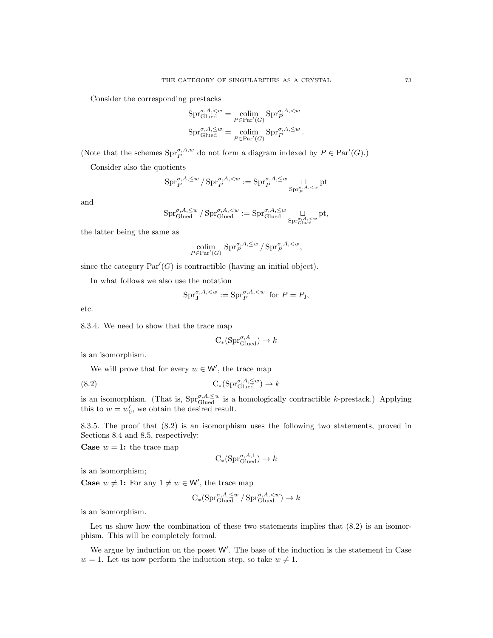Consider the corresponding prestacks

$$
Spr_{\text{Glued}}^{\sigma, A, \leq w} = \underset{P \in \text{Par}'(G)}{\text{colim}} \text{Spr}_{P}^{\sigma, A, \leq w}
$$

$$
Spr_{\text{Glued}}^{\sigma, A, \leq w} = \underset{P \in \text{Par}'(G)}{\text{colim}} \text{Spr}_{P}^{\sigma, A, \leq w}.
$$

(Note that the schemes  $\text{Spr}_{P}^{\sigma, A, w}$  do not form a diagram indexed by  $P \in \text{Par}'(G)$ .)

Consider also the quotients

$$
\mathrm{Spr}_P^{\sigma,A,\leq w}/\mathrm{Spr}_P^{\sigma,A,
$$

and

$$
\mathrm{Spr}_{\mathrm{Glued}}^{\sigma,A,\leq w}/\mathrm{Spr}_{\mathrm{Glued}}^{\sigma,A,\leq w}:=\mathrm{Spr}_{\mathrm{Glued}}^{\sigma,A,\leq w}\underset{\mathrm{Spr}_{\mathrm{Glued}}^{\sigma,A,\leq w}}{\sqcup} \mathrm{pt},
$$

the latter being the same as

$$
\operatorname*{colim}_{P \in \operatorname{Par}'(G)} \operatorname{Spr}_{P}^{\sigma, A, \leq w} / \operatorname{Spr}_{P}^{\sigma, A, \lt w},
$$

since the category  $Par'(G)$  is contractible (having an initial object).

In what follows we also use the notation

$$
\text{Spr}^{\sigma, A,
$$

etc.

8.3.4. We need to show that the trace map

$$
C_*(\mathrm{Spr}_{\mathrm{Glued}}^{\sigma,A}) \to k
$$

is an isomorphism.

We will prove that for every  $w \in W'$ , the trace map

(8.2) 
$$
C_*(\text{Spr}_{\text{Glued}}^{\sigma,A,\leq w}) \to k
$$

is an isomorphism. (That is,  $\text{Spr}_{\text{Glued}}^{\sigma, A, \leq w}$  is a homologically contractible k-prestack.) Applying this to  $w = w'_0$ , we obtain the desired result.

8.3.5. The proof that (8.2) is an isomorphism uses the following two statements, proved in Sections 8.4 and 8.5, respectively:

**Case**  $w = 1$ : the trace map

$$
C_*(\mathrm{Spr}_{\mathrm{Glued}}^{\sigma,A,1}) \to k
$$

is an isomorphism;

**Case**  $w \neq 1$ : For any  $1 \neq w \in W'$ , the trace map

$$
C_*(\mathrm{Spr}_{\mathrm{Glued}}^{\sigma,A,\leq w}/\mathrm{Spr}_{\mathrm{Glued}}^{\sigma,A,
$$

is an isomorphism.

Let us show how the combination of these two statements implies that  $(8.2)$  is an isomorphism. This will be completely formal.

We argue by induction on the poset  $W'$ . The base of the induction is the statement in Case  $w = 1$ . Let us now perform the induction step, so take  $w \neq 1$ .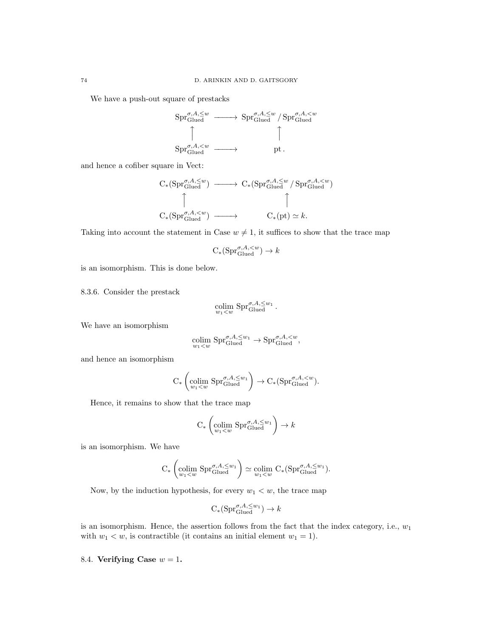We have a push-out square of prestacks



and hence a cofiber square in Vect:

$$
C_*(\mathrm{Spr}_{\mathrm{Glued}}^{\sigma,A,\leq w}) \longrightarrow C_*(\mathrm{Spr}_{\mathrm{Glued}}^{\sigma,A,\leq w}/\mathrm{Spr}_{\mathrm{Glued}}^{\sigma,A,\leq w})
$$
  

$$
\uparrow
$$
  

$$
C_*(\mathrm{Spr}_{\mathrm{Glued}}^{\sigma,A,\leq w}) \longrightarrow C_*(\mathrm{pt}) \simeq k.
$$

Taking into account the statement in Case  $w \neq 1$ , it suffices to show that the trace map

$$
C_*(\mathrm{Spr}_{\mathrm{Glued}}^{\sigma,A,
$$

is an isomorphism. This is done below.

8.3.6. Consider the prestack

$$
\operatornamewithlimits{colim}_{w_1
$$

We have an isomorphism

$$
\underset{w_1 < w}{\text{colim}} \text{Spr}_{\text{Glued}}^{\sigma, A, \leq w_1} \to \text{Spr}_{\text{Glued}}^{\sigma, A, \leq w},
$$

and hence an isomorphism

$$
\mathrm{C}_* \left( \underset{w_1 < w}{\text{colim }} \mathrm{Spr}_{\mathrm{Glued}}^{\sigma, A, \leq w_1} \right) \to \mathrm{C}_* ( \mathrm{Spr}_{\mathrm{Glued}}^{\sigma, A, \leq w} ).
$$

Hence, it remains to show that the trace map

$$
C_*\left(\underset{w_1 < w}{\text{colim}} \mathrm{Spr}_{\text{Glued}}^{\sigma, A, \leq w_1}\right) \to k
$$

is an isomorphism. We have

$$
C_*\left(\underset{w_1 < w}{\text{colim}} \ \text{Spr}_{\text{Glued}}^{\sigma, A, \leq w_1}\right) \simeq \underset{w_1 < w}{\text{colim}} \ C_*\left(\text{Spr}_{\text{Glued}}^{\sigma, A, \leq w_1}\right).
$$

Now, by the induction hypothesis, for every  $w_1 < w$ , the trace map

$$
C_*(\mathrm{Spr}_{\mathrm{Glued}}^{\sigma,A,\leq w_1}) \to k
$$

is an isomorphism. Hence, the assertion follows from the fact that the index category, i.e.,  $w_1$ with  $w_1 < w$ , is contractible (it contains an initial element  $w_1 = 1$ ).

### 8.4. Verifying Case  $w = 1$ .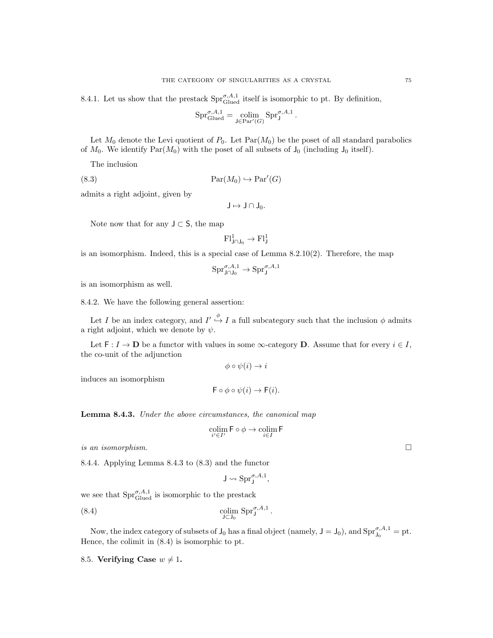8.4.1. Let us show that the prestack  $\text{Spr}_{\text{Glued}}^{\sigma,A,1}$  itself is isomorphic to pt. By definition,

$$
\mathrm{Spr}_{\mathrm{Glued}}^{\sigma,A,1}=\operatornamewithlimits{colim}_{\mathsf J\in\mathrm{Par}'(G)}\mathrm{Spr}_{\mathsf J}^{\sigma,A,1}
$$

.

Let  $M_0$  denote the Levi quotient of  $P_0$ . Let  $\text{Par}(M_0)$  be the poset of all standard parabolics of  $M_0$ . We identify  $\text{Par}(M_0)$  with the poset of all subsets of  $J_0$  (including  $J_0$  itself).

The inclusion

(8.3)  $\text{Par}(M_0) \hookrightarrow \text{Par}'(G)$ 

admits a right adjoint, given by

 $J \mapsto J \cap J_0$ .

Note now that for any  $J \subset S$ , the map

$$
\mathrm{Fl}^1_{J\cap J_0}\to \mathrm{Fl}^1_J
$$

is an isomorphism. Indeed, this is a special case of Lemma 8.2.10(2). Therefore, the map

$$
\mathrm{Spr}^{\sigma,A,1}_{\mathsf{J} \cap \mathsf{J}_0} \to \mathrm{Spr}^{\sigma,A,1}_{\mathsf{J}}
$$

is an isomorphism as well.

8.4.2. We have the following general assertion:

Let I be an index category, and  $I' \stackrel{\phi}{\hookrightarrow} I$  a full subcategory such that the inclusion  $\phi$  admits a right adjoint, which we denote by  $\psi$ .

Let  $F: I \to \mathbf{D}$  be a functor with values in some  $\infty$ -category **D**. Assume that for every  $i \in I$ , the co-unit of the adjunction

$$
\phi \circ \psi(i) \to i
$$

induces an isomorphism

$$
\mathsf{F} \circ \phi \circ \psi(i) \to \mathsf{F}(i).
$$

**Lemma 8.4.3.** Under the above circumstances, the canonical map

$$
\operatornamewithlimits{colim}_{i'\in I'}\mathsf{F}\circ\phi\to\operatornamewithlimits{colim}_{i\in I}\mathsf{F}
$$

is an isomorphism.  $\Box$ 

8.4.4. Applying Lemma 8.4.3 to (8.3) and the functor

$$
\mathsf{J}\leadsto \mathrm{Spr}^{\sigma,A,1}_{\mathsf{J}},
$$

we see that  $\text{Spr}_{\text{Glued}}^{\sigma,A,1}$  is isomorphic to the prestack

(8.4) 
$$
\underset{\mathsf{J}\subset\mathsf{J}_0}{\text{colim}}\ \mathrm{Spr}_{\mathsf{J}}^{\sigma,A,1}
$$

Now, the index category of subsets of  $J_0$  has a final object (namely,  $J = J_0$ ), and  $\text{Spr}_{J_0}^{\sigma, A, 1} = \text{ pt.}$ Hence, the colimit in (8.4) is isomorphic to pt.

.

8.5. Verifying Case  $w \neq 1$ .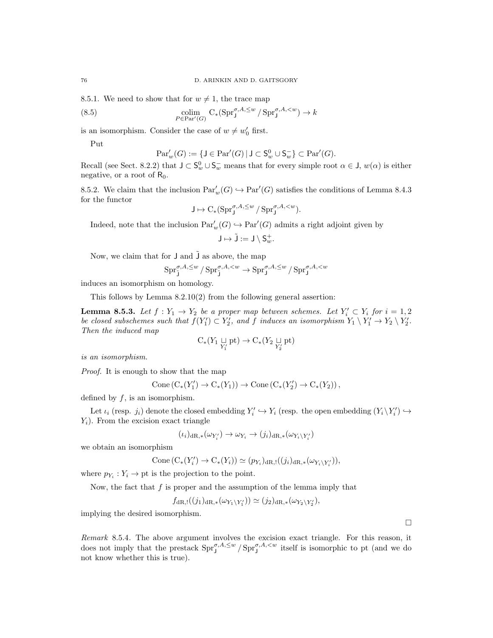8.5.1. We need to show that for  $w \neq 1$ , the trace map

(8.5) 
$$
\underset{P \in \text{Par}'(G)}{\text{colim}} \mathcal{C}_*(\text{Spr}^{\sigma, A, \leq w} / \text{Spr}^{\sigma, A, \leq w}) \to k
$$

is an isomorphism. Consider the case of  $w \neq w'_0$  first.

Put

$$
\operatorname{Par}'_w(G) := \{ \mathsf{J} \in \operatorname{Par}'(G) \, | \, \mathsf{J} \subset \mathsf{S}_w^0 \cup \mathsf{S}_w^- \} \subset \operatorname{Par}'(G).
$$

Recall (see Sect. 8.2.2) that  $J \subset S_w^0 \cup S_w^-$  means that for every simple root  $\alpha \in J$ ,  $w(\alpha)$  is either negative, or a root of  $R_0$ .

8.5.2. We claim that the inclusion  $Par_w'(G) \hookrightarrow Par'(G)$  satisfies the conditions of Lemma 8.4.3 for the functor

$$
J \mapsto C_*(\mathrm{Spr}^{\sigma,A,\leq w}_J/\mathrm{Spr}^{\sigma,A,
$$

Indeed, note that the inclusion  $\text{Par}'_w(G) \hookrightarrow \text{Par}'(G)$  admits a right adjoint given by

$$
\mathsf{J} \mapsto \tilde{\mathsf{J}} := \mathsf{J} \setminus \mathsf{S}_w^+.
$$

Now, we claim that for  $J$  and  $J$  as above, the map

$$
\text{Spr}_{\tilde{\mathbf{J}}}^{\sigma,A,\leq w}/\text{Spr}_{\tilde{\mathbf{J}}}^{\sigma,A,
$$

induces an isomorphism on homology.

This follows by Lemma 8.2.10(2) from the following general assertion:

**Lemma 8.5.3.** Let  $f: Y_1 \to Y_2$  be a proper map between schemes. Let  $Y'_i \subset Y_i$  for  $i = 1, 2$ be closed subschemes such that  $f(Y'_1) \subset Y'_2$ , and f induces an isomorphism  $Y_1 \setminus Y'_1 \to Y_2 \setminus Y'_2$ . Then the induced map

$$
\mathrm C_*(Y_1 \underset{Y_1'}{\sqcup} \mathrm{pt}) \to \mathrm C_*(Y_2 \underset{Y_2'}{\sqcup} \mathrm{pt})
$$

is an isomorphism.

Proof. It is enough to show that the map

$$
Cone (C_*(Y'_1) \to C_*(Y_1)) \to Cone (C_*(Y'_2) \to C_*(Y_2)),
$$

defined by  $f$ , is an isomorphism.

Let  $\iota_i$  (resp.  $j_i$ ) denote the closed embedding  $Y_i' \hookrightarrow Y_i$  (resp. the open embedding  $(Y_i \ Y_i') \hookrightarrow$  $Y_i$ ). From the excision exact triangle

$$
(\iota_i)_{\mathrm{dR},*}(\omega_{Y'_i}) \to \omega_{Y_i} \to (j_i)_{\mathrm{dR},*}(\omega_{Y_i \setminus Y'_i})
$$

we obtain an isomorphism

$$
Cone(C_*(Y'_i) \to C_*(Y_i)) \simeq (p_{Y_i})_{dR, !}((j_i)_{dR, *}(\omega_{Y_i \setminus Y'_i})),
$$

where  $p_{Y_i}: Y_i \to \text{pt}$  is the projection to the point.

Now, the fact that  $f$  is proper and the assumption of the lemma imply that

$$
f_{\mathrm{dR},!}((j_1)_{\mathrm{dR},*}(\omega_{Y_1\setminus Y_1})) \simeq (j_2)_{\mathrm{dR},*}(\omega_{Y_2\setminus Y_2}),
$$

implying the desired isomorphism.

Remark 8.5.4. The above argument involves the excision exact triangle. For this reason, it does not imply that the prestack  $\text{Spr}_{J}^{\sigma, A, \leq w} / \text{Spr}_{J}^{\sigma, A, \leq w}$  itself is isomorphic to pt (and we do not know whether this is true).

 $\Box$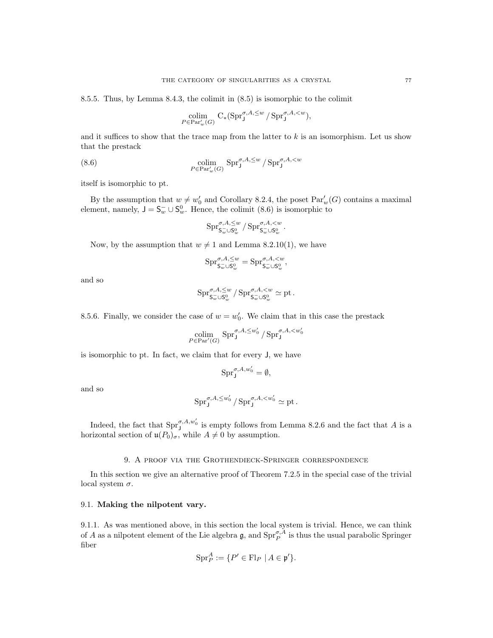8.5.5. Thus, by Lemma 8.4.3, the colimit in (8.5) is isomorphic to the colimit

$$
\operatorname*{colim}_{P \in \operatorname{Par}'_w(G)} \operatorname{C}_*(\operatorname{Spr}^{\sigma,A,\leq w}_J/\operatorname{Spr}^{\sigma,A,
$$

and it suffices to show that the trace map from the latter to  $k$  is an isomorphism. Let us show that the prestack

(8.6) 
$$
\underset{P \in \text{Par}'_w(G)}{\text{colim}} \text{Spr}^{\sigma, A, \leq w}_{\mathbf{J}} / \text{Spr}^{\sigma, A, \leq w}_{\mathbf{J}}
$$

itself is isomorphic to pt.

By the assumption that  $w \neq w'_0$  and Corollary 8.2.4, the poset  $Par_w'(G)$  contains a maximal element, namely,  $J = S_w^- \cup S_w^0$ . Hence, the colimit (8.6) is isomorphic to

$$
\mathrm{Spr}^{\sigma,A,\leq w}_{\mathsf{S}_{w}^{-}\cup\mathsf{S}_{w}^{0}}/\mathrm{Spr}^{\sigma,A,
$$

Now, by the assumption that  $w \neq 1$  and Lemma 8.2.10(1), we have

$$
\mathrm{Spr}^{\sigma,A,\leq w}_{\mathsf{S}_w^-\cup \mathsf{S}_w^0}=\mathrm{Spr}^{\sigma,A,
$$

and so

$$
\mathrm{Spr}^{\sigma,A,\leq w}_{\mathsf{S}_w^{-}\cup \mathsf{S}_w^0}/\mathrm{Spr}^{\sigma,A,
$$

8.5.6. Finally, we consider the case of  $w = w'_0$ . We claim that in this case the prestack

$$
\operatornamewithlimits{colim}_{P \in \operatorname{Par}'(G)} \operatorname{Spr}^{\sigma, A, \leq w_0'}_{{\bf J}} / \operatorname{Spr}^{\sigma, A, < w_0'}_{{\bf J}}
$$

is isomorphic to pt. In fact, we claim that for every J, we have

$$
\text{Spr}^{\sigma, A, w_0'}_{\mathtt{J}} = \emptyset,
$$

and so

$$
\text{Spr}^{\sigma, A, \leq w_0'}_J / \text{Spr}^{\sigma, A, < w_0'}_J \simeq \text{pt}.
$$

Indeed, the fact that  $\text{Spr}_{\text{J}}^{\sigma, A, w_0'}$  is empty follows from Lemma 8.2.6 and the fact that A is a horizontal section of  $\mathfrak{u}(P_0)_{\sigma}$ , while  $A \neq 0$  by assumption.

#### 9. A proof via the Grothendieck-Springer correspondence

In this section we give an alternative proof of Theorem 7.2.5 in the special case of the trivial local system  $\sigma$ .

## 9.1. Making the nilpotent vary.

9.1.1. As was mentioned above, in this section the local system is trivial. Hence, we can think of A as a nilpotent element of the Lie algebra  $\mathfrak{g}$ , and  $\text{Spr}_{P}^{\sigma, A}$  is thus the usual parabolic Springer fiber

$$
\operatorname{Spr}_P^A := \{ P' \in \operatorname{Fl}_P \mid A \in \mathfrak{p}' \}.
$$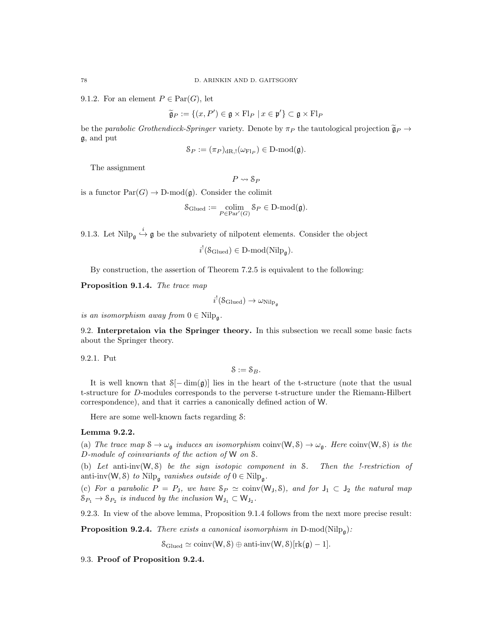9.1.2. For an element  $P \in \text{Par}(G)$ , let

$$
\widetilde{\mathfrak{g}}_P := \{ (x, P') \in \mathfrak{g} \times \mathrm{Fl}_P \mid x \in \mathfrak{p}' \} \subset \mathfrak{g} \times \mathrm{Fl}_P
$$

be the parabolic Grothendieck-Springer variety. Denote by  $\pi_P$  the tautological projection  $\tilde{\mathfrak{g}}_P \to$ g, and put

$$
\mathcal{S}_P := (\pi_P)_{\mathrm{dR},!}(\omega_{\mathrm{Fl}_P}) \in \mathrm{D}\text{-}\mathrm{mod}(\mathfrak{g}).
$$

The assignment

 $P \rightsquigarrow S_P$ 

is a functor  $\text{Par}(G) \to \text{D-mod}(\mathfrak{g})$ . Consider the colimit

$$
\mathcal{S}_{\text{Glued}} := \underset{P \in \text{Par}'(G)}{\text{colim}} \mathcal{S}_P \in \text{D-mod}(\mathfrak{g}).
$$

9.1.3. Let  $\text{Nilp}_{\mathfrak{g}} \xrightarrow{i} \mathfrak{g}$  be the subvariety of nilpotent elements. Consider the object

 $i^!(\mathcal{S}_{\text{Glued}}) \in D\text{-mod}(\text{Nilp}_\mathfrak{g}).$ 

By construction, the assertion of Theorem 7.2.5 is equivalent to the following:

Proposition 9.1.4. The trace map

 $i^!(\mathcal{S}_{\rm Glued}) \to \omega_{\rm Nilp}_\mathfrak{g}$ 

is an isomorphism away from  $0 \in \text{Nilp}_{\mathfrak{g}}$ .

9.2. Interpretaion via the Springer theory. In this subsection we recall some basic facts about the Springer theory.

9.2.1. Put

 $S := S_B$ .

It is well known that  $S[-\dim(\mathfrak{g})]$  lies in the heart of the t-structure (note that the usual t-structure for D-modules corresponds to the perverse t-structure under the Riemann-Hilbert correspondence), and that it carries a canonically defined action of W.

Here are some well-known facts regarding S:

# Lemma 9.2.2.

(a) The trace map  $S \to \omega_{\mathfrak{g}}$  induces an isomorphism coinv $(W, S) \to \omega_{\mathfrak{g}}$ . Here coinv $(W, S)$  is the D-module of coinvariants of the action of W on S.

(b) Let anti-inv $(W, \mathcal{S})$  be the sign isotopic component in S. Then the *!-restriction* of anti-inv $(W, \mathcal{S})$  to Nilp<sub>g</sub> vanishes outside of  $0 \in \text{Nilp}_{\mathfrak{g}}$ .

(c) For a parabolic  $P = P_J$ , we have  $S_P \simeq \text{coinv}(W_J, S)$ , and for  $J_1 \subset J_2$  the natural map  $S_{P_1} \to S_{P_2}$  is induced by the inclusion  $\mathsf{W}_{\mathsf{J}_1} \subset \mathsf{W}_{\mathsf{J}_2}$ .

9.2.3. In view of the above lemma, Proposition 9.1.4 follows from the next more precise result:

**Proposition 9.2.4.** There exists a canonical isomorphism in  $D$ -mod( $Nilp_{\mathfrak{g}}$ ):

 $\mathcal{S}_{\text{Glued}} \simeq \text{coinv}(W, \mathcal{S}) \oplus \text{anti-inv}(W, \mathcal{S})[\text{rk}(\mathfrak{g})-1].$ 

9.3. Proof of Proposition 9.2.4.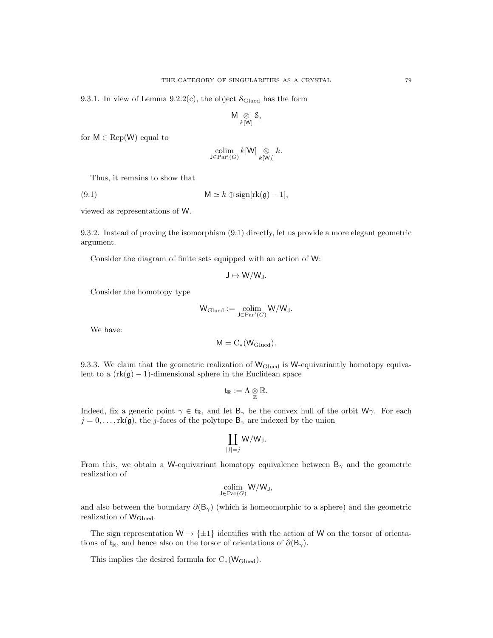9.3.1. In view of Lemma 9.2.2(c), the object  $S_{\text{Glued}}$  has the form

$$
\mathsf{M} \underset{k[W]}{\otimes} \mathsf{S},
$$

for  $M \in \text{Rep}(W)$  equal to

$$
\operatornamewithlimits{colim}_{\mathsf J\in\operatorname{Par}'(G)} k[\mathsf W]\underset{k[\mathsf W_J]}{\otimes} k.
$$

Thus, it remains to show that

(9.1) M  $\simeq k \oplus \text{sign}[\text{rk}(\mathfrak{g}) - 1],$ 

viewed as representations of W.

9.3.2. Instead of proving the isomorphism (9.1) directly, let us provide a more elegant geometric argument.

Consider the diagram of finite sets equipped with an action of W:

$$
J\mapsto W/W_J.
$$

Consider the homotopy type

$$
\mathsf{W}_{\mathrm{Glued}} := \underset{\mathsf{J} \in \mathrm{Par}'(G)}{\mathrm{colim}} \mathsf{W}/\mathsf{W}_{\mathsf{J}}.
$$

We have:

$$
M = C_{*}(W_{\rm Glued}).
$$

9.3.3. We claim that the geometric realization of WGlued is W-equivariantly homotopy equivalent to a  $(rk(\mathfrak{g})-1)$ -dimensional sphere in the Euclidean space

$$
\mathfrak{t}_\mathbb{R}:=\Lambda\underset{\mathbb{Z}}{\otimes}\mathbb{R}.
$$

Indeed, fix a generic point  $\gamma \in \mathfrak{t}_{\mathbb{R}}$ , and let  $B_{\gamma}$  be the convex hull of the orbit W $\gamma$ . For each  $j = 0, \ldots, \text{rk}(\mathfrak{g})$ , the j-faces of the polytope  $\mathsf{B}_{\gamma}$  are indexed by the union

$$
\coprod_{|J|=j} W/W_J.
$$

From this, we obtain a W-equivariant homotopy equivalence between  $B_{\gamma}$  and the geometric realization of

$$
\operatornamewithlimits{colim}_{\mathsf J\in\operatorname{Par}(G)}\mathsf W/\mathsf W_{\mathsf J},
$$

and also between the boundary  $\partial(\mathsf{B}_{\gamma})$  (which is homeomorphic to a sphere) and the geometric realization of  $W_{\text{Glued}}$ .

The sign representation  $W \rightarrow {\pm 1}$  identifies with the action of W on the torsor of orientations of  $t_{\mathbb{R}}$ , and hence also on the torsor of orientations of  $\partial(\mathsf{B}_{\gamma})$ .

This implies the desired formula for  $C_*(W_{\text{Glued}})$ .